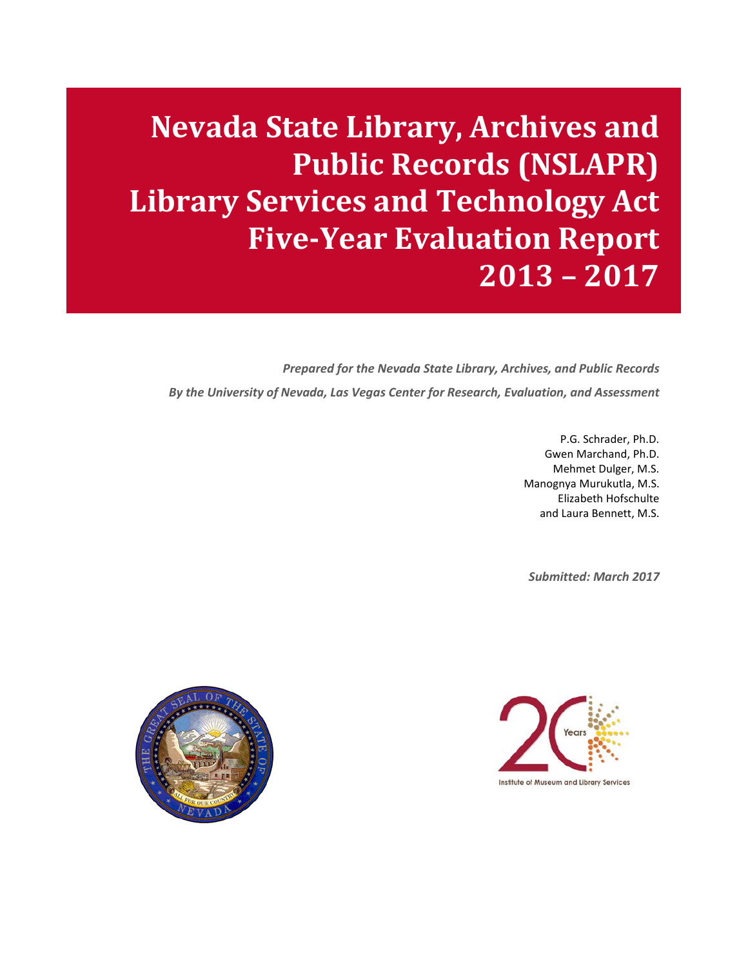**Nevada State Library, Archives and Public Records (NSLAPR) Library Services and Technology Act Five-Year Evaluation Report 2013 – 2017**

*Prepared for the Nevada State Library, Archives, and Public Records By the University of Nevada, Las Vegas Center for Research, Evaluation, and Assessment*

> P.G. Schrader, Ph.D. Gwen Marchand, Ph.D. Mehmet Dulger, M.S. Manognya Murukutla, M.S. Elizabeth Hofschulte and Laura Bennett, M.S.

*Submitted: March 2017*



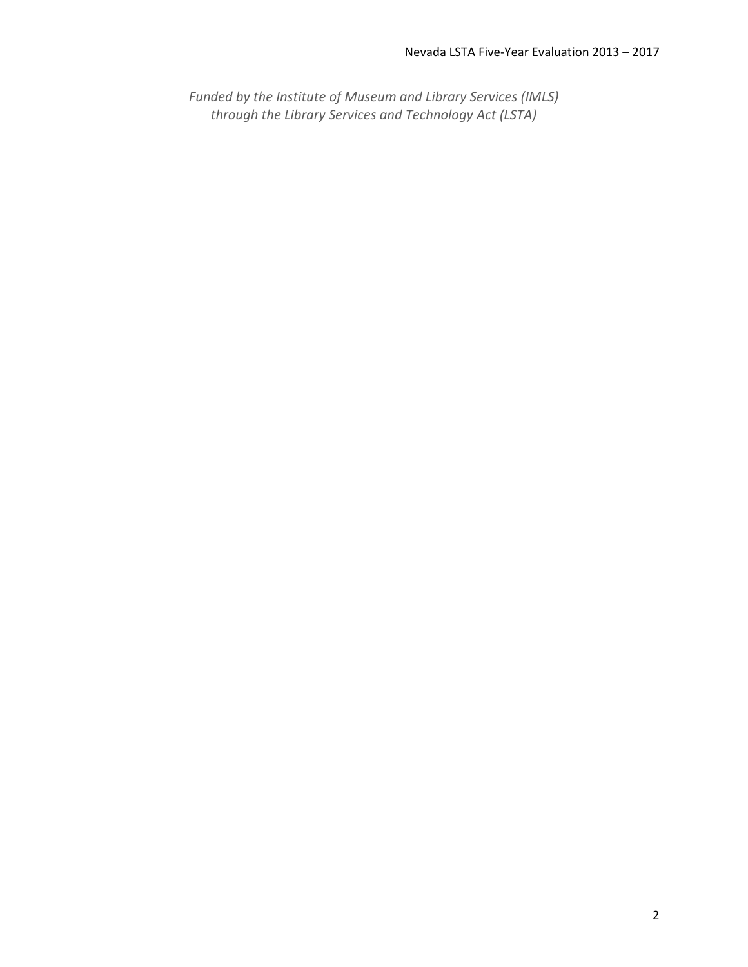*Funded by the Institute of Museum and Library Services (IMLS) through the Library Services and Technology Act (LSTA)*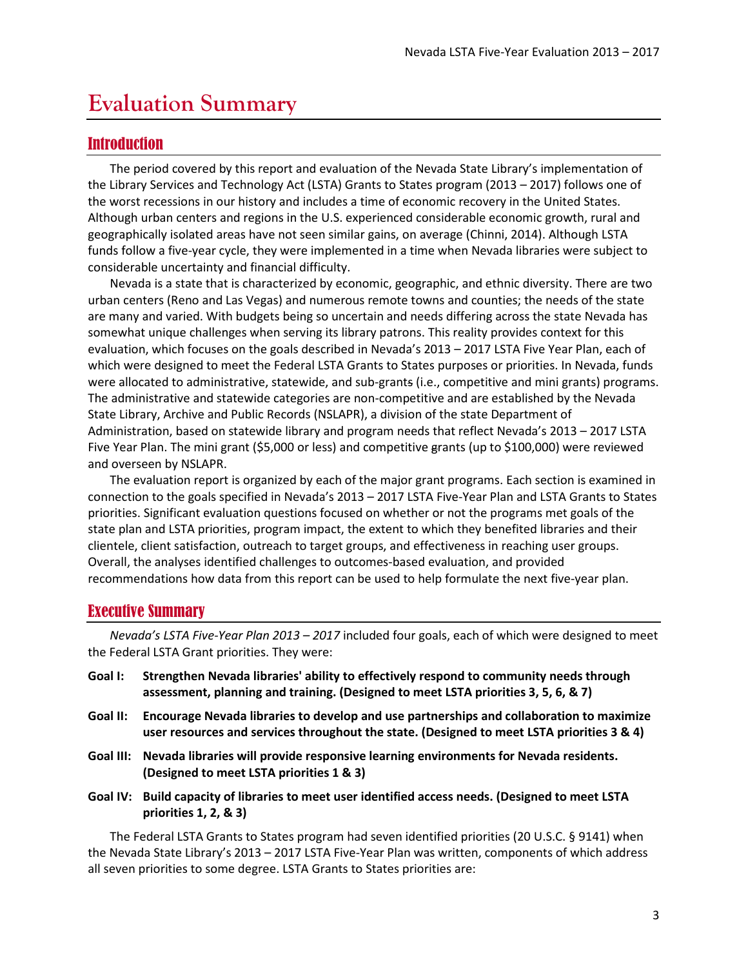## <span id="page-2-0"></span>**Evaluation Summary**

## <span id="page-2-1"></span>Introduction

The period covered by this report and evaluation of the Nevada State Library's implementation of the Library Services and Technology Act (LSTA) Grants to States program (2013 – 2017) follows one of the worst recessions in our history and includes a time of economic recovery in the United States. Although urban centers and regions in the U.S. experienced considerable economic growth, rural and geographically isolated areas have not seen similar gains, on average (Chinni, 2014). Although LSTA funds follow a five-year cycle, they were implemented in a time when Nevada libraries were subject to considerable uncertainty and financial difficulty.

Nevada is a state that is characterized by economic, geographic, and ethnic diversity. There are two urban centers (Reno and Las Vegas) and numerous remote towns and counties; the needs of the state are many and varied. With budgets being so uncertain and needs differing across the state Nevada has somewhat unique challenges when serving its library patrons. This reality provides context for this evaluation, which focuses on the goals described in Nevada's 2013 – 2017 LSTA Five Year Plan, each of which were designed to meet the Federal LSTA Grants to States purposes or priorities. In Nevada, funds were allocated to administrative, statewide, and sub-grants (i.e., competitive and mini grants) programs. The administrative and statewide categories are non-competitive and are established by the Nevada State Library, Archive and Public Records (NSLAPR), a division of the state Department of Administration, based on statewide library and program needs that reflect Nevada's 2013 – 2017 LSTA Five Year Plan. The mini grant (\$5,000 or less) and competitive grants (up to \$100,000) were reviewed and overseen by NSLAPR.

The evaluation report is organized by each of the major grant programs. Each section is examined in connection to the goals specified in Nevada's 2013 – 2017 LSTA Five-Year Plan and LSTA Grants to States priorities. Significant evaluation questions focused on whether or not the programs met goals of the state plan and LSTA priorities, program impact, the extent to which they benefited libraries and their clientele, client satisfaction, outreach to target groups, and effectiveness in reaching user groups. Overall, the analyses identified challenges to outcomes-based evaluation, and provided recommendations how data from this report can be used to help formulate the next five-year plan.

## <span id="page-2-2"></span>Executive Summary

*Nevada's LSTA Five-Year Plan 2013 – 2017* included four goals, each of which were designed to meet the Federal LSTA Grant priorities. They were:

- **Goal I: Strengthen Nevada libraries' ability to effectively respond to community needs through assessment, planning and training. (Designed to meet LSTA priorities 3, 5, 6, & 7)**
- **Goal II: Encourage Nevada libraries to develop and use partnerships and collaboration to maximize user resources and services throughout the state. (Designed to meet LSTA priorities 3 & 4)**
- **Goal III: Nevada libraries will provide responsive learning environments for Nevada residents. (Designed to meet LSTA priorities 1 & 3)**
- **Goal IV: Build capacity of libraries to meet user identified access needs. (Designed to meet LSTA priorities 1, 2, & 3)**

The Federal LSTA Grants to States program had seven identified priorities (20 U.S.C. § 9141) when the Nevada State Library's 2013 – 2017 LSTA Five-Year Plan was written, components of which address all seven priorities to some degree. LSTA Grants to States priorities are: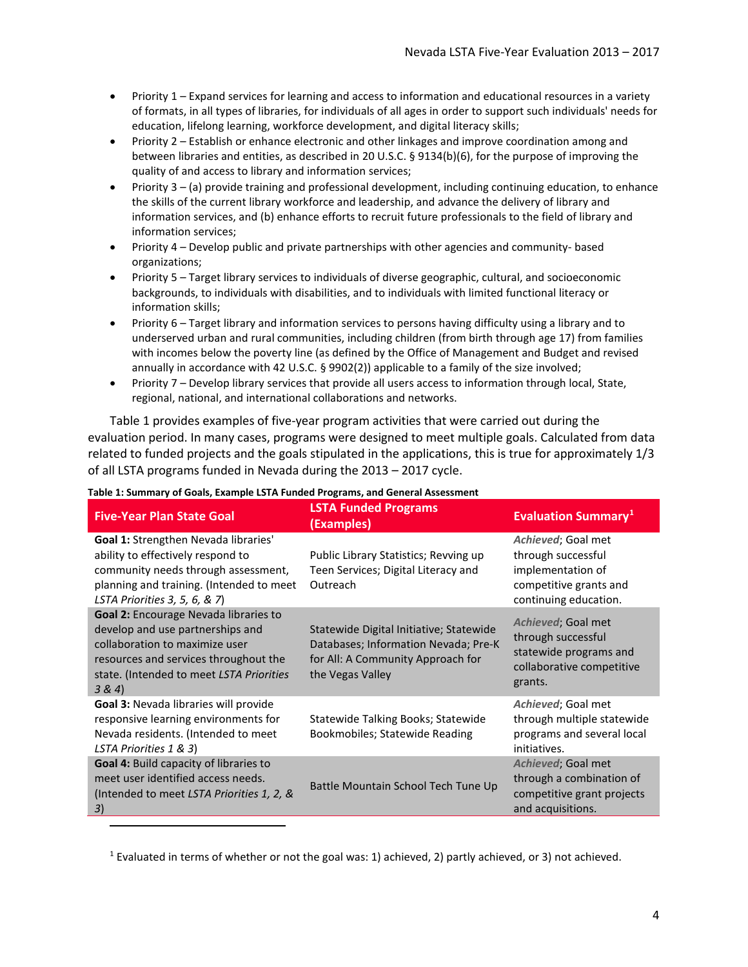- Priority 1 Expand services for learning and access to information and educational resources in a variety of formats, in all types of libraries, for individuals of all ages in order to support such individuals' needs for education, lifelong learning, workforce development, and digital literacy skills;
- Priority 2 Establish or enhance electronic and other linkages and improve coordination among and between libraries and entities, as described in 20 U.S.C. § 9134(b)(6), for the purpose of improving the quality of and access to library and information services;
- Priority 3 (a) provide training and professional development, including continuing education, to enhance the skills of the current library workforce and leadership, and advance the delivery of library and information services, and (b) enhance efforts to recruit future professionals to the field of library and information services;
- Priority 4 Develop public and private partnerships with other agencies and community- based organizations;
- Priority 5 Target library services to individuals of diverse geographic, cultural, and socioeconomic backgrounds, to individuals with disabilities, and to individuals with limited functional literacy or information skills;
- Priority 6 Target library and information services to persons having difficulty using a library and to underserved urban and rural communities, including children (from birth through age 17) from families with incomes below the poverty line (as defined by the Office of Management and Budget and revised annually in accordance with 42 U.S.C. § 9902(2)) applicable to a family of the size involved;
- Priority 7 Develop library services that provide all users access to information through local, State, regional, national, and international collaborations and networks.

[Table 1](#page-3-0) provides examples of five-year program activities that were carried out during the evaluation period. In many cases, programs were designed to meet multiple goals. Calculated from data related to funded projects and the goals stipulated in the applications, this is true for approximately 1/3 of all LSTA programs funded in Nevada during the 2013 – 2017 cycle.

| <b>Five-Year Plan State Goal</b>                                                                                                                                                                           | <b>LSTA Funded Programs</b><br>(Examples)                                                                                                | <b>Evaluation Summary</b> <sup>1</sup>                                                                           |
|------------------------------------------------------------------------------------------------------------------------------------------------------------------------------------------------------------|------------------------------------------------------------------------------------------------------------------------------------------|------------------------------------------------------------------------------------------------------------------|
| <b>Goal 1:</b> Strengthen Nevada libraries'<br>ability to effectively respond to<br>community needs through assessment,<br>planning and training. (Intended to meet<br>LSTA Priorities 3, 5, 6, & 7)       | Public Library Statistics; Revving up<br>Teen Services; Digital Literacy and<br>Outreach                                                 | Achieved; Goal met<br>through successful<br>implementation of<br>competitive grants and<br>continuing education. |
| Goal 2: Encourage Nevada libraries to<br>develop and use partnerships and<br>collaboration to maximize user<br>resources and services throughout the<br>state. (Intended to meet LSTA Priorities<br>3 & 4) | Statewide Digital Initiative; Statewide<br>Databases; Information Nevada; Pre-K<br>for All: A Community Approach for<br>the Vegas Valley | Achieved; Goal met<br>through successful<br>statewide programs and<br>collaborative competitive<br>grants.       |
| Goal 3: Nevada libraries will provide<br>responsive learning environments for<br>Nevada residents. (Intended to meet<br>LSTA Priorities 1 & 3)                                                             | Statewide Talking Books; Statewide<br>Bookmobiles; Statewide Reading                                                                     | Achieved; Goal met<br>through multiple statewide<br>programs and several local<br>initiatives.                   |
| Goal 4: Build capacity of libraries to<br>meet user identified access needs.<br>(Intended to meet LSTA Priorities 1, 2, &<br>3)                                                                            | Battle Mountain School Tech Tune Up                                                                                                      | Achieved; Goal met<br>through a combination of<br>competitive grant projects<br>and acquisitions.                |

#### <span id="page-3-0"></span>**Table 1: Summary of Goals, Example LSTA Funded Programs, and General Assessment**

<span id="page-3-1"></span><sup>1</sup> Evaluated in terms of whether or not the goal was: 1) achieved, 2) partly achieved, or 3) not achieved.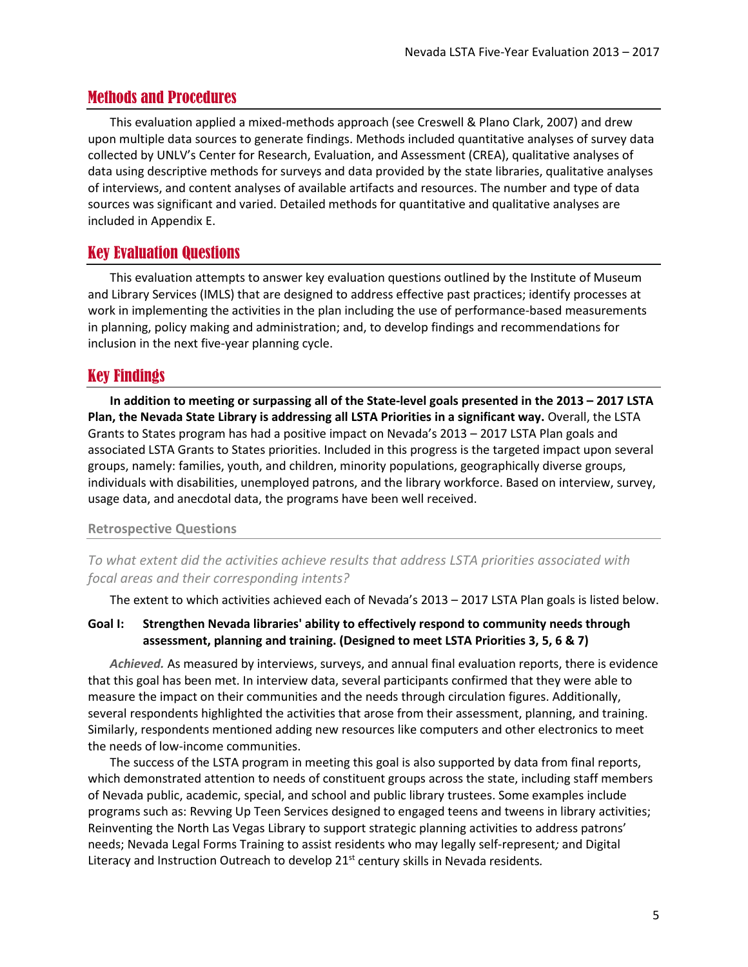## <span id="page-4-0"></span>Methods and Procedures

This evaluation applied a mixed-methods approach (see Creswell & Plano Clark, 2007) and drew upon multiple data sources to generate findings. Methods included quantitative analyses of survey data collected by UNLV's Center for Research, Evaluation, and Assessment (CREA), qualitative analyses of data using descriptive methods for surveys and data provided by the state libraries, qualitative analyses of interviews, and content analyses of available artifacts and resources. The number and type of data sources was significant and varied. Detailed methods for quantitative and qualitative analyses are included in [Appendix E.](#page-42-0)

## <span id="page-4-1"></span>Key Evaluation Questions

This evaluation attempts to answer key evaluation questions outlined by the Institute of Museum and Library Services (IMLS) that are designed to address effective past practices; identify processes at work in implementing the activities in the plan including the use of performance-based measurements in planning, policy making and administration; and, to develop findings and recommendations for inclusion in the next five-year planning cycle.

## <span id="page-4-2"></span>Key Findings

**In addition to meeting or surpassing all of the State-level goals presented in the 2013 – 2017 LSTA Plan, the Nevada State Library is addressing all LSTA Priorities in a significant way.** Overall, the LSTA Grants to States program has had a positive impact on Nevada's 2013 – 2017 LSTA Plan goals and associated LSTA Grants to States priorities. Included in this progress is the targeted impact upon several groups, namely: families, youth, and children, minority populations, geographically diverse groups, individuals with disabilities, unemployed patrons, and the library workforce. Based on interview, survey, usage data, and anecdotal data, the programs have been well received.

#### **Retrospective Questions**

*To what extent did the activities achieve results that address LSTA priorities associated with focal areas and their corresponding intents?*

The extent to which activities achieved each of Nevada's 2013 – 2017 LSTA Plan goals is listed below.

### **Goal I: Strengthen Nevada libraries' ability to effectively respond to community needs through assessment, planning and training. (Designed to meet LSTA Priorities 3, 5, 6 & 7)**

*Achieved.* As measured by interviews, surveys, and annual final evaluation reports, there is evidence that this goal has been met. In interview data, several participants confirmed that they were able to measure the impact on their communities and the needs through circulation figures. Additionally, several respondents highlighted the activities that arose from their assessment, planning, and training. Similarly, respondents mentioned adding new resources like computers and other electronics to meet the needs of low-income communities.

The success of the LSTA program in meeting this goal is also supported by data from final reports, which demonstrated attention to needs of constituent groups across the state, including staff members of Nevada public, academic, special, and school and public library trustees. Some examples include programs such as: Revving Up Teen Services designed to engaged teens and tweens in library activities; Reinventing the North Las Vegas Library to support strategic planning activities to address patrons' needs; Nevada Legal Forms Training to assist residents who may legally self-represent*;* and Digital Literacy and Instruction Outreach to develop 21st century skills in Nevada residents*.*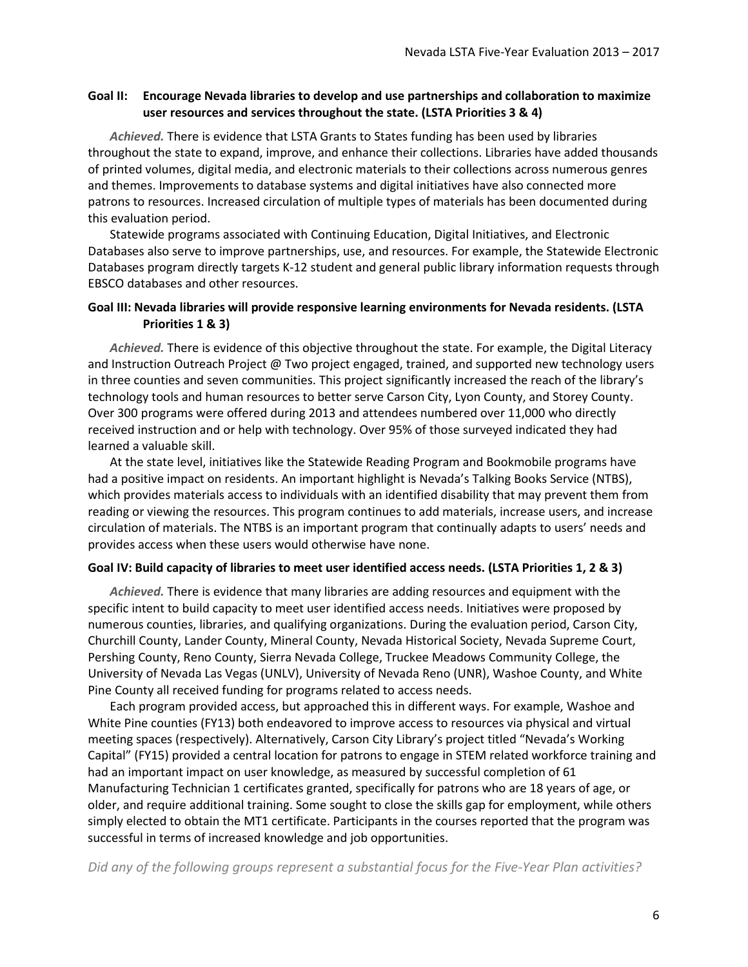### **Goal II: Encourage Nevada libraries to develop and use partnerships and collaboration to maximize user resources and services throughout the state. (LSTA Priorities 3 & 4)**

*Achieved.* There is evidence that LSTA Grants to States funding has been used by libraries throughout the state to expand, improve, and enhance their collections. Libraries have added thousands of printed volumes, digital media, and electronic materials to their collections across numerous genres and themes. Improvements to database systems and digital initiatives have also connected more patrons to resources. Increased circulation of multiple types of materials has been documented during this evaluation period.

Statewide programs associated with Continuing Education, Digital Initiatives, and Electronic Databases also serve to improve partnerships, use, and resources. For example, the Statewide Electronic Databases program directly targets K-12 student and general public library information requests through EBSCO databases and other resources.

#### **Goal III: Nevada libraries will provide responsive learning environments for Nevada residents. (LSTA Priorities 1 & 3)**

*Achieved.* There is evidence of this objective throughout the state. For example, the Digital Literacy and Instruction Outreach Project @ Two project engaged, trained, and supported new technology users in three counties and seven communities. This project significantly increased the reach of the library's technology tools and human resources to better serve Carson City, Lyon County, and Storey County. Over 300 programs were offered during 2013 and attendees numbered over 11,000 who directly received instruction and or help with technology. Over 95% of those surveyed indicated they had learned a valuable skill.

At the state level, initiatives like the Statewide Reading Program and Bookmobile programs have had a positive impact on residents. An important highlight is Nevada's Talking Books Service (NTBS), which provides materials access to individuals with an identified disability that may prevent them from reading or viewing the resources. This program continues to add materials, increase users, and increase circulation of materials. The NTBS is an important program that continually adapts to users' needs and provides access when these users would otherwise have none.

#### **Goal IV: Build capacity of libraries to meet user identified access needs. (LSTA Priorities 1, 2 & 3)**

*Achieved.* There is evidence that many libraries are adding resources and equipment with the specific intent to build capacity to meet user identified access needs. Initiatives were proposed by numerous counties, libraries, and qualifying organizations. During the evaluation period, Carson City, Churchill County, Lander County, Mineral County, Nevada Historical Society, Nevada Supreme Court, Pershing County, Reno County, Sierra Nevada College, Truckee Meadows Community College, the University of Nevada Las Vegas (UNLV), University of Nevada Reno (UNR), Washoe County, and White Pine County all received funding for programs related to access needs.

Each program provided access, but approached this in different ways. For example, Washoe and White Pine counties (FY13) both endeavored to improve access to resources via physical and virtual meeting spaces (respectively). Alternatively, Carson City Library's project titled "Nevada's Working Capital" (FY15) provided a central location for patrons to engage in STEM related workforce training and had an important impact on user knowledge, as measured by successful completion of 61 Manufacturing Technician 1 certificates granted, specifically for patrons who are 18 years of age, or older, and require additional training. Some sought to close the skills gap for employment, while others simply elected to obtain the MT1 certificate. Participants in the courses reported that the program was successful in terms of increased knowledge and job opportunities.

*Did any of the following groups represent a substantial focus for the Five-Year Plan activities?*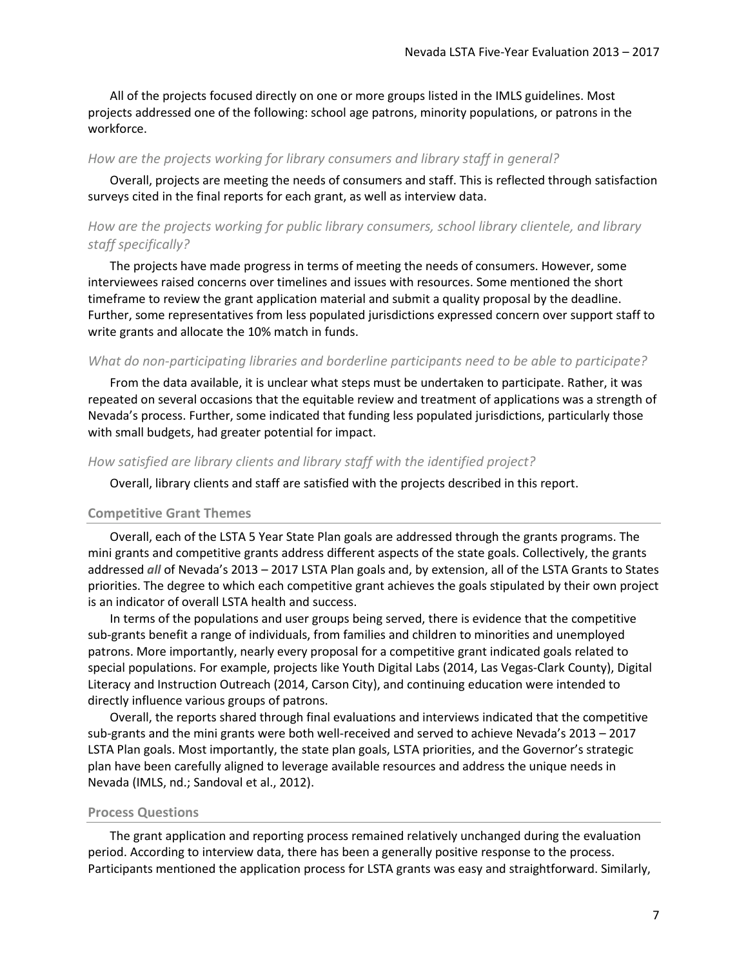All of the projects focused directly on one or more groups listed in the IMLS guidelines. Most projects addressed one of the following: school age patrons, minority populations, or patrons in the workforce.

#### *How are the projects working for library consumers and library staff in general?*

Overall, projects are meeting the needs of consumers and staff. This is reflected through satisfaction surveys cited in the final reports for each grant, as well as interview data.

## *How are the projects working for public library consumers, school library clientele, and library staff specifically?*

The projects have made progress in terms of meeting the needs of consumers. However, some interviewees raised concerns over timelines and issues with resources. Some mentioned the short timeframe to review the grant application material and submit a quality proposal by the deadline. Further, some representatives from less populated jurisdictions expressed concern over support staff to write grants and allocate the 10% match in funds.

#### *What do non-participating libraries and borderline participants need to be able to participate?*

From the data available, it is unclear what steps must be undertaken to participate. Rather, it was repeated on several occasions that the equitable review and treatment of applications was a strength of Nevada's process. Further, some indicated that funding less populated jurisdictions, particularly those with small budgets, had greater potential for impact.

#### *How satisfied are library clients and library staff with the identified project?*

Overall, library clients and staff are satisfied with the projects described in this report.

#### **Competitive Grant Themes**

Overall, each of the LSTA 5 Year State Plan goals are addressed through the grants programs. The mini grants and competitive grants address different aspects of the state goals. Collectively, the grants addressed *all* of Nevada's 2013 – 2017 LSTA Plan goals and, by extension, all of the LSTA Grants to States priorities. The degree to which each competitive grant achieves the goals stipulated by their own project is an indicator of overall LSTA health and success.

In terms of the populations and user groups being served, there is evidence that the competitive sub-grants benefit a range of individuals, from families and children to minorities and unemployed patrons. More importantly, nearly every proposal for a competitive grant indicated goals related to special populations. For example, projects like Youth Digital Labs (2014, Las Vegas-Clark County), Digital Literacy and Instruction Outreach (2014, Carson City), and continuing education were intended to directly influence various groups of patrons.

Overall, the reports shared through final evaluations and interviews indicated that the competitive sub-grants and the mini grants were both well-received and served to achieve Nevada's 2013 – 2017 LSTA Plan goals. Most importantly, the state plan goals, LSTA priorities, and the Governor's strategic plan have been carefully aligned to leverage available resources and address the unique needs in Nevada (IMLS, nd.; Sandoval et al., 2012).

#### **Process Questions**

The grant application and reporting process remained relatively unchanged during the evaluation period. According to interview data, there has been a generally positive response to the process. Participants mentioned the application process for LSTA grants was easy and straightforward. Similarly,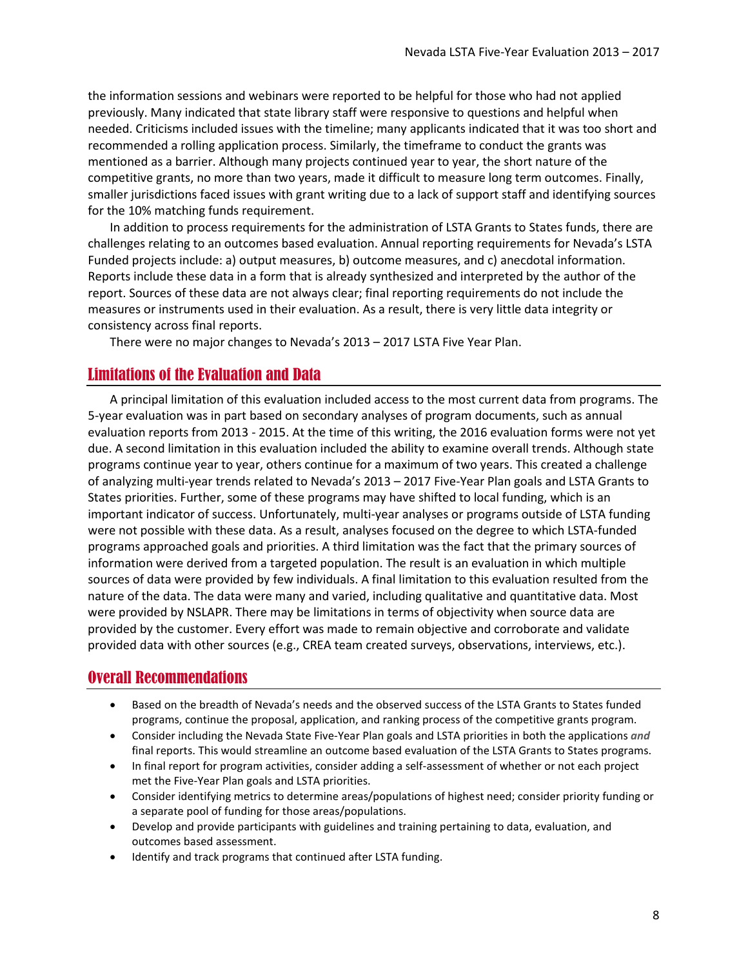the information sessions and webinars were reported to be helpful for those who had not applied previously. Many indicated that state library staff were responsive to questions and helpful when needed. Criticisms included issues with the timeline; many applicants indicated that it was too short and recommended a rolling application process. Similarly, the timeframe to conduct the grants was mentioned as a barrier. Although many projects continued year to year, the short nature of the competitive grants, no more than two years, made it difficult to measure long term outcomes. Finally, smaller jurisdictions faced issues with grant writing due to a lack of support staff and identifying sources for the 10% matching funds requirement.

In addition to process requirements for the administration of LSTA Grants to States funds, there are challenges relating to an outcomes based evaluation. Annual reporting requirements for Nevada's LSTA Funded projects include: a) output measures, b) outcome measures, and c) anecdotal information. Reports include these data in a form that is already synthesized and interpreted by the author of the report. Sources of these data are not always clear; final reporting requirements do not include the measures or instruments used in their evaluation. As a result, there is very little data integrity or consistency across final reports.

There were no major changes to Nevada's 2013 – 2017 LSTA Five Year Plan.

## <span id="page-7-0"></span>Limitations of the Evaluation and Data

A principal limitation of this evaluation included access to the most current data from programs. The 5-year evaluation was in part based on secondary analyses of program documents, such as annual evaluation reports from 2013 - 2015. At the time of this writing, the 2016 evaluation forms were not yet due. A second limitation in this evaluation included the ability to examine overall trends. Although state programs continue year to year, others continue for a maximum of two years. This created a challenge of analyzing multi-year trends related to Nevada's 2013 – 2017 Five-Year Plan goals and LSTA Grants to States priorities. Further, some of these programs may have shifted to local funding, which is an important indicator of success. Unfortunately, multi-year analyses or programs outside of LSTA funding were not possible with these data. As a result, analyses focused on the degree to which LSTA-funded programs approached goals and priorities. A third limitation was the fact that the primary sources of information were derived from a targeted population. The result is an evaluation in which multiple sources of data were provided by few individuals. A final limitation to this evaluation resulted from the nature of the data. The data were many and varied, including qualitative and quantitative data. Most were provided by NSLAPR. There may be limitations in terms of objectivity when source data are provided by the customer. Every effort was made to remain objective and corroborate and validate provided data with other sources (e.g., CREA team created surveys, observations, interviews, etc.).

## <span id="page-7-1"></span>Overall Recommendations

- Based on the breadth of Nevada's needs and the observed success of the LSTA Grants to States funded programs, continue the proposal, application, and ranking process of the competitive grants program.
- Consider including the Nevada State Five-Year Plan goals and LSTA priorities in both the applications *and* final reports. This would streamline an outcome based evaluation of the LSTA Grants to States programs.
- In final report for program activities, consider adding a self-assessment of whether or not each project met the Five-Year Plan goals and LSTA priorities.
- Consider identifying metrics to determine areas/populations of highest need; consider priority funding or a separate pool of funding for those areas/populations.
- Develop and provide participants with guidelines and training pertaining to data, evaluation, and outcomes based assessment.
- Identify and track programs that continued after LSTA funding.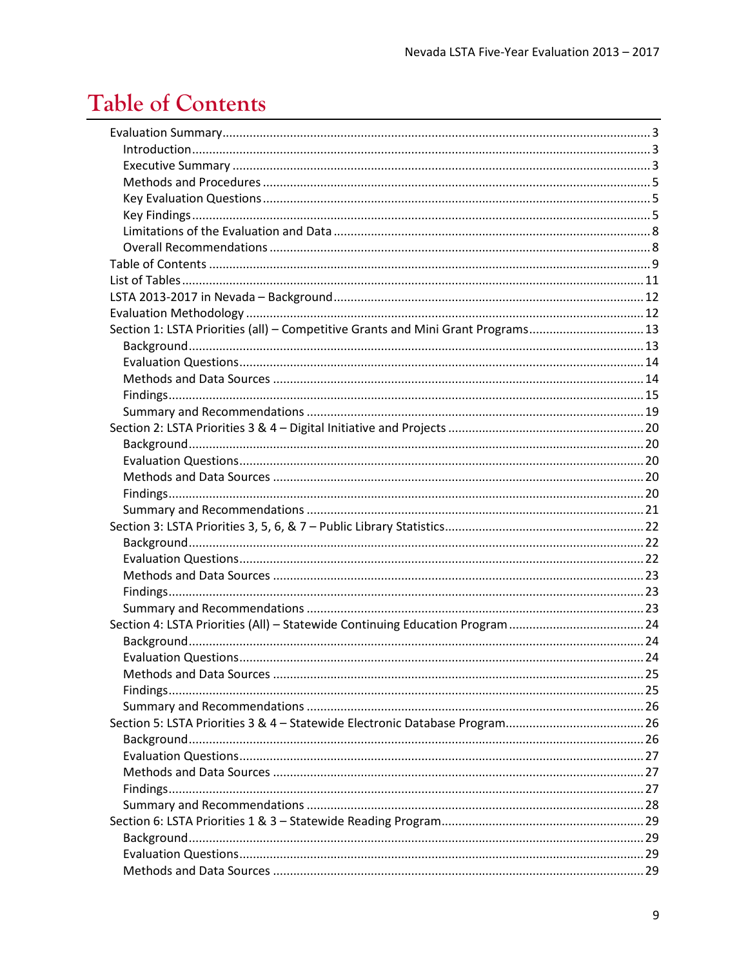# <span id="page-8-0"></span>**Table of Contents**

| Section 1: LSTA Priorities (all) - Competitive Grants and Mini Grant Programs13 |  |
|---------------------------------------------------------------------------------|--|
|                                                                                 |  |
|                                                                                 |  |
|                                                                                 |  |
|                                                                                 |  |
|                                                                                 |  |
|                                                                                 |  |
|                                                                                 |  |
|                                                                                 |  |
|                                                                                 |  |
|                                                                                 |  |
|                                                                                 |  |
|                                                                                 |  |
|                                                                                 |  |
|                                                                                 |  |
|                                                                                 |  |
|                                                                                 |  |
|                                                                                 |  |
| Section 4: LSTA Priorities (All) - Statewide Continuing Education Program 24    |  |
|                                                                                 |  |
|                                                                                 |  |
|                                                                                 |  |
|                                                                                 |  |
|                                                                                 |  |
|                                                                                 |  |
|                                                                                 |  |
|                                                                                 |  |
|                                                                                 |  |
|                                                                                 |  |
|                                                                                 |  |
|                                                                                 |  |
|                                                                                 |  |
|                                                                                 |  |
|                                                                                 |  |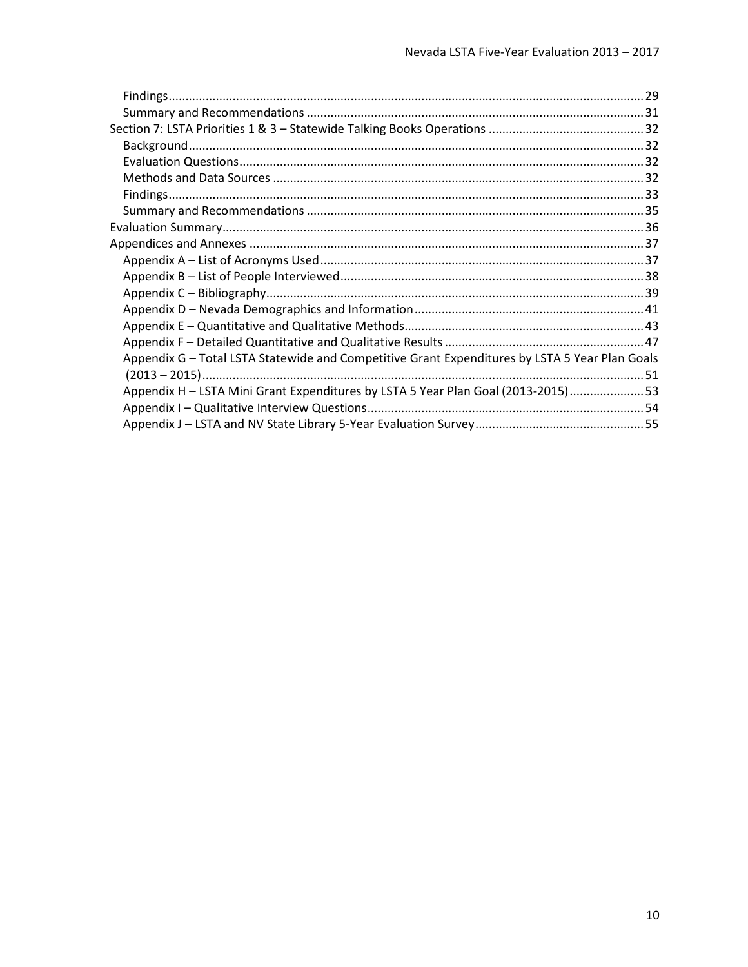| Appendix G - Total LSTA Statewide and Competitive Grant Expenditures by LSTA 5 Year Plan Goals |  |
|------------------------------------------------------------------------------------------------|--|
|                                                                                                |  |
| Appendix H - LSTA Mini Grant Expenditures by LSTA 5 Year Plan Goal (2013-2015) 53              |  |
|                                                                                                |  |
|                                                                                                |  |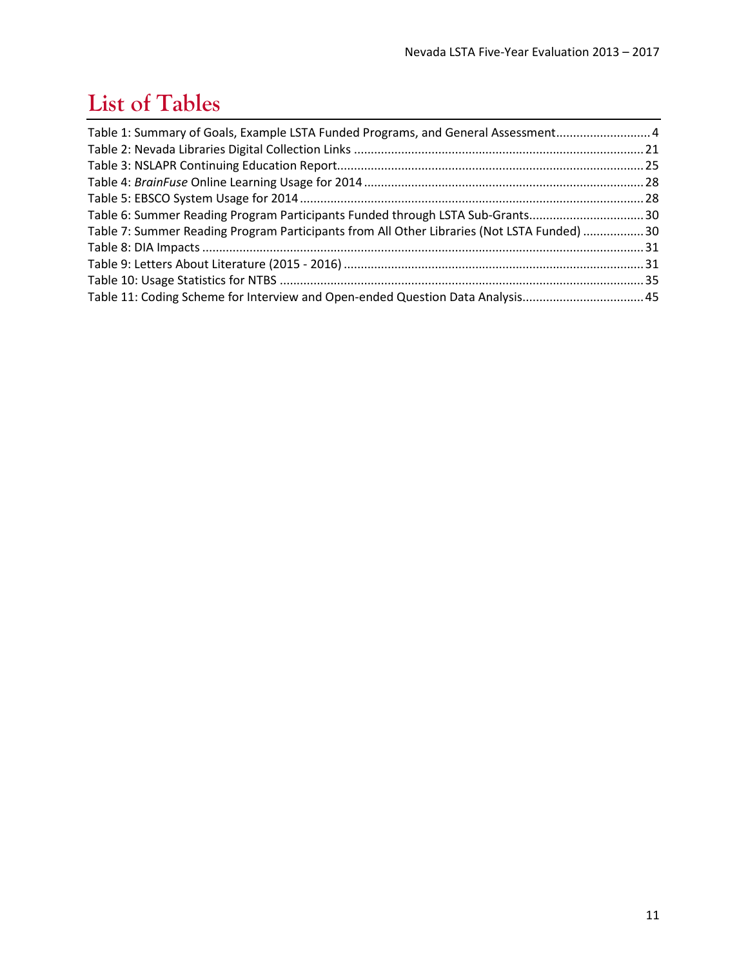# <span id="page-10-0"></span>**List of Tables**

| Table 1: Summary of Goals, Example LSTA Funded Programs, and General Assessment 4          |  |
|--------------------------------------------------------------------------------------------|--|
|                                                                                            |  |
|                                                                                            |  |
|                                                                                            |  |
|                                                                                            |  |
| Table 6: Summer Reading Program Participants Funded through LSTA Sub-Grants30              |  |
| Table 7: Summer Reading Program Participants from All Other Libraries (Not LSTA Funded) 30 |  |
|                                                                                            |  |
|                                                                                            |  |
|                                                                                            |  |
| Table 11: Coding Scheme for Interview and Open-ended Question Data Analysis 45             |  |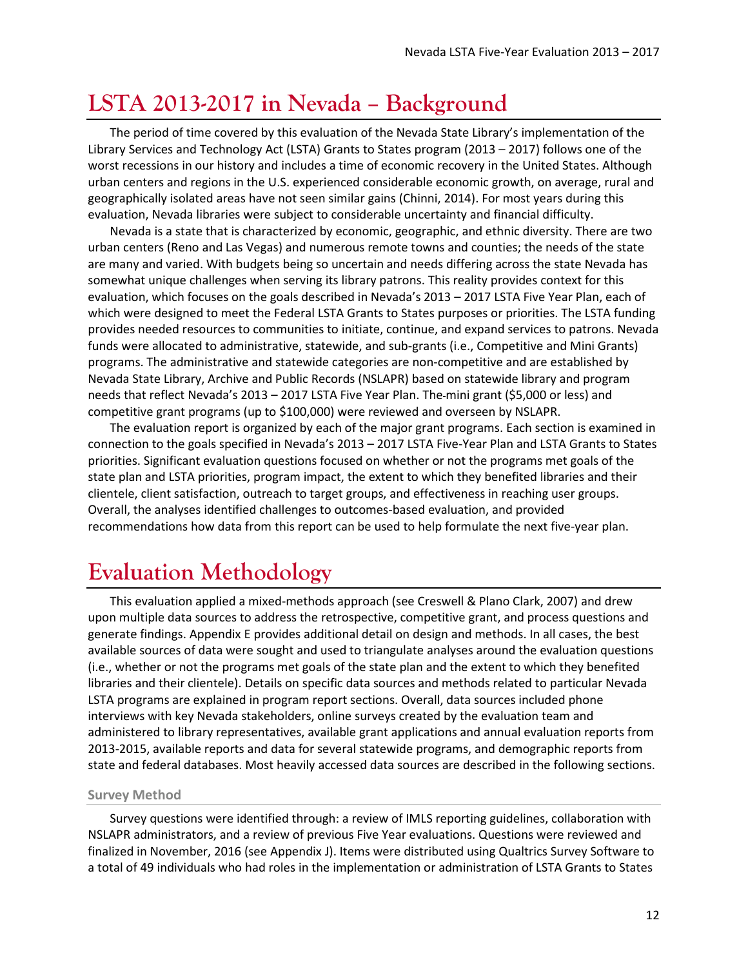## <span id="page-11-0"></span>**LSTA 2013-2017 in Nevada – Background**

The period of time covered by this evaluation of the Nevada State Library's implementation of the Library Services and Technology Act (LSTA) Grants to States program (2013 – 2017) follows one of the worst recessions in our history and includes a time of economic recovery in the United States. Although urban centers and regions in the U.S. experienced considerable economic growth, on average, rural and geographically isolated areas have not seen similar gains (Chinni, 2014). For most years during this evaluation, Nevada libraries were subject to considerable uncertainty and financial difficulty.

Nevada is a state that is characterized by economic, geographic, and ethnic diversity. There are two urban centers (Reno and Las Vegas) and numerous remote towns and counties; the needs of the state are many and varied. With budgets being so uncertain and needs differing across the state Nevada has somewhat unique challenges when serving its library patrons. This reality provides context for this evaluation, which focuses on the goals described in Nevada's 2013 – 2017 LSTA Five Year Plan, each of which were designed to meet the Federal LSTA Grants to States purposes or priorities. The LSTA funding provides needed resources to communities to initiate, continue, and expand services to patrons. Nevada funds were allocated to administrative, statewide, and sub-grants (i.e., Competitive and Mini Grants) programs. The administrative and statewide categories are non-competitive and are established by Nevada State Library, Archive and Public Records (NSLAPR) based on statewide library and program needs that reflect Nevada's 2013 – 2017 LSTA Five Year Plan. The mini grant (\$5,000 or less) and competitive grant programs (up to \$100,000) were reviewed and overseen by NSLAPR.

The evaluation report is organized by each of the major grant programs. Each section is examined in connection to the goals specified in Nevada's 2013 – 2017 LSTA Five-Year Plan and LSTA Grants to States priorities. Significant evaluation questions focused on whether or not the programs met goals of the state plan and LSTA priorities, program impact, the extent to which they benefited libraries and their clientele, client satisfaction, outreach to target groups, and effectiveness in reaching user groups. Overall, the analyses identified challenges to outcomes-based evaluation, and provided recommendations how data from this report can be used to help formulate the next five-year plan.

## <span id="page-11-1"></span>**Evaluation Methodology**

This evaluation applied a mixed-methods approach (see Creswell & Plano Clark, 2007) and drew upon multiple data sources to address the retrospective, competitive grant, and process questions and generate findings. Appendix E provides additional detail on design and methods. In all cases, the best available sources of data were sought and used to triangulate analyses around the evaluation questions (i.e., whether or not the programs met goals of the state plan and the extent to which they benefited libraries and their clientele). Details on specific data sources and methods related to particular Nevada LSTA programs are explained in program report sections. Overall, data sources included phone interviews with key Nevada stakeholders, online surveys created by the evaluation team and administered to library representatives, available grant applications and annual evaluation reports from 2013-2015, available reports and data for several statewide programs, and demographic reports from state and federal databases. Most heavily accessed data sources are described in the following sections.

#### **Survey Method**

Survey questions were identified through: a review of IMLS reporting guidelines, collaboration with NSLAPR administrators, and a review of previous Five Year evaluations. Questions were reviewed and finalized in November, 2016 (see [Appendix J\)](#page-54-0). Items were distributed using Qualtrics Survey Software to a total of 49 individuals who had roles in the implementation or administration of LSTA Grants to States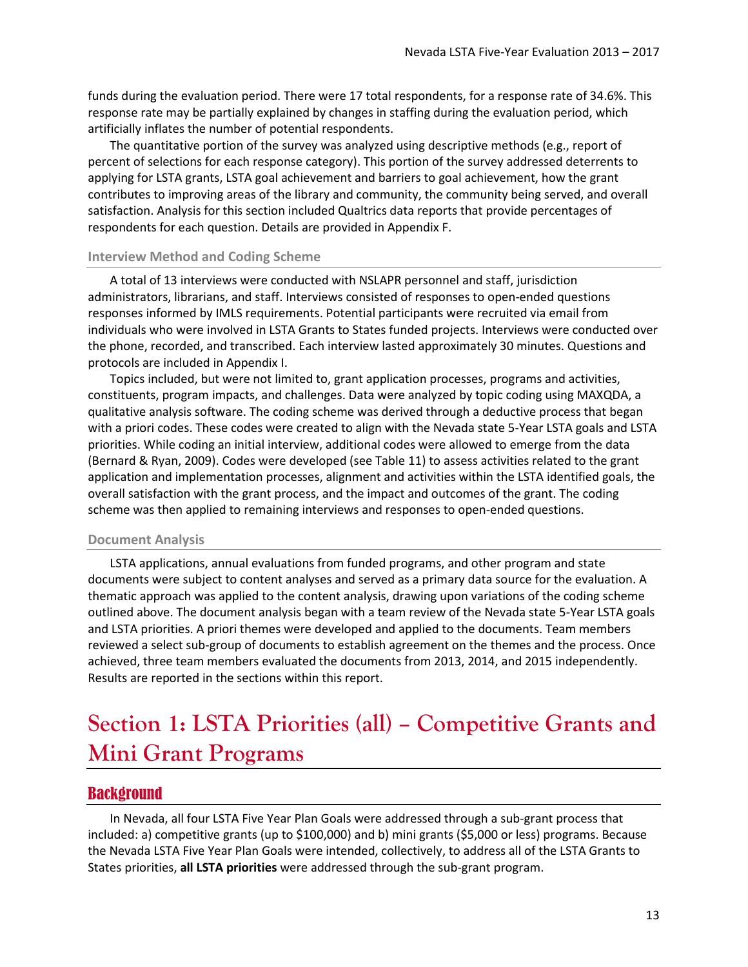funds during the evaluation period. There were 17 total respondents, for a response rate of 34.6%. This response rate may be partially explained by changes in staffing during the evaluation period, which artificially inflates the number of potential respondents.

The quantitative portion of the survey was analyzed using descriptive methods (e.g., report of percent of selections for each response category). This portion of the survey addressed deterrents to applying for LSTA grants, LSTA goal achievement and barriers to goal achievement, how the grant contributes to improving areas of the library and community, the community being served, and overall satisfaction. Analysis for this section included Qualtrics data reports that provide percentages of respondents for each question. Details are provided in [Appendix F.](#page-46-0)

#### **Interview Method and Coding Scheme**

A total of 13 interviews were conducted with NSLAPR personnel and staff, jurisdiction administrators, librarians, and staff. Interviews consisted of responses to open-ended questions responses informed by IMLS requirements. Potential participants were recruited via email from individuals who were involved in LSTA Grants to States funded projects. Interviews were conducted over the phone, recorded, and transcribed. Each interview lasted approximately 30 minutes. Questions and protocols are included in [Appendix I.](#page-53-0)

Topics included, but were not limited to, grant application processes, programs and activities, constituents, program impacts, and challenges. Data were analyzed by topic coding using MAXQDA, a qualitative analysis software. The coding scheme was derived through a deductive process that began with a priori codes. These codes were created to align with the Nevada state 5-Year LSTA goals and LSTA priorities. While coding an initial interview, additional codes were allowed to emerge from the data (Bernard & Ryan, 2009). Codes were developed (see [Table 11\)](#page-44-0) to assess activities related to the grant application and implementation processes, alignment and activities within the LSTA identified goals, the overall satisfaction with the grant process, and the impact and outcomes of the grant. The coding scheme was then applied to remaining interviews and responses to open-ended questions.

#### **Document Analysis**

LSTA applications, annual evaluations from funded programs, and other program and state documents were subject to content analyses and served as a primary data source for the evaluation. A thematic approach was applied to the content analysis, drawing upon variations of the coding scheme outlined above. The document analysis began with a team review of the Nevada state 5-Year LSTA goals and LSTA priorities. A priori themes were developed and applied to the documents. Team members reviewed a select sub-group of documents to establish agreement on the themes and the process. Once achieved, three team members evaluated the documents from 2013, 2014, and 2015 independently. Results are reported in the sections within this report.

## <span id="page-12-0"></span>**Section 1: LSTA Priorities (all) – Competitive Grants and Mini Grant Programs**

#### <span id="page-12-1"></span>**Background**

In Nevada, all four LSTA Five Year Plan Goals were addressed through a sub-grant process that included: a) competitive grants (up to \$100,000) and b) mini grants (\$5,000 or less) programs. Because the Nevada LSTA Five Year Plan Goals were intended, collectively, to address all of the LSTA Grants to States priorities, **all LSTA priorities** were addressed through the sub-grant program.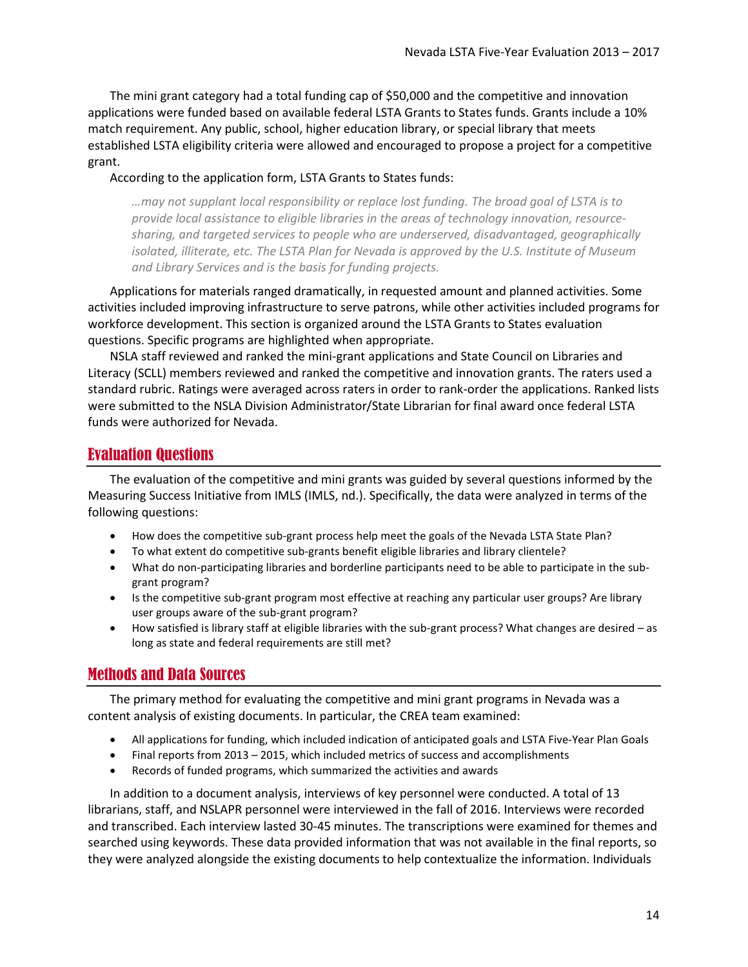The mini grant category had a total funding cap of \$50,000 and the competitive and innovation applications were funded based on available federal LSTA Grants to States funds. Grants include a 10% match requirement. Any public, school, higher education library, or special library that meets established LSTA eligibility criteria were allowed and encouraged to propose a project for a competitive grant.

According to the application form, LSTA Grants to States funds:

*…may not supplant local responsibility or replace lost funding. The broad goal of LSTA is to provide local assistance to eligible libraries in the areas of technology innovation, resourcesharing, and targeted services to people who are underserved, disadvantaged, geographically isolated, illiterate, etc. The LSTA Plan for Nevada is approved by the U.S. Institute of Museum and Library Services and is the basis for funding projects.*

Applications for materials ranged dramatically, in requested amount and planned activities. Some activities included improving infrastructure to serve patrons, while other activities included programs for workforce development. This section is organized around the LSTA Grants to States evaluation questions. Specific programs are highlighted when appropriate.

NSLA staff reviewed and ranked the mini-grant applications and State Council on Libraries and Literacy (SCLL) members reviewed and ranked the competitive and innovation grants. The raters used a standard rubric. Ratings were averaged across raters in order to rank-order the applications. Ranked lists were submitted to the NSLA Division Administrator/State Librarian for final award once federal LSTA funds were authorized for Nevada.

### <span id="page-13-0"></span>Evaluation Questions

The evaluation of the competitive and mini grants was guided by several questions informed by the Measuring Success Initiative from IMLS (IMLS, nd.). Specifically, the data were analyzed in terms of the following questions:

- How does the competitive sub-grant process help meet the goals of the Nevada LSTA State Plan?
- To what extent do competitive sub-grants benefit eligible libraries and library clientele?
- What do non-participating libraries and borderline participants need to be able to participate in the subgrant program?
- Is the competitive sub-grant program most effective at reaching any particular user groups? Are library user groups aware of the sub-grant program?
- How satisfied is library staff at eligible libraries with the sub-grant process? What changes are desired as long as state and federal requirements are still met?

## <span id="page-13-1"></span>Methods and Data Sources

The primary method for evaluating the competitive and mini grant programs in Nevada was a content analysis of existing documents. In particular, the CREA team examined:

- All applications for funding, which included indication of anticipated goals and LSTA Five-Year Plan Goals
- Final reports from 2013 2015, which included metrics of success and accomplishments
- Records of funded programs, which summarized the activities and awards

In addition to a document analysis, interviews of key personnel were conducted. A total of 13 librarians, staff, and NSLAPR personnel were interviewed in the fall of 2016. Interviews were recorded and transcribed. Each interview lasted 30-45 minutes. The transcriptions were examined for themes and searched using keywords. These data provided information that was not available in the final reports, so they were analyzed alongside the existing documents to help contextualize the information. Individuals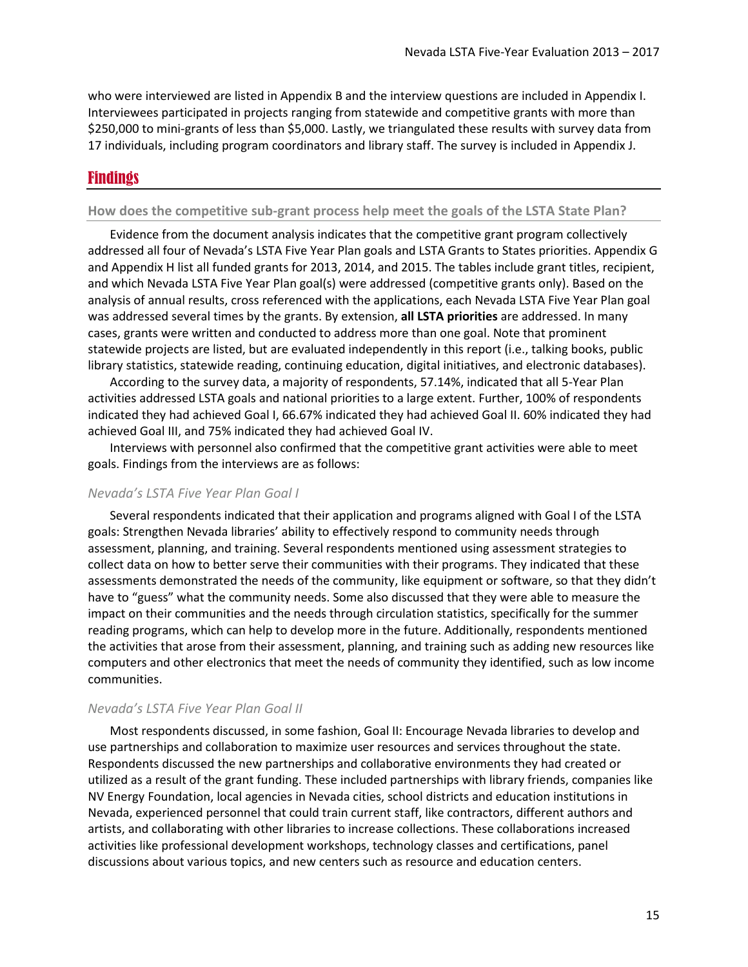who were interviewed are listed i[n Appendix B](#page-37-0) and the interview questions are included i[n Appendix I.](#page-53-0) Interviewees participated in projects ranging from statewide and competitive grants with more than \$250,000 to mini-grants of less than \$5,000. Lastly, we triangulated these results with survey data from 17 individuals, including program coordinators and library staff. The survey is included i[n Appendix J.](#page-54-0)

### <span id="page-14-0"></span>Findings

#### **How does the competitive sub-grant process help meet the goals of the LSTA State Plan?**

Evidence from the document analysis indicates that the competitive grant program collectively addressed all four of Nevada's LSTA Five Year Plan goals and LSTA Grants to States priorities[. Appendix G](#page-50-0) and [Appendix H](#page-52-0) list all funded grants for 2013, 2014, and 2015. The tables include grant titles, recipient, and which Nevada LSTA Five Year Plan goal(s) were addressed (competitive grants only). Based on the analysis of annual results, cross referenced with the applications, each Nevada LSTA Five Year Plan goal was addressed several times by the grants. By extension, **all LSTA priorities** are addressed. In many cases, grants were written and conducted to address more than one goal. Note that prominent statewide projects are listed, but are evaluated independently in this report (i.e., talking books, public library statistics, statewide reading, continuing education, digital initiatives, and electronic databases).

According to the survey data, a majority of respondents, 57.14%, indicated that all 5-Year Plan activities addressed LSTA goals and national priorities to a large extent. Further, 100% of respondents indicated they had achieved Goal I, 66.67% indicated they had achieved Goal II. 60% indicated they had achieved Goal III, and 75% indicated they had achieved Goal IV.

Interviews with personnel also confirmed that the competitive grant activities were able to meet goals. Findings from the interviews are as follows:

#### *Nevada's LSTA Five Year Plan Goal I*

Several respondents indicated that their application and programs aligned with Goal I of the LSTA goals: Strengthen Nevada libraries' ability to effectively respond to community needs through assessment, planning, and training. Several respondents mentioned using assessment strategies to collect data on how to better serve their communities with their programs. They indicated that these assessments demonstrated the needs of the community, like equipment or software, so that they didn't have to "guess" what the community needs. Some also discussed that they were able to measure the impact on their communities and the needs through circulation statistics, specifically for the summer reading programs, which can help to develop more in the future. Additionally, respondents mentioned the activities that arose from their assessment, planning, and training such as adding new resources like computers and other electronics that meet the needs of community they identified, such as low income communities.

#### *Nevada's LSTA Five Year Plan Goal II*

Most respondents discussed, in some fashion, Goal II: Encourage Nevada libraries to develop and use partnerships and collaboration to maximize user resources and services throughout the state. Respondents discussed the new partnerships and collaborative environments they had created or utilized as a result of the grant funding. These included partnerships with library friends, companies like NV Energy Foundation, local agencies in Nevada cities, school districts and education institutions in Nevada, experienced personnel that could train current staff, like contractors, different authors and artists, and collaborating with other libraries to increase collections. These collaborations increased activities like professional development workshops, technology classes and certifications, panel discussions about various topics, and new centers such as resource and education centers.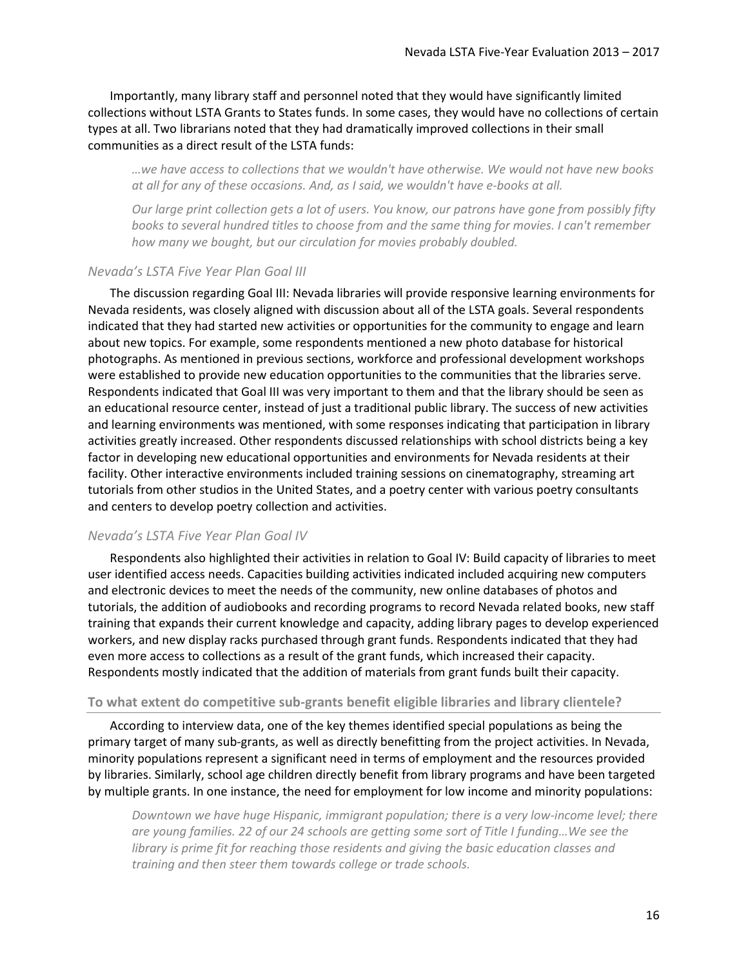Importantly, many library staff and personnel noted that they would have significantly limited collections without LSTA Grants to States funds. In some cases, they would have no collections of certain types at all. Two librarians noted that they had dramatically improved collections in their small communities as a direct result of the LSTA funds:

*…we have access to collections that we wouldn't have otherwise. We would not have new books at all for any of these occasions. And, as I said, we wouldn't have e-books at all.*

*Our large print collection gets a lot of users. You know, our patrons have gone from possibly fifty books to several hundred titles to choose from and the same thing for movies. I can't remember how many we bought, but our circulation for movies probably doubled.*

#### *Nevada's LSTA Five Year Plan Goal III*

The discussion regarding Goal III: Nevada libraries will provide responsive learning environments for Nevada residents, was closely aligned with discussion about all of the LSTA goals. Several respondents indicated that they had started new activities or opportunities for the community to engage and learn about new topics. For example, some respondents mentioned a new photo database for historical photographs. As mentioned in previous sections, workforce and professional development workshops were established to provide new education opportunities to the communities that the libraries serve. Respondents indicated that Goal III was very important to them and that the library should be seen as an educational resource center, instead of just a traditional public library. The success of new activities and learning environments was mentioned, with some responses indicating that participation in library activities greatly increased. Other respondents discussed relationships with school districts being a key factor in developing new educational opportunities and environments for Nevada residents at their facility. Other interactive environments included training sessions on cinematography, streaming art tutorials from other studios in the United States, and a poetry center with various poetry consultants and centers to develop poetry collection and activities.

#### *Nevada's LSTA Five Year Plan Goal IV*

Respondents also highlighted their activities in relation to Goal IV: Build capacity of libraries to meet user identified access needs. Capacities building activities indicated included acquiring new computers and electronic devices to meet the needs of the community, new online databases of photos and tutorials, the addition of audiobooks and recording programs to record Nevada related books, new staff training that expands their current knowledge and capacity, adding library pages to develop experienced workers, and new display racks purchased through grant funds. Respondents indicated that they had even more access to collections as a result of the grant funds, which increased their capacity. Respondents mostly indicated that the addition of materials from grant funds built their capacity.

#### **To what extent do competitive sub-grants benefit eligible libraries and library clientele?**

According to interview data, one of the key themes identified special populations as being the primary target of many sub-grants, as well as directly benefitting from the project activities. In Nevada, minority populations represent a significant need in terms of employment and the resources provided by libraries. Similarly, school age children directly benefit from library programs and have been targeted by multiple grants. In one instance, the need for employment for low income and minority populations:

*Downtown we have huge Hispanic, immigrant population; there is a very low-income level; there are young families. 22 of our 24 schools are getting some sort of Title I funding…We see the library is prime fit for reaching those residents and giving the basic education classes and training and then steer them towards college or trade schools.*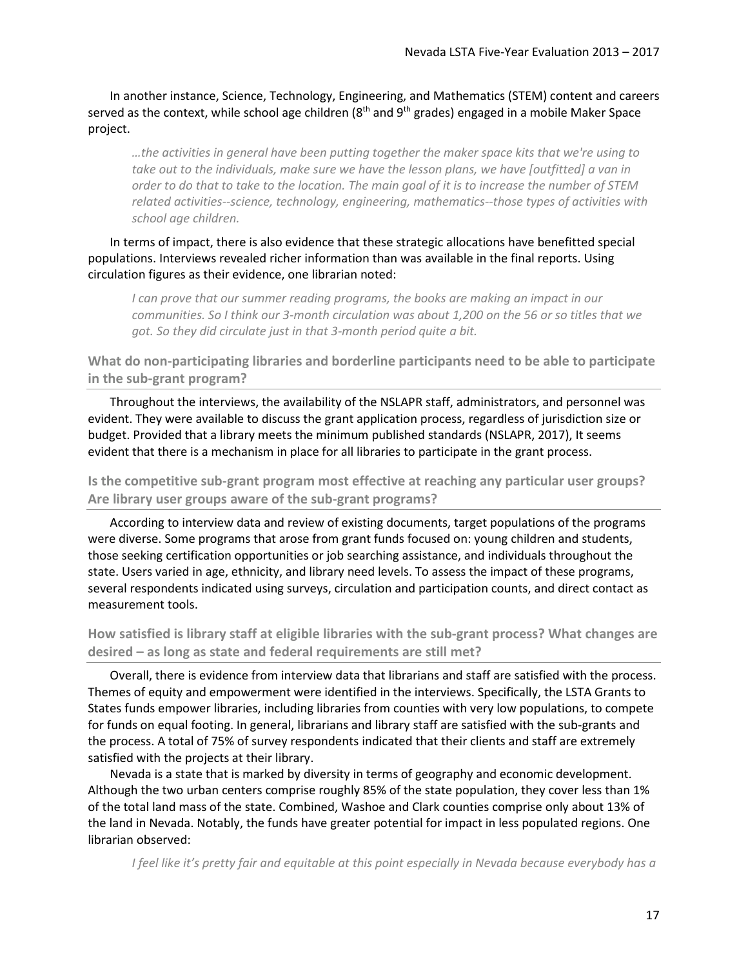In another instance, Science, Technology, Engineering, and Mathematics (STEM) content and careers served as the context, while school age children ( $8<sup>th</sup>$  and  $9<sup>th</sup>$  grades) engaged in a mobile Maker Space project.

*…the activities in general have been putting together the maker space kits that we're using to take out to the individuals, make sure we have the lesson plans, we have [outfitted] a van in order to do that to take to the location. The main goal of it is to increase the number of STEM related activities--science, technology, engineering, mathematics--those types of activities with school age children.*

In terms of impact, there is also evidence that these strategic allocations have benefitted special populations. Interviews revealed richer information than was available in the final reports. Using circulation figures as their evidence, one librarian noted:

*I* can prove that our summer reading programs, the books are making an impact in our *communities. So I think our 3-month circulation was about 1,200 on the 56 or so titles that we got. So they did circulate just in that 3-month period quite a bit.*

**What do non-participating libraries and borderline participants need to be able to participate in the sub-grant program?**

Throughout the interviews, the availability of the NSLAPR staff, administrators, and personnel was evident. They were available to discuss the grant application process, regardless of jurisdiction size or budget. Provided that a library meets the minimum published standards (NSLAPR, 2017), It seems evident that there is a mechanism in place for all libraries to participate in the grant process.

**Is the competitive sub-grant program most effective at reaching any particular user groups? Are library user groups aware of the sub-grant programs?**

According to interview data and review of existing documents, target populations of the programs were diverse. Some programs that arose from grant funds focused on: young children and students, those seeking certification opportunities or job searching assistance, and individuals throughout the state. Users varied in age, ethnicity, and library need levels. To assess the impact of these programs, several respondents indicated using surveys, circulation and participation counts, and direct contact as measurement tools.

**How satisfied is library staff at eligible libraries with the sub-grant process? What changes are desired – as long as state and federal requirements are still met?**

Overall, there is evidence from interview data that librarians and staff are satisfied with the process. Themes of equity and empowerment were identified in the interviews. Specifically, the LSTA Grants to States funds empower libraries, including libraries from counties with very low populations, to compete for funds on equal footing. In general, librarians and library staff are satisfied with the sub-grants and the process. A total of 75% of survey respondents indicated that their clients and staff are extremely satisfied with the projects at their library.

Nevada is a state that is marked by diversity in terms of geography and economic development. Although the two urban centers comprise roughly 85% of the state population, they cover less than 1% of the total land mass of the state. Combined, Washoe and Clark counties comprise only about 13% of the land in Nevada. Notably, the funds have greater potential for impact in less populated regions. One librarian observed:

*I feel like it's pretty fair and equitable at this point especially in Nevada because everybody has a*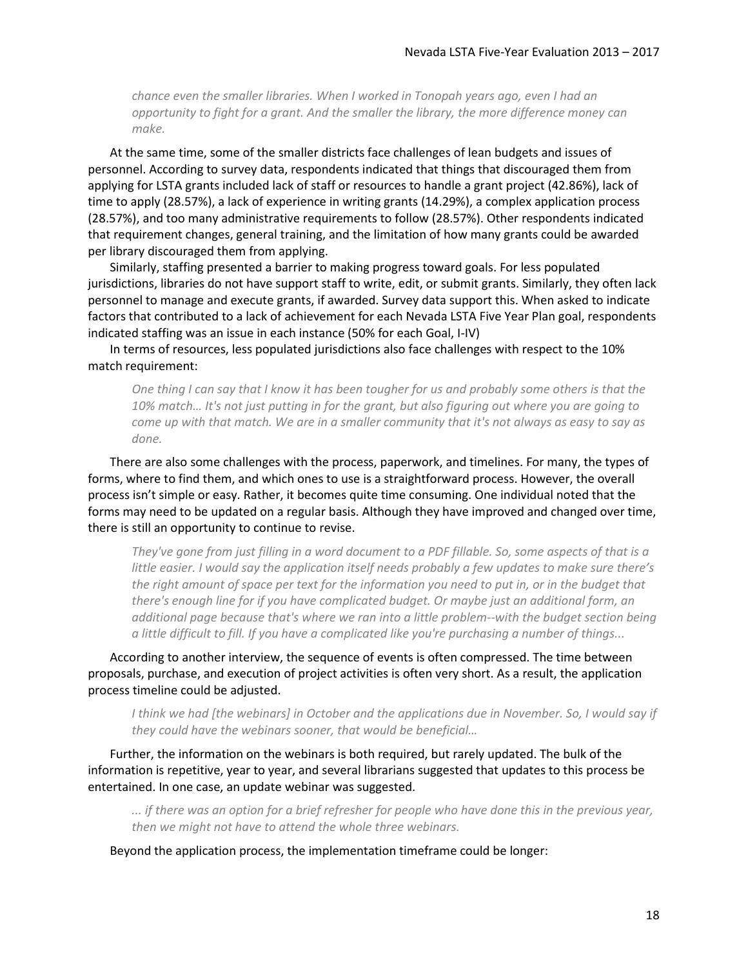*chance even the smaller libraries. When I worked in Tonopah years ago, even I had an opportunity to fight for a grant. And the smaller the library, the more difference money can make.*

At the same time, some of the smaller districts face challenges of lean budgets and issues of personnel. According to survey data, respondents indicated that things that discouraged them from applying for LSTA grants included lack of staff or resources to handle a grant project (42.86%), lack of time to apply (28.57%), a lack of experience in writing grants (14.29%), a complex application process (28.57%), and too many administrative requirements to follow (28.57%). Other respondents indicated that requirement changes, general training, and the limitation of how many grants could be awarded per library discouraged them from applying.

Similarly, staffing presented a barrier to making progress toward goals. For less populated jurisdictions, libraries do not have support staff to write, edit, or submit grants. Similarly, they often lack personnel to manage and execute grants, if awarded. Survey data support this. When asked to indicate factors that contributed to a lack of achievement for each Nevada LSTA Five Year Plan goal, respondents indicated staffing was an issue in each instance (50% for each Goal, I-IV)

In terms of resources, less populated jurisdictions also face challenges with respect to the 10% match requirement:

*One thing I can say that I know it has been tougher for us and probably some others is that the 10% match… It's not just putting in for the grant, but also figuring out where you are going to come up with that match. We are in a smaller community that it's not always as easy to say as done.*

There are also some challenges with the process, paperwork, and timelines. For many, the types of forms, where to find them, and which ones to use is a straightforward process. However, the overall process isn't simple or easy. Rather, it becomes quite time consuming. One individual noted that the forms may need to be updated on a regular basis. Although they have improved and changed over time, there is still an opportunity to continue to revise.

*They've gone from just filling in a word document to a PDF fillable. So, some aspects of that is a little easier. I would say the application itself needs probably a few updates to make sure there's the right amount of space per text for the information you need to put in, or in the budget that there's enough line for if you have complicated budget. Or maybe just an additional form, an additional page because that's where we ran into a little problem--with the budget section being a little difficult to fill. If you have a complicated like you're purchasing a number of things...*

According to another interview, the sequence of events is often compressed. The time between proposals, purchase, and execution of project activities is often very short. As a result, the application process timeline could be adjusted.

*I think we had [the webinars] in October and the applications due in November. So, I would say if they could have the webinars sooner, that would be beneficial…*

Further, the information on the webinars is both required, but rarely updated. The bulk of the information is repetitive, year to year, and several librarians suggested that updates to this process be entertained. In one case, an update webinar was suggested.

*... if there was an option for a brief refresher for people who have done this in the previous year, then we might not have to attend the whole three webinars.*

Beyond the application process, the implementation timeframe could be longer: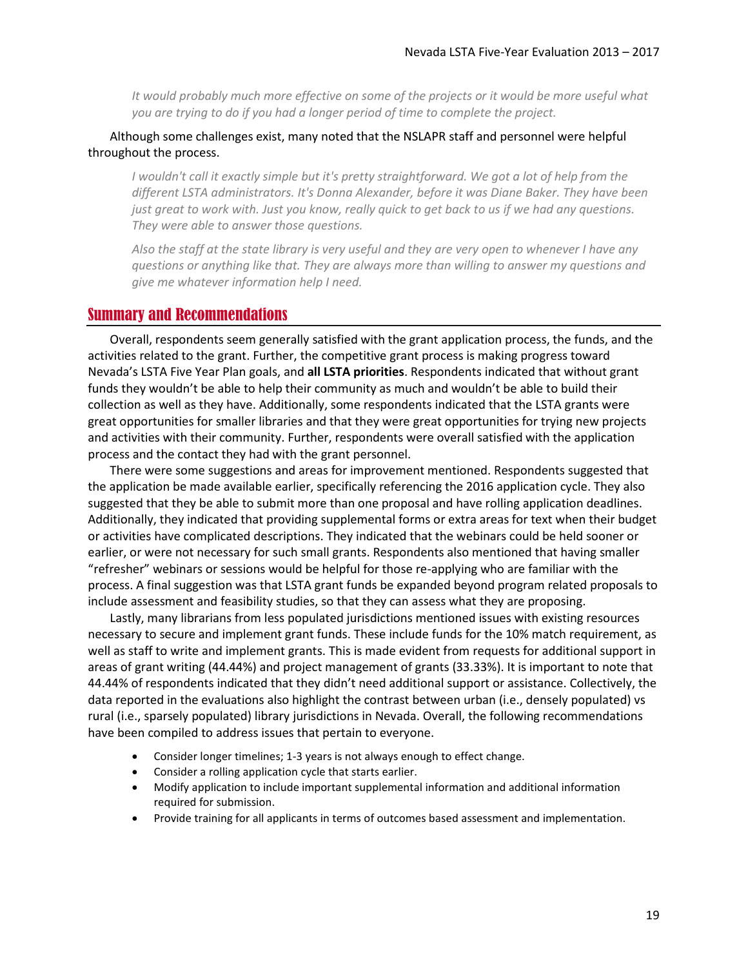*It would probably much more effective on some of the projects or it would be more useful what you are trying to do if you had a longer period of time to complete the project.*

### Although some challenges exist, many noted that the NSLAPR staff and personnel were helpful throughout the process.

*I wouldn't call it exactly simple but it's pretty straightforward. We got a lot of help from the different LSTA administrators. It's Donna Alexander, before it was Diane Baker. They have been just great to work with. Just you know, really quick to get back to us if we had any questions. They were able to answer those questions.*

*Also the staff at the state library is very useful and they are very open to whenever I have any questions or anything like that. They are always more than willing to answer my questions and give me whatever information help I need.*

### <span id="page-18-0"></span>Summary and Recommendations

Overall, respondents seem generally satisfied with the grant application process, the funds, and the activities related to the grant. Further, the competitive grant process is making progress toward Nevada's LSTA Five Year Plan goals, and **all LSTA priorities**. Respondents indicated that without grant funds they wouldn't be able to help their community as much and wouldn't be able to build their collection as well as they have. Additionally, some respondents indicated that the LSTA grants were great opportunities for smaller libraries and that they were great opportunities for trying new projects and activities with their community. Further, respondents were overall satisfied with the application process and the contact they had with the grant personnel.

There were some suggestions and areas for improvement mentioned. Respondents suggested that the application be made available earlier, specifically referencing the 2016 application cycle. They also suggested that they be able to submit more than one proposal and have rolling application deadlines. Additionally, they indicated that providing supplemental forms or extra areas for text when their budget or activities have complicated descriptions. They indicated that the webinars could be held sooner or earlier, or were not necessary for such small grants. Respondents also mentioned that having smaller "refresher" webinars or sessions would be helpful for those re-applying who are familiar with the process. A final suggestion was that LSTA grant funds be expanded beyond program related proposals to include assessment and feasibility studies, so that they can assess what they are proposing.

Lastly, many librarians from less populated jurisdictions mentioned issues with existing resources necessary to secure and implement grant funds. These include funds for the 10% match requirement, as well as staff to write and implement grants. This is made evident from requests for additional support in areas of grant writing (44.44%) and project management of grants (33.33%). It is important to note that 44.44% of respondents indicated that they didn't need additional support or assistance. Collectively, the data reported in the evaluations also highlight the contrast between urban (i.e., densely populated) vs rural (i.e., sparsely populated) library jurisdictions in Nevada. Overall, the following recommendations have been compiled to address issues that pertain to everyone.

- Consider longer timelines; 1-3 years is not always enough to effect change.
- Consider a rolling application cycle that starts earlier.
- Modify application to include important supplemental information and additional information required for submission.
- Provide training for all applicants in terms of outcomes based assessment and implementation.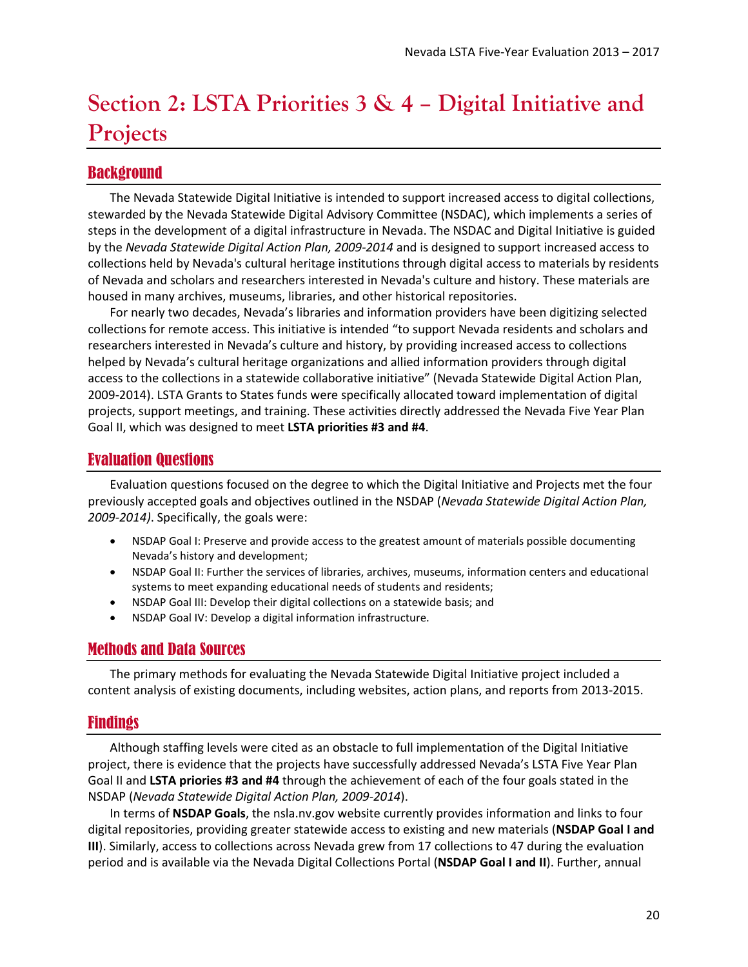# <span id="page-19-0"></span>**Section 2: LSTA Priorities 3 & 4 – Digital Initiative and Projects**

## <span id="page-19-1"></span>Background

The Nevada Statewide Digital Initiative is intended to support increased access to digital collections, stewarded by the Nevada Statewide Digital Advisory Committee (NSDAC), which implements a series of steps in the development of a digital infrastructure in Nevada. The NSDAC and Digital Initiative is guided by the *Nevada Statewide Digital Action Plan, 2009-2014* and is designed to support increased access to collections held by Nevada's cultural heritage institutions through digital access to materials by residents of Nevada and scholars and researchers interested in Nevada's culture and history. These materials are housed in many archives, museums, libraries, and other historical repositories.

For nearly two decades, Nevada's libraries and information providers have been digitizing selected collections for remote access. This initiative is intended "to support Nevada residents and scholars and researchers interested in Nevada's culture and history, by providing increased access to collections helped by Nevada's cultural heritage organizations and allied information providers through digital access to the collections in a statewide collaborative initiative" (Nevada Statewide Digital Action Plan, 2009-2014). LSTA Grants to States funds were specifically allocated toward implementation of digital projects, support meetings, and training. These activities directly addressed the Nevada Five Year Plan Goal II, which was designed to meet **LSTA priorities #3 and #4**.

## <span id="page-19-2"></span>Evaluation Questions

Evaluation questions focused on the degree to which the Digital Initiative and Projects met the four previously accepted goals and objectives outlined in the NSDAP (*Nevada Statewide Digital Action Plan, 2009-2014)*. Specifically, the goals were:

- NSDAP Goal I: Preserve and provide access to the greatest amount of materials possible documenting Nevada's history and development;
- NSDAP Goal II: Further the services of libraries, archives, museums, information centers and educational systems to meet expanding educational needs of students and residents;
- NSDAP Goal III: Develop their digital collections on a statewide basis; and
- NSDAP Goal IV: Develop a digital information infrastructure.

## <span id="page-19-3"></span>Methods and Data Sources

The primary methods for evaluating the Nevada Statewide Digital Initiative project included a content analysis of existing documents, including websites, action plans, and reports from 2013-2015.

## <span id="page-19-4"></span>Findings

Although staffing levels were cited as an obstacle to full implementation of the Digital Initiative project, there is evidence that the projects have successfully addressed Nevada's LSTA Five Year Plan Goal II and **LSTA priories #3 and #4** through the achievement of each of the four goals stated in the NSDAP (*Nevada Statewide Digital Action Plan, 2009-2014*).

In terms of **NSDAP Goals**, the nsla.nv.gov website currently provides information and links to four digital repositories, providing greater statewide access to existing and new materials (**NSDAP Goal I and III**). Similarly, access to collections across Nevada grew from 17 collections to 47 during the evaluation period and is available via the Nevada Digital Collections Portal (**NSDAP Goal I and II**). Further, annual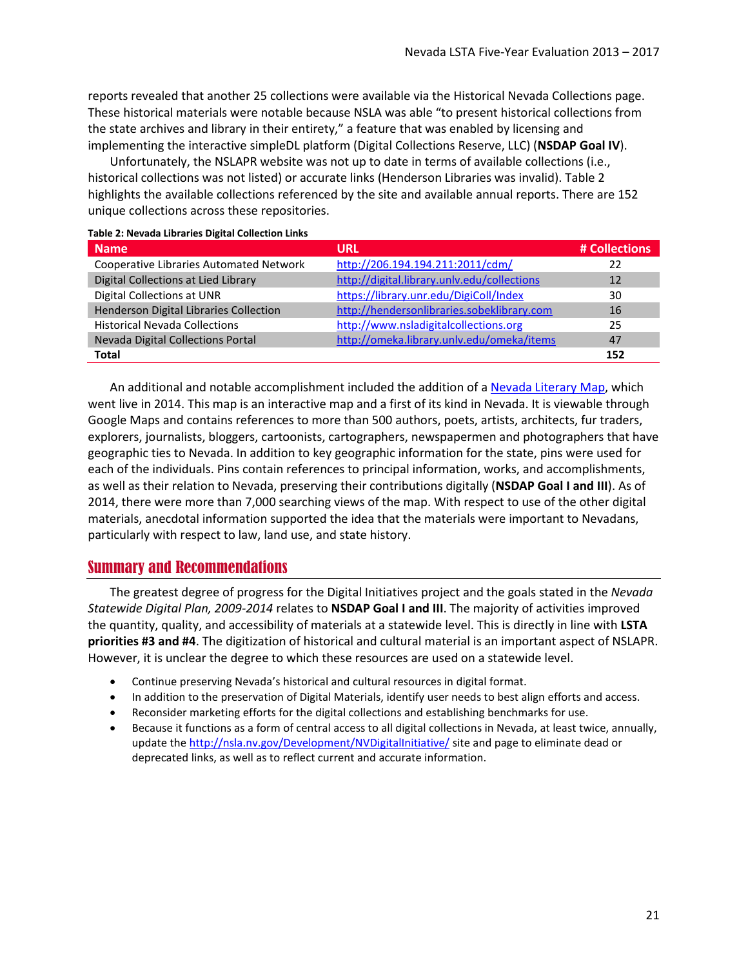reports revealed that another 25 collections were available via the Historical Nevada Collections page. These historical materials were notable because NSLA was able "to present historical collections from the state archives and library in their entirety," a feature that was enabled by licensing and implementing the interactive simpleDL platform (Digital Collections Reserve, LLC) (**NSDAP Goal IV**).

Unfortunately, the NSLAPR website was not up to date in terms of available collections (i.e., historical collections was not listed) or accurate links (Henderson Libraries was invalid)[. Table 2](#page-20-1) highlights the available collections referenced by the site and available annual reports. There are 152 unique collections across these repositories.

<span id="page-20-1"></span>

| <b>Table 2: Nevada Libraries Digital Collection Links</b> |                                             |               |
|-----------------------------------------------------------|---------------------------------------------|---------------|
| <b>Name</b>                                               | <b>URL</b>                                  | # Collections |
| <b>Cooperative Libraries Automated Network</b>            | http://206.194.194.211:2011/cdm/            | 22            |
| Digital Collections at Lied Library                       | http://digital.library.unlv.edu/collections | 12            |
| Digital Collections at UNR                                | https://library.unr.edu/DigiColl/Index      | 30            |
| Henderson Digital Libraries Collection                    | http://hendersonlibraries.sobeklibrary.com  | 16            |
| <b>Historical Nevada Collections</b>                      | http://www.nsladigitalcollections.org       | 25            |
| Nevada Digital Collections Portal                         | http://omeka.library.unlv.edu/omeka/items   | 47            |
| <b>Total</b>                                              |                                             | 152           |

An additional and notable accomplishment included the addition of [a Nevada Literary Map,](https://www.google.com/maps/d/u/0/viewer?mid=1nC5qIdTWprV_leBES7GTYYeQvtY&hl=en&ll=38.56534796740417%2C-116.96319549999998&z=6) which went live in 2014. This map is an interactive map and a first of its kind in Nevada. It is viewable through Google Maps and contains references to more than 500 authors, poets, artists, architects, fur traders, explorers, journalists, bloggers, cartoonists, cartographers, newspapermen and photographers that have geographic ties to Nevada. In addition to key geographic information for the state, pins were used for each of the individuals. Pins contain references to principal information, works, and accomplishments, as well as their relation to Nevada, preserving their contributions digitally (**NSDAP Goal I and III**). As of 2014, there were more than 7,000 searching views of the map. With respect to use of the other digital materials, anecdotal information supported the idea that the materials were important to Nevadans, particularly with respect to law, land use, and state history.

## <span id="page-20-0"></span>Summary and Recommendations

The greatest degree of progress for the Digital Initiatives project and the goals stated in the *Nevada Statewide Digital Plan, 2009-2014* relates to **NSDAP Goal I and III**. The majority of activities improved the quantity, quality, and accessibility of materials at a statewide level. This is directly in line with **LSTA priorities #3 and #4**. The digitization of historical and cultural material is an important aspect of NSLAPR. However, it is unclear the degree to which these resources are used on a statewide level.

- Continue preserving Nevada's historical and cultural resources in digital format.
- In addition to the preservation of Digital Materials, identify user needs to best align efforts and access.
- Reconsider marketing efforts for the digital collections and establishing benchmarks for use.
- Because it functions as a form of central access to all digital collections in Nevada, at least twice, annually, update the<http://nsla.nv.gov/Development/NVDigitalInitiative/> site and page to eliminate dead or deprecated links, as well as to reflect current and accurate information.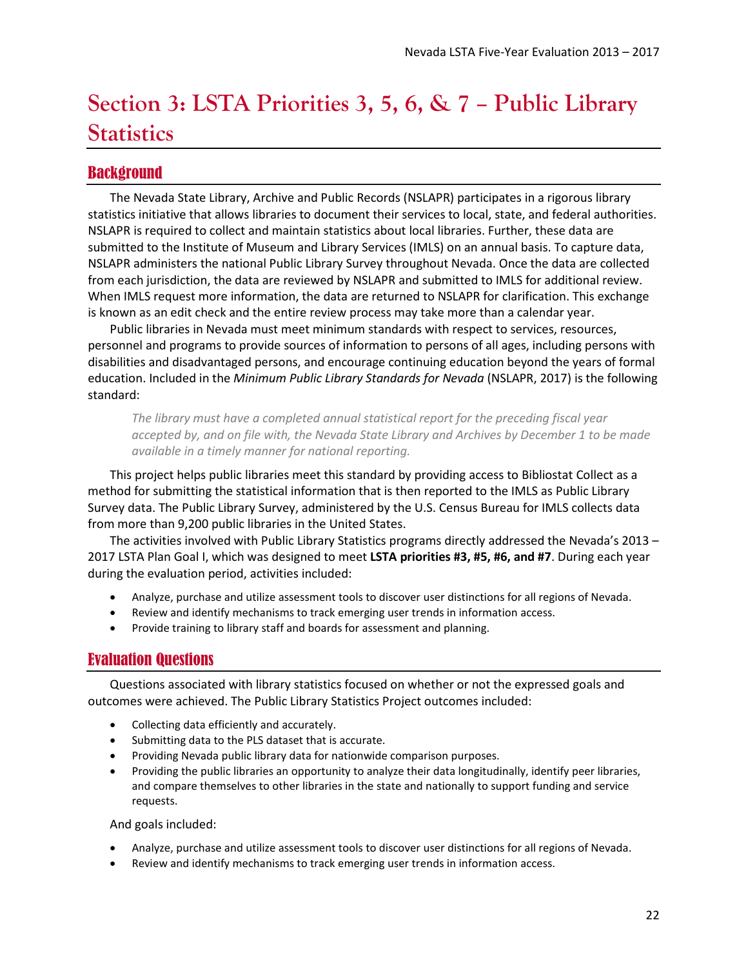# <span id="page-21-0"></span>**Section 3: LSTA Priorities 3, 5, 6, & 7 – Public Library Statistics**

## <span id="page-21-1"></span>Background

The Nevada State Library, Archive and Public Records (NSLAPR) participates in a rigorous library statistics initiative that allows libraries to document their services to local, state, and federal authorities. NSLAPR is required to collect and maintain statistics about local libraries. Further, these data are submitted to the Institute of Museum and Library Services (IMLS) on an annual basis. To capture data, NSLAPR administers the national Public Library Survey throughout Nevada. Once the data are collected from each jurisdiction, the data are reviewed by NSLAPR and submitted to IMLS for additional review. When IMLS request more information, the data are returned to NSLAPR for clarification. This exchange is known as an edit check and the entire review process may take more than a calendar year.

Public libraries in Nevada must meet minimum standards with respect to services, resources, personnel and programs to provide sources of information to persons of all ages, including persons with disabilities and disadvantaged persons, and encourage continuing education beyond the years of formal education. Included in the *Minimum Public Library Standards for Nevada* (NSLAPR, 2017) is the following standard:

*The library must have a completed annual statistical report for the preceding fiscal year accepted by, and on file with, the Nevada State Library and Archives by December 1 to be made available in a timely manner for national reporting.*

This project helps public libraries meet this standard by providing access to Bibliostat Collect as a method for submitting the statistical information that is then reported to the IMLS as Public Library Survey data. The Public Library Survey, administered by the U.S. Census Bureau for IMLS collects data from more than 9,200 public libraries in the United States.

The activities involved with Public Library Statistics programs directly addressed the Nevada's 2013 – 2017 LSTA Plan Goal I, which was designed to meet **LSTA priorities #3, #5, #6, and #7**. During each year during the evaluation period, activities included:

- Analyze, purchase and utilize assessment tools to discover user distinctions for all regions of Nevada.
- Review and identify mechanisms to track emerging user trends in information access.
- Provide training to library staff and boards for assessment and planning.

## <span id="page-21-2"></span>Evaluation Questions

Questions associated with library statistics focused on whether or not the expressed goals and outcomes were achieved. The Public Library Statistics Project outcomes included:

- Collecting data efficiently and accurately.
- Submitting data to the PLS dataset that is accurate.
- Providing Nevada public library data for nationwide comparison purposes.
- Providing the public libraries an opportunity to analyze their data longitudinally, identify peer libraries, and compare themselves to other libraries in the state and nationally to support funding and service requests.

#### And goals included:

- Analyze, purchase and utilize assessment tools to discover user distinctions for all regions of Nevada.
- Review and identify mechanisms to track emerging user trends in information access.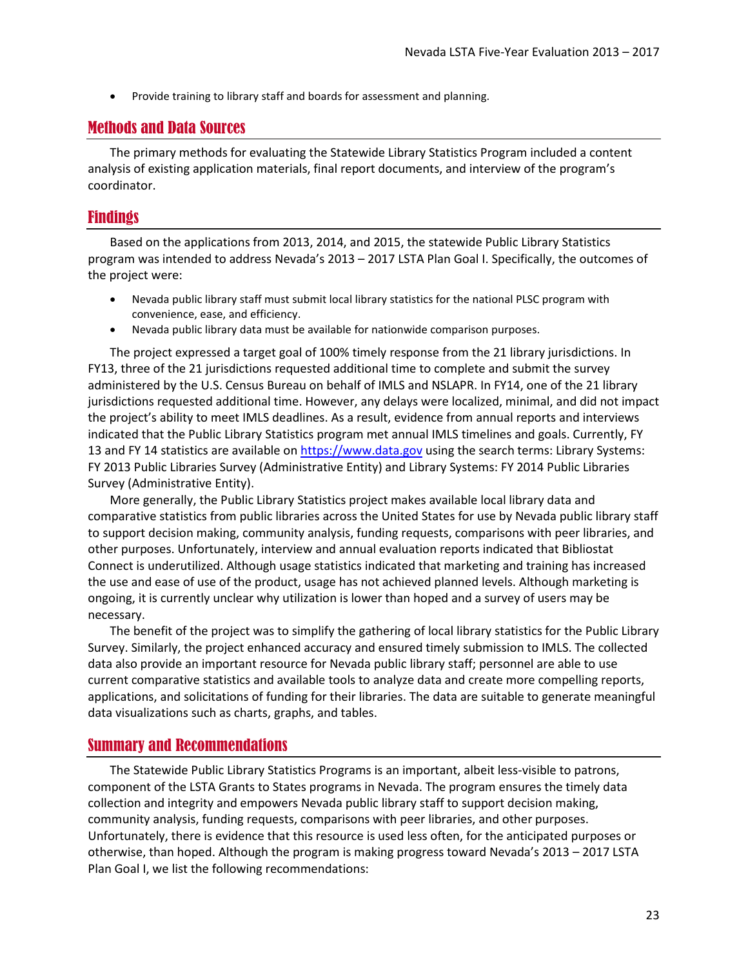• Provide training to library staff and boards for assessment and planning.

## <span id="page-22-0"></span>Methods and Data Sources

The primary methods for evaluating the Statewide Library Statistics Program included a content analysis of existing application materials, final report documents, and interview of the program's coordinator.

## <span id="page-22-1"></span>Findings

Based on the applications from 2013, 2014, and 2015, the statewide Public Library Statistics program was intended to address Nevada's 2013 – 2017 LSTA Plan Goal I. Specifically, the outcomes of the project were:

- Nevada public library staff must submit local library statistics for the national PLSC program with convenience, ease, and efficiency.
- Nevada public library data must be available for nationwide comparison purposes.

The project expressed a target goal of 100% timely response from the 21 library jurisdictions. In FY13, three of the 21 jurisdictions requested additional time to complete and submit the survey administered by the U.S. Census Bureau on behalf of IMLS and NSLAPR. In FY14, one of the 21 library jurisdictions requested additional time. However, any delays were localized, minimal, and did not impact the project's ability to meet IMLS deadlines. As a result, evidence from annual reports and interviews indicated that the Public Library Statistics program met annual IMLS timelines and goals. Currently, FY 13 and FY 14 statistics are available on [https://www.data.gov](https://www.data.gov/) using the search terms: Library Systems: FY 2013 Public Libraries Survey (Administrative Entity) and Library Systems: FY 2014 Public Libraries Survey (Administrative Entity).

More generally, the Public Library Statistics project makes available local library data and comparative statistics from public libraries across the United States for use by Nevada public library staff to support decision making, community analysis, funding requests, comparisons with peer libraries, and other purposes. Unfortunately, interview and annual evaluation reports indicated that Bibliostat Connect is underutilized. Although usage statistics indicated that marketing and training has increased the use and ease of use of the product, usage has not achieved planned levels. Although marketing is ongoing, it is currently unclear why utilization is lower than hoped and a survey of users may be necessary.

The benefit of the project was to simplify the gathering of local library statistics for the Public Library Survey. Similarly, the project enhanced accuracy and ensured timely submission to IMLS. The collected data also provide an important resource for Nevada public library staff; personnel are able to use current comparative statistics and available tools to analyze data and create more compelling reports, applications, and solicitations of funding for their libraries. The data are suitable to generate meaningful data visualizations such as charts, graphs, and tables.

## <span id="page-22-2"></span>Summary and Recommendations

The Statewide Public Library Statistics Programs is an important, albeit less-visible to patrons, component of the LSTA Grants to States programs in Nevada. The program ensures the timely data collection and integrity and empowers Nevada public library staff to support decision making, community analysis, funding requests, comparisons with peer libraries, and other purposes. Unfortunately, there is evidence that this resource is used less often, for the anticipated purposes or otherwise, than hoped. Although the program is making progress toward Nevada's 2013 – 2017 LSTA Plan Goal I, we list the following recommendations: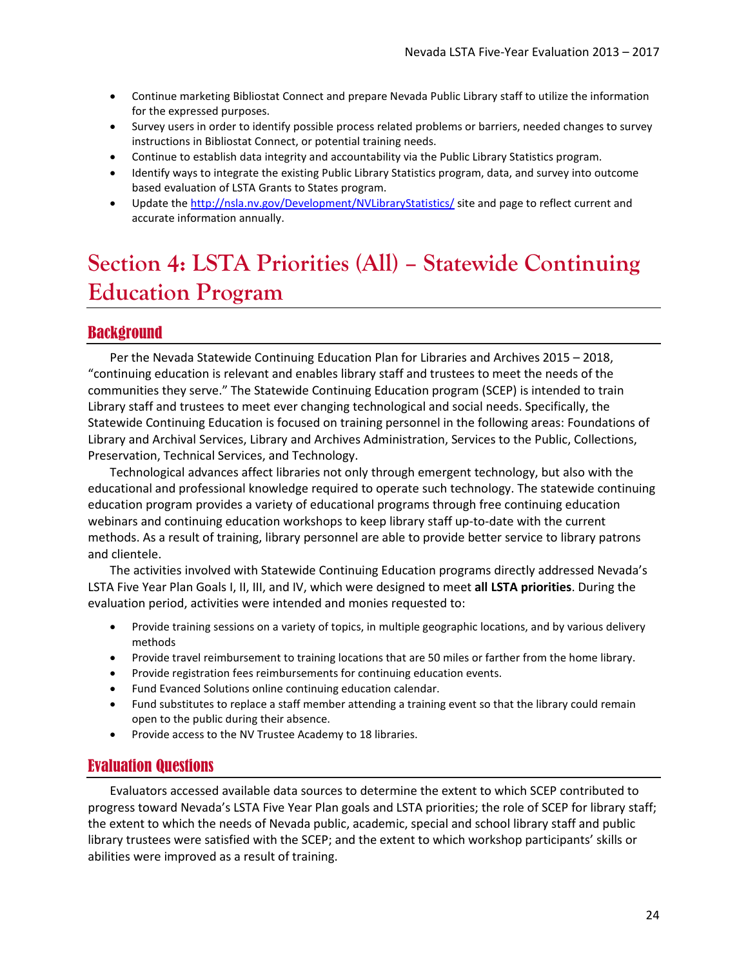- Continue marketing Bibliostat Connect and prepare Nevada Public Library staff to utilize the information for the expressed purposes.
- Survey users in order to identify possible process related problems or barriers, needed changes to survey instructions in Bibliostat Connect, or potential training needs.
- Continue to establish data integrity and accountability via the Public Library Statistics program.
- Identify ways to integrate the existing Public Library Statistics program, data, and survey into outcome based evaluation of LSTA Grants to States program.
- Update the<http://nsla.nv.gov/Development/NVLibraryStatistics/> site and page to reflect current and accurate information annually.

# <span id="page-23-0"></span>**Section 4: LSTA Priorities (All) – Statewide Continuing Education Program**

## <span id="page-23-1"></span>Background

Per the Nevada Statewide Continuing Education Plan for Libraries and Archives 2015 – 2018, "continuing education is relevant and enables library staff and trustees to meet the needs of the communities they serve." The Statewide Continuing Education program (SCEP) is intended to train Library staff and trustees to meet ever changing technological and social needs. Specifically, the Statewide Continuing Education is focused on training personnel in the following areas: Foundations of Library and Archival Services, Library and Archives Administration, Services to the Public, Collections, Preservation, Technical Services, and Technology.

Technological advances affect libraries not only through emergent technology, but also with the educational and professional knowledge required to operate such technology. The statewide continuing education program provides a variety of educational programs through free continuing education webinars and continuing education workshops to keep library staff up-to-date with the current methods. As a result of training, library personnel are able to provide better service to library patrons and clientele.

The activities involved with Statewide Continuing Education programs directly addressed Nevada's LSTA Five Year Plan Goals I, II, III, and IV, which were designed to meet **all LSTA priorities**. During the evaluation period, activities were intended and monies requested to:

- Provide training sessions on a variety of topics, in multiple geographic locations, and by various delivery methods
- Provide travel reimbursement to training locations that are 50 miles or farther from the home library.
- Provide registration fees reimbursements for continuing education events.
- Fund Evanced Solutions online continuing education calendar.
- Fund substitutes to replace a staff member attending a training event so that the library could remain open to the public during their absence.
- Provide access to the NV Trustee Academy to 18 libraries.

## <span id="page-23-2"></span>Evaluation Questions

Evaluators accessed available data sources to determine the extent to which SCEP contributed to progress toward Nevada's LSTA Five Year Plan goals and LSTA priorities; the role of SCEP for library staff; the extent to which the needs of Nevada public, academic, special and school library staff and public library trustees were satisfied with the SCEP; and the extent to which workshop participants' skills or abilities were improved as a result of training.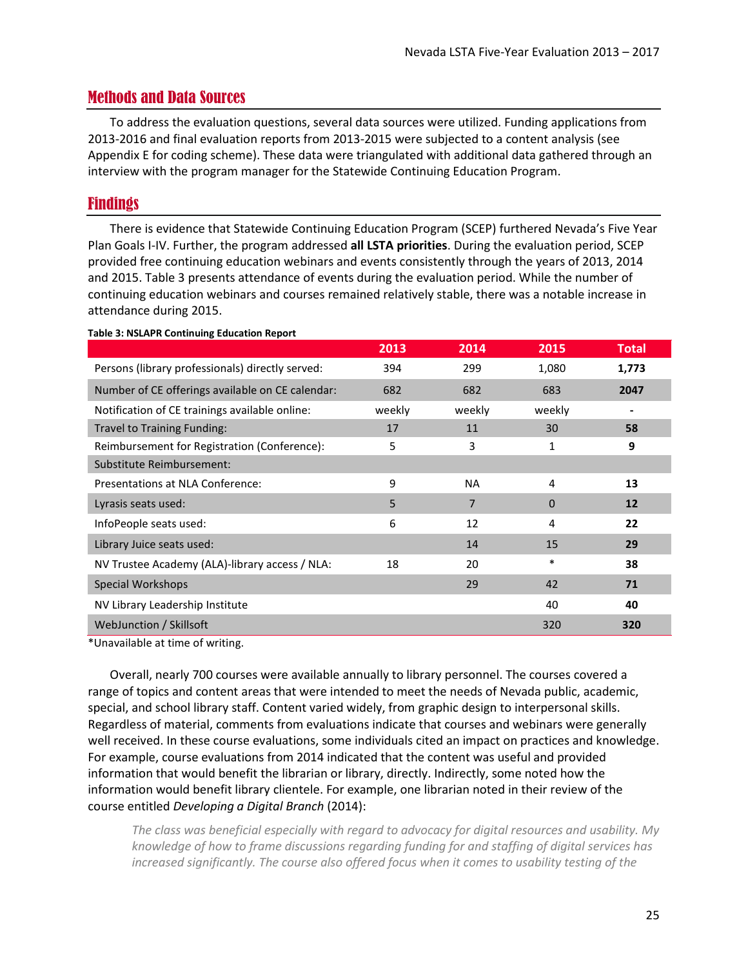## <span id="page-24-0"></span>Methods and Data Sources

To address the evaluation questions, several data sources were utilized. Funding applications from 2013-2016 and final evaluation reports from 2013-2015 were subjected to a content analysis (see [Appendix E](#page-42-0) for coding scheme). These data were triangulated with additional data gathered through an interview with the program manager for the Statewide Continuing Education Program.

## <span id="page-24-1"></span>Findings

There is evidence that Statewide Continuing Education Program (SCEP) furthered Nevada's Five Year Plan Goals I-IV. Further, the program addressed **all LSTA priorities**. During the evaluation period, SCEP provided free continuing education webinars and events consistently through the years of 2013, 2014 and 2015. [Table 3](#page-24-2) presents attendance of events during the evaluation period. While the number of continuing education webinars and courses remained relatively stable, there was a notable increase in attendance during 2015.

|                                                  | 2013   | 2014      | 2015     | <b>Total</b> |
|--------------------------------------------------|--------|-----------|----------|--------------|
| Persons (library professionals) directly served: | 394    | 299       | 1,080    | 1,773        |
| Number of CE offerings available on CE calendar: | 682    | 682       | 683      | 2047         |
| Notification of CE trainings available online:   | weekly | weekly    | weekly   |              |
| Travel to Training Funding:                      | 17     | 11        | 30       | 58           |
| Reimbursement for Registration (Conference):     | 5      | 3         | 1        | 9            |
| Substitute Reimbursement:                        |        |           |          |              |
| Presentations at NLA Conference:                 | 9      | <b>NA</b> | 4        | 13           |
| Lyrasis seats used:                              | 5      | 7         | $\Omega$ | 12           |
| InfoPeople seats used:                           | 6      | 12        | 4        | 22           |
| Library Juice seats used:                        |        | 14        | 15       | 29           |
| NV Trustee Academy (ALA)-library access / NLA:   | 18     | 20        | $\ast$   | 38           |
| Special Workshops                                |        | 29        | 42       | 71           |
| NV Library Leadership Institute                  |        |           | 40       | 40           |
| WebJunction / Skillsoft                          |        |           | 320      | 320          |

#### <span id="page-24-2"></span>**Table 3: NSLAPR Continuing Education Report**

\*Unavailable at time of writing.

Overall, nearly 700 courses were available annually to library personnel. The courses covered a range of topics and content areas that were intended to meet the needs of Nevada public, academic, special, and school library staff. Content varied widely, from graphic design to interpersonal skills. Regardless of material, comments from evaluations indicate that courses and webinars were generally well received. In these course evaluations, some individuals cited an impact on practices and knowledge. For example, course evaluations from 2014 indicated that the content was useful and provided information that would benefit the librarian or library, directly. Indirectly, some noted how the information would benefit library clientele. For example, one librarian noted in their review of the course entitled *Developing a Digital Branch* (2014):

*The class was beneficial especially with regard to advocacy for digital resources and usability. My knowledge of how to frame discussions regarding funding for and staffing of digital services has increased significantly. The course also offered focus when it comes to usability testing of the*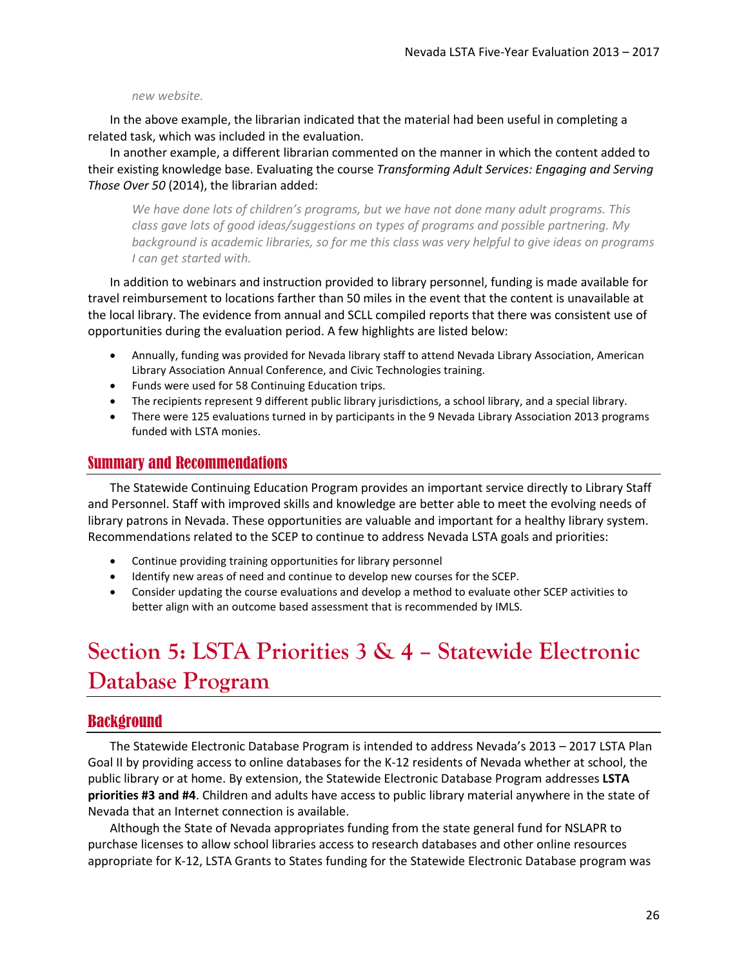#### *new website.*

In the above example, the librarian indicated that the material had been useful in completing a related task, which was included in the evaluation.

In another example, a different librarian commented on the manner in which the content added to their existing knowledge base. Evaluating the course *Transforming Adult Services: Engaging and Serving Those Over 50* (2014), the librarian added:

*We have done lots of children's programs, but we have not done many adult programs. This class gave lots of good ideas/suggestions on types of programs and possible partnering. My background is academic libraries, so for me this class was very helpful to give ideas on programs I can get started with.*

In addition to webinars and instruction provided to library personnel, funding is made available for travel reimbursement to locations farther than 50 miles in the event that the content is unavailable at the local library. The evidence from annual and SCLL compiled reports that there was consistent use of opportunities during the evaluation period. A few highlights are listed below:

- Annually, funding was provided for Nevada library staff to attend Nevada Library Association, American Library Association Annual Conference, and Civic Technologies training.
- Funds were used for 58 Continuing Education trips.
- The recipients represent 9 different public library jurisdictions, a school library, and a special library.
- There were 125 evaluations turned in by participants in the 9 Nevada Library Association 2013 programs funded with LSTA monies.

## <span id="page-25-0"></span>Summary and Recommendations

The Statewide Continuing Education Program provides an important service directly to Library Staff and Personnel. Staff with improved skills and knowledge are better able to meet the evolving needs of library patrons in Nevada. These opportunities are valuable and important for a healthy library system. Recommendations related to the SCEP to continue to address Nevada LSTA goals and priorities:

- Continue providing training opportunities for library personnel
- Identify new areas of need and continue to develop new courses for the SCEP.
- Consider updating the course evaluations and develop a method to evaluate other SCEP activities to better align with an outcome based assessment that is recommended by IMLS.

# <span id="page-25-1"></span>**Section 5: LSTA Priorities 3 & 4 – Statewide Electronic Database Program**

## <span id="page-25-2"></span>**Background**

The Statewide Electronic Database Program is intended to address Nevada's 2013 – 2017 LSTA Plan Goal II by providing access to online databases for the K-12 residents of Nevada whether at school, the public library or at home. By extension, the Statewide Electronic Database Program addresses **LSTA priorities #3 and #4**. Children and adults have access to public library material anywhere in the state of Nevada that an Internet connection is available.

Although the State of Nevada appropriates funding from the state general fund for NSLAPR to purchase licenses to allow school libraries access to research databases and other online resources appropriate for K-12, LSTA Grants to States funding for the Statewide Electronic Database program was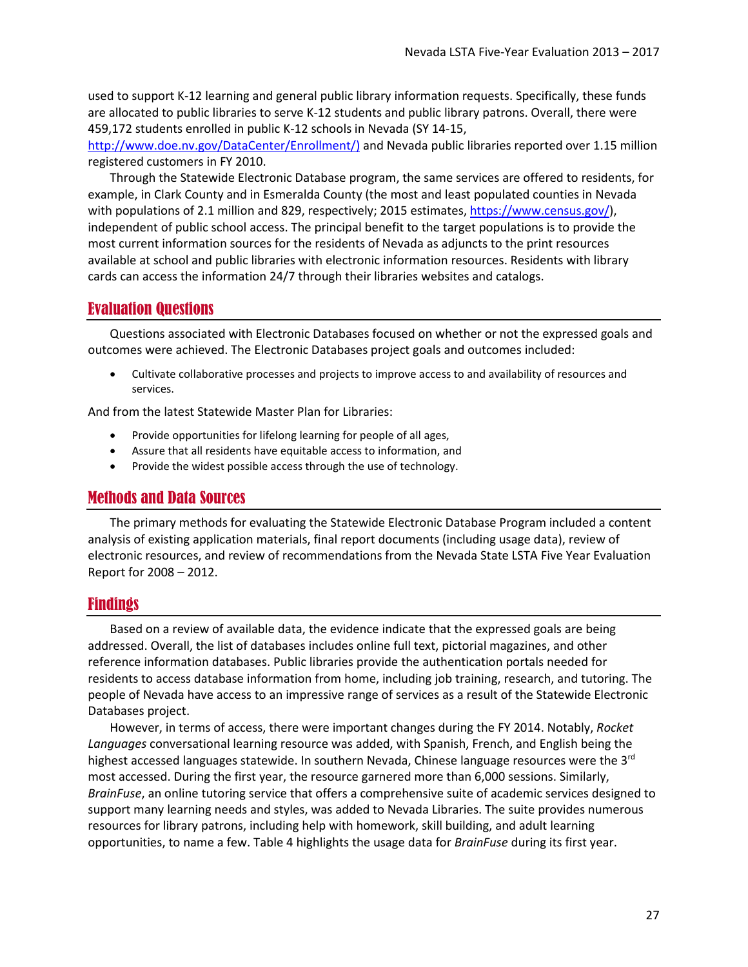used to support K-12 learning and general public library information requests. Specifically, these funds are allocated to public libraries to serve K-12 students and public library patrons. Overall, there were 459,172 students enrolled in public K-12 schools in Nevada (SY 14-15,

[http://www.doe.nv.gov/DataCenter/Enrollment/\)](http://www.doe.nv.gov/DataCenter/Enrollment/)) and Nevada public libraries reported over 1.15 million registered customers in FY 2010.

Through the Statewide Electronic Database program, the same services are offered to residents, for example, in Clark County and in Esmeralda County (the most and least populated counties in Nevada with populations of 2.1 million and 829, respectively; 2015 estimates[, https://www.census.gov/\)](https://www.census.gov/), independent of public school access. The principal benefit to the target populations is to provide the most current information sources for the residents of Nevada as adjuncts to the print resources available at school and public libraries with electronic information resources. Residents with library cards can access the information 24/7 through their libraries websites and catalogs.

### <span id="page-26-0"></span>Evaluation Questions

Questions associated with Electronic Databases focused on whether or not the expressed goals and outcomes were achieved. The Electronic Databases project goals and outcomes included:

• Cultivate collaborative processes and projects to improve access to and availability of resources and services.

And from the latest Statewide Master Plan for Libraries:

- Provide opportunities for lifelong learning for people of all ages,
- Assure that all residents have equitable access to information, and
- Provide the widest possible access through the use of technology.

### <span id="page-26-1"></span>Methods and Data Sources

The primary methods for evaluating the Statewide Electronic Database Program included a content analysis of existing application materials, final report documents (including usage data), review of electronic resources, and review of recommendations from the Nevada State LSTA Five Year Evaluation Report for 2008 – 2012.

### <span id="page-26-2"></span>Findings

Based on a review of available data, the evidence indicate that the expressed goals are being addressed. Overall, the list of databases includes online full text, pictorial magazines, and other reference information databases. Public libraries provide the authentication portals needed for residents to access database information from home, including job training, research, and tutoring. The people of Nevada have access to an impressive range of services as a result of the Statewide Electronic Databases project.

However, in terms of access, there were important changes during the FY 2014. Notably, *Rocket Languages* conversational learning resource was added, with Spanish, French, and English being the highest accessed languages statewide. In southern Nevada, Chinese language resources were the  $3<sup>rd</sup>$ most accessed. During the first year, the resource garnered more than 6,000 sessions. Similarly, *BrainFuse*, an online tutoring service that offers a comprehensive suite of academic services designed to support many learning needs and styles, was added to Nevada Libraries. The suite provides numerous resources for library patrons, including help with homework, skill building, and adult learning opportunities, to name a few[. Table 4](#page-27-1) highlights the usage data for *BrainFuse* during its first year.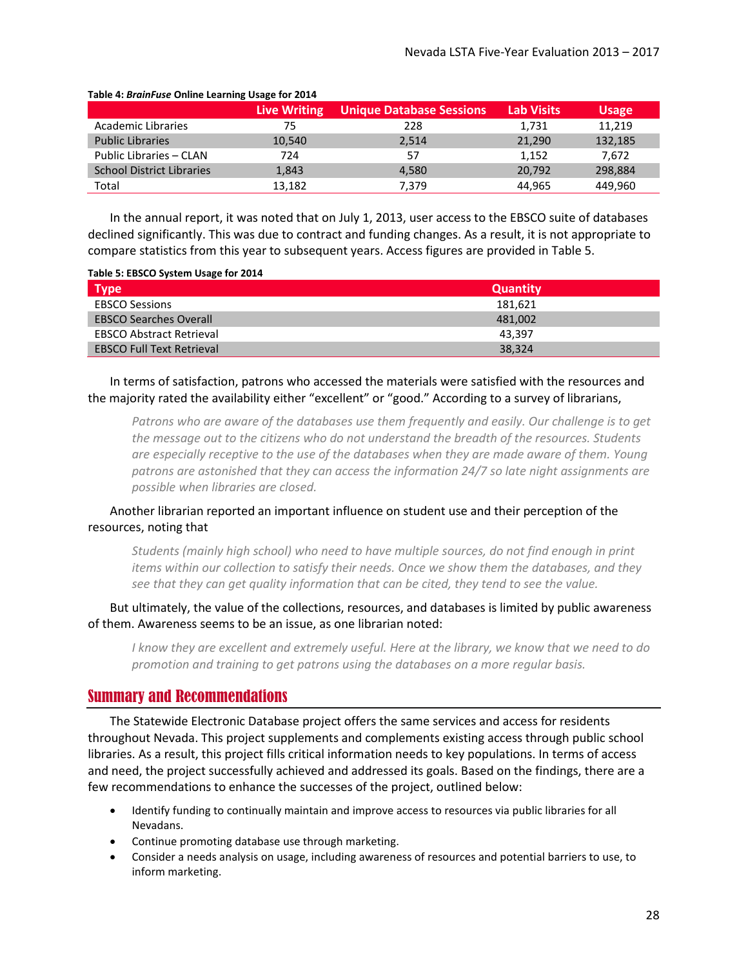|                                  | <b>Live Writing</b> | <b>Unique Database Sessions</b> | <b>Lab Visits</b> | <b>Usage</b> |
|----------------------------------|---------------------|---------------------------------|-------------------|--------------|
| Academic Libraries               | 75                  | 228                             | 1,731             | 11,219       |
| <b>Public Libraries</b>          | 10,540              | 2,514                           | 21,290            | 132,185      |
| Public Libraries - CLAN          | 724                 | 57                              | 1,152             | 7.672        |
| <b>School District Libraries</b> | 1,843               | 4.580                           | 20,792            | 298,884      |
| Total                            | 13,182              | 7,379                           | 44,965            | 449,960      |

#### <span id="page-27-1"></span>**Table 4:** *BrainFuse* **Online Learning Usage for 2014**

In the annual report, it was noted that on July 1, 2013, user access to the EBSCO suite of databases declined significantly. This was due to contract and funding changes. As a result, it is not appropriate to compare statistics from this year to subsequent years. Access figures are provided i[n Table 5.](#page-27-2)

#### <span id="page-27-2"></span>**Table 5: EBSCO System Usage for 2014**

| <b>Type</b>                      | <b>Quantity</b> |
|----------------------------------|-----------------|
| <b>EBSCO Sessions</b>            | 181.621         |
| <b>EBSCO Searches Overall</b>    | 481,002         |
| <b>EBSCO Abstract Retrieval</b>  | 43.397          |
| <b>EBSCO Full Text Retrieval</b> | 38,324          |

In terms of satisfaction, patrons who accessed the materials were satisfied with the resources and the majority rated the availability either "excellent" or "good." According to a survey of librarians,

*Patrons who are aware of the databases use them frequently and easily. Our challenge is to get the message out to the citizens who do not understand the breadth of the resources. Students are especially receptive to the use of the databases when they are made aware of them. Young patrons are astonished that they can access the information 24/7 so late night assignments are possible when libraries are closed.* 

### Another librarian reported an important influence on student use and their perception of the resources, noting that

*Students (mainly high school) who need to have multiple sources, do not find enough in print items within our collection to satisfy their needs. Once we show them the databases, and they see that they can get quality information that can be cited, they tend to see the value.*

But ultimately, the value of the collections, resources, and databases is limited by public awareness of them. Awareness seems to be an issue, as one librarian noted:

*I know they are excellent and extremely useful. Here at the library, we know that we need to do promotion and training to get patrons using the databases on a more regular basis.*

#### <span id="page-27-0"></span>Summary and Recommendations

The Statewide Electronic Database project offers the same services and access for residents throughout Nevada. This project supplements and complements existing access through public school libraries. As a result, this project fills critical information needs to key populations. In terms of access and need, the project successfully achieved and addressed its goals. Based on the findings, there are a few recommendations to enhance the successes of the project, outlined below:

- Identify funding to continually maintain and improve access to resources via public libraries for all Nevadans.
- Continue promoting database use through marketing.
- Consider a needs analysis on usage, including awareness of resources and potential barriers to use, to inform marketing.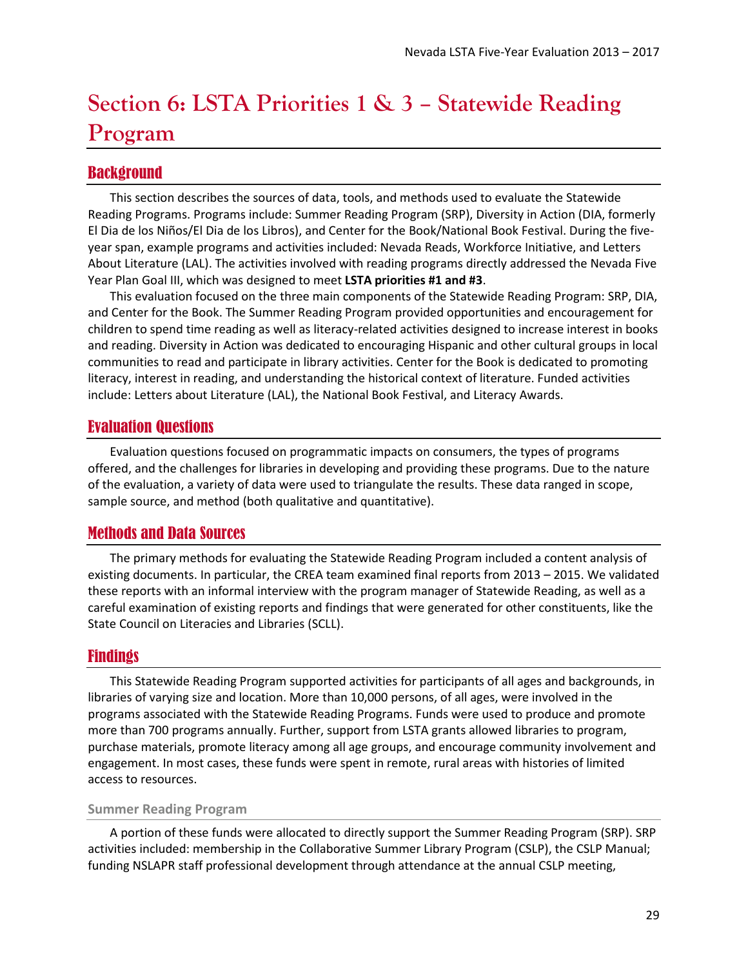# <span id="page-28-0"></span>**Section 6: LSTA Priorities 1 & 3 – Statewide Reading Program**

## <span id="page-28-1"></span>Background

This section describes the sources of data, tools, and methods used to evaluate the Statewide Reading Programs. Programs include: Summer Reading Program (SRP), Diversity in Action (DIA, formerly El Dia de los Niños/El Dia de los Libros), and Center for the Book/National Book Festival. During the fiveyear span, example programs and activities included: Nevada Reads, Workforce Initiative, and Letters About Literature (LAL). The activities involved with reading programs directly addressed the Nevada Five Year Plan Goal III, which was designed to meet **LSTA priorities #1 and #3**.

This evaluation focused on the three main components of the Statewide Reading Program: SRP, DIA, and Center for the Book. The Summer Reading Program provided opportunities and encouragement for children to spend time reading as well as literacy-related activities designed to increase interest in books and reading. Diversity in Action was dedicated to encouraging Hispanic and other cultural groups in local communities to read and participate in library activities. Center for the Book is dedicated to promoting literacy, interest in reading, and understanding the historical context of literature. Funded activities include: Letters about Literature (LAL), the National Book Festival, and Literacy Awards.

## <span id="page-28-2"></span>Evaluation Questions

Evaluation questions focused on programmatic impacts on consumers, the types of programs offered, and the challenges for libraries in developing and providing these programs. Due to the nature of the evaluation, a variety of data were used to triangulate the results. These data ranged in scope, sample source, and method (both qualitative and quantitative).

## <span id="page-28-3"></span>Methods and Data Sources

The primary methods for evaluating the Statewide Reading Program included a content analysis of existing documents. In particular, the CREA team examined final reports from 2013 – 2015. We validated these reports with an informal interview with the program manager of Statewide Reading, as well as a careful examination of existing reports and findings that were generated for other constituents, like the State Council on Literacies and Libraries (SCLL).

## <span id="page-28-4"></span>Findings

This Statewide Reading Program supported activities for participants of all ages and backgrounds, in libraries of varying size and location. More than 10,000 persons, of all ages, were involved in the programs associated with the Statewide Reading Programs. Funds were used to produce and promote more than 700 programs annually. Further, support from LSTA grants allowed libraries to program, purchase materials, promote literacy among all age groups, and encourage community involvement and engagement. In most cases, these funds were spent in remote, rural areas with histories of limited access to resources.

#### **Summer Reading Program**

A portion of these funds were allocated to directly support the Summer Reading Program (SRP). SRP activities included: membership in the Collaborative Summer Library Program (CSLP), the CSLP Manual; funding NSLAPR staff professional development through attendance at the annual CSLP meeting,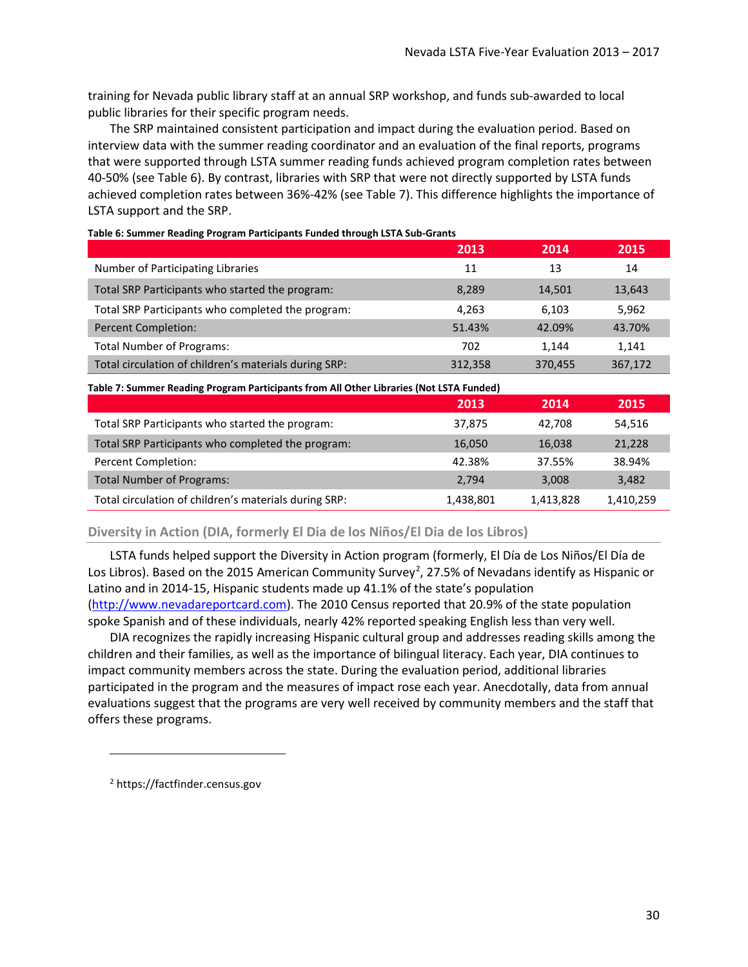training for Nevada public library staff at an annual SRP workshop, and funds sub-awarded to local public libraries for their specific program needs.

The SRP maintained consistent participation and impact during the evaluation period. Based on interview data with the summer reading coordinator and an evaluation of the final reports, programs that were supported through LSTA summer reading funds achieved program completion rates between 40-50% (see [Table 6\)](#page-29-0). By contrast, libraries with SRP that were not directly supported by LSTA funds achieved completion rates between 36%-42% (se[e Table 7\)](#page-29-1). This difference highlights the importance of LSTA support and the SRP.

|                                                       | 2013    | 2014    | 2015    |
|-------------------------------------------------------|---------|---------|---------|
| Number of Participating Libraries                     | 11      | 13      | 14      |
| Total SRP Participants who started the program:       | 8,289   | 14,501  | 13,643  |
| Total SRP Participants who completed the program:     | 4.263   | 6,103   | 5,962   |
| <b>Percent Completion:</b>                            | 51.43%  | 42.09%  | 43.70%  |
| <b>Total Number of Programs:</b>                      | 702     | 1,144   | 1,141   |
| Total circulation of children's materials during SRP: | 312,358 | 370,455 | 367,172 |

<span id="page-29-0"></span>

<span id="page-29-1"></span>

| Table 7: Summer Reading Program Participants from All Other Libraries (Not LSTA Funded) |           |           |           |  |
|-----------------------------------------------------------------------------------------|-----------|-----------|-----------|--|
|                                                                                         | 2013      | 2014      | 2015      |  |
| Total SRP Participants who started the program:                                         | 37,875    | 42.708    | 54,516    |  |
| Total SRP Participants who completed the program:                                       | 16,050    | 16,038    | 21,228    |  |
| Percent Completion:                                                                     | 42.38%    | 37.55%    | 38.94%    |  |
| <b>Total Number of Programs:</b>                                                        | 2,794     | 3,008     | 3,482     |  |
| Total circulation of children's materials during SRP:                                   | 1,438,801 | 1,413,828 | 1,410,259 |  |

**Diversity in Action (DIA, formerly El Dia de los Niños/El Dia de los Libros)**

LSTA funds helped support the Diversity in Action program (formerly, El Día de Los Niños/El Día de Los Libros). Based on the [2](#page-29-2)015 American Community Survey<sup>2</sup>, 27.5% of Nevadans identify as Hispanic or Latino and in 2014-15, Hispanic students made up 41.1% of the state's population [\(http://www.nevadareportcard.com\)](http://www.nevadareportcard.com/). The 2010 Census reported that 20.9% of the state population spoke Spanish and of these individuals, nearly 42% reported speaking English less than very well.

DIA recognizes the rapidly increasing Hispanic cultural group and addresses reading skills among the children and their families, as well as the importance of bilingual literacy. Each year, DIA continues to impact community members across the state. During the evaluation period, additional libraries participated in the program and the measures of impact rose each year. Anecdotally, data from annual evaluations suggest that the programs are very well received by community members and the staff that offers these programs.

<span id="page-29-2"></span><sup>2</sup> https://factfinder.census.gov

 $\overline{\phantom{a}}$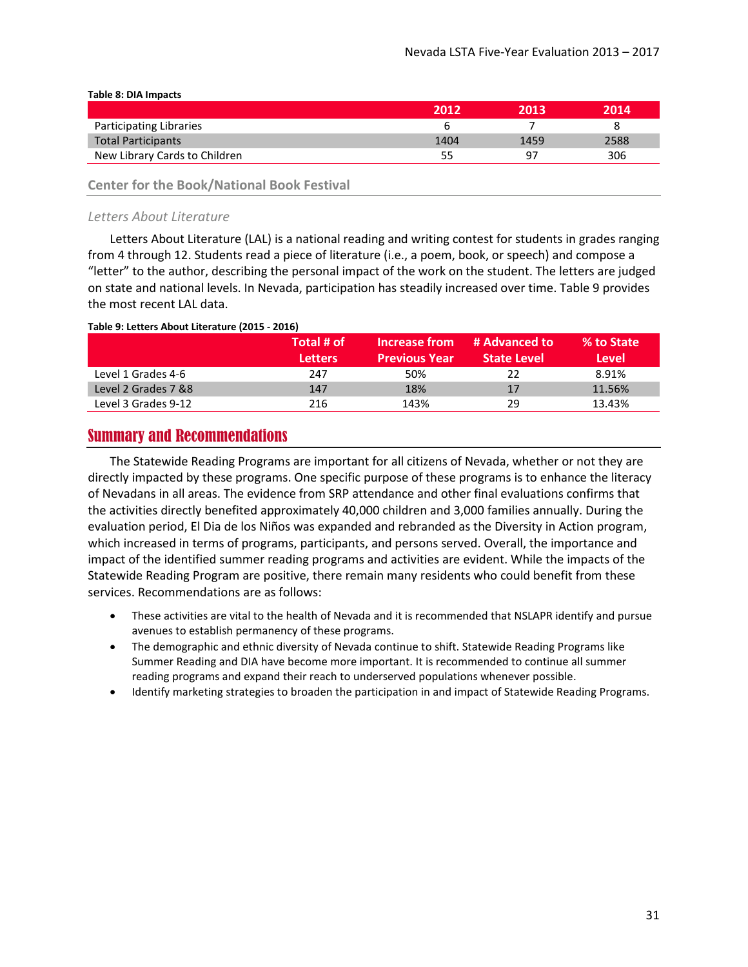|                               | 2012 | 2013 | 2014 |
|-------------------------------|------|------|------|
| Participating Libraries       |      |      |      |
| <b>Total Participants</b>     | 1404 | 1459 | 2588 |
| New Library Cards to Children |      | 97   | 306  |
|                               |      |      |      |

#### **Table 8: DIA Impacts**

### **Center for the Book/National Book Festival**

#### *Letters About Literature*

Letters About Literature (LAL) is a national reading and writing contest for students in grades ranging from 4 through 12. Students read a piece of literature (i.e., a poem, book, or speech) and compose a "letter" to the author, describing the personal impact of the work on the student. The letters are judged on state and national levels. In Nevada, participation has steadily increased over time. [Table 9](#page-30-1) provides the most recent LAL data.

#### <span id="page-30-1"></span>**Table 9: Letters About Literature (2015 - 2016)**

|                      | Total # of     | Increase from        | # Advanced to      | % to State |
|----------------------|----------------|----------------------|--------------------|------------|
|                      | <b>Letters</b> | <b>Previous Year</b> | <b>State Level</b> | Level      |
| Level 1 Grades 4-6   | 247            | 50%                  | 22                 | 8.91%      |
| Level 2 Grades 7 & 8 | 147            | 18%                  | 17                 | 11.56%     |
| Level 3 Grades 9-12  | 216            | 143%                 | 29                 | 13.43%     |

## <span id="page-30-0"></span>Summary and Recommendations

The Statewide Reading Programs are important for all citizens of Nevada, whether or not they are directly impacted by these programs. One specific purpose of these programs is to enhance the literacy of Nevadans in all areas. The evidence from SRP attendance and other final evaluations confirms that the activities directly benefited approximately 40,000 children and 3,000 families annually. During the evaluation period, El Dia de los Niños was expanded and rebranded as the Diversity in Action program, which increased in terms of programs, participants, and persons served. Overall, the importance and impact of the identified summer reading programs and activities are evident. While the impacts of the Statewide Reading Program are positive, there remain many residents who could benefit from these services. Recommendations are as follows:

- These activities are vital to the health of Nevada and it is recommended that NSLAPR identify and pursue avenues to establish permanency of these programs.
- The demographic and ethnic diversity of Nevada continue to shift. Statewide Reading Programs like Summer Reading and DIA have become more important. It is recommended to continue all summer reading programs and expand their reach to underserved populations whenever possible.
- Identify marketing strategies to broaden the participation in and impact of Statewide Reading Programs.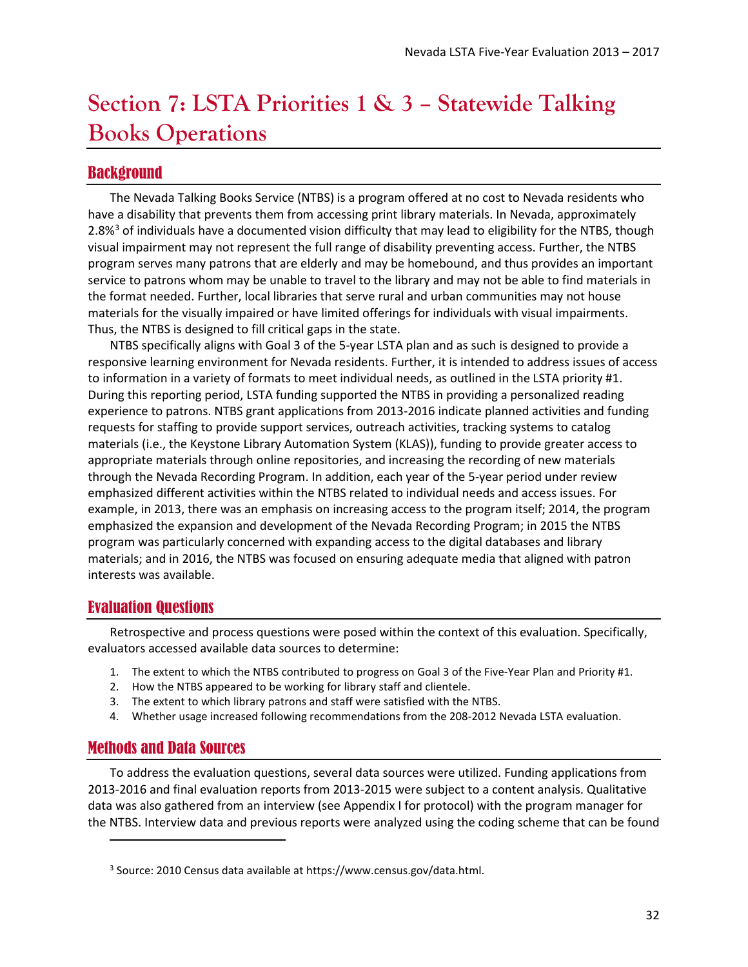## <span id="page-31-0"></span>**Section 7: LSTA Priorities 1 & 3 – Statewide Talking Books Operations**

## <span id="page-31-1"></span>Background

The Nevada Talking Books Service (NTBS) is a program offered at no cost to Nevada residents who have a disability that prevents them from accessing print library materials. In Nevada, approximately 2.8%<sup>[3](#page-31-4)</sup> of individuals have a documented vision difficulty that may lead to eligibility for the NTBS, though visual impairment may not represent the full range of disability preventing access. Further, the NTBS program serves many patrons that are elderly and may be homebound, and thus provides an important service to patrons whom may be unable to travel to the library and may not be able to find materials in the format needed. Further, local libraries that serve rural and urban communities may not house materials for the visually impaired or have limited offerings for individuals with visual impairments. Thus, the NTBS is designed to fill critical gaps in the state.

NTBS specifically aligns with Goal 3 of the 5-year LSTA plan and as such is designed to provide a responsive learning environment for Nevada residents. Further, it is intended to address issues of access to information in a variety of formats to meet individual needs, as outlined in the LSTA priority #1. During this reporting period, LSTA funding supported the NTBS in providing a personalized reading experience to patrons. NTBS grant applications from 2013-2016 indicate planned activities and funding requests for staffing to provide support services, outreach activities, tracking systems to catalog materials (i.e., the Keystone Library Automation System (KLAS)), funding to provide greater access to appropriate materials through online repositories, and increasing the recording of new materials through the Nevada Recording Program. In addition, each year of the 5-year period under review emphasized different activities within the NTBS related to individual needs and access issues. For example, in 2013, there was an emphasis on increasing access to the program itself; 2014, the program emphasized the expansion and development of the Nevada Recording Program; in 2015 the NTBS program was particularly concerned with expanding access to the digital databases and library materials; and in 2016, the NTBS was focused on ensuring adequate media that aligned with patron interests was available.

## <span id="page-31-2"></span>Evaluation Questions

Retrospective and process questions were posed within the context of this evaluation. Specifically, evaluators accessed available data sources to determine:

- 1. The extent to which the NTBS contributed to progress on Goal 3 of the Five-Year Plan and Priority #1.
- 2. How the NTBS appeared to be working for library staff and clientele.
- 3. The extent to which library patrons and staff were satisfied with the NTBS.
- 4. Whether usage increased following recommendations from the 208-2012 Nevada LSTA evaluation.

## <span id="page-31-3"></span>Methods and Data Sources

l

To address the evaluation questions, several data sources were utilized. Funding applications from 2013-2016 and final evaluation reports from 2013-2015 were subject to a content analysis. Qualitative data was also gathered from an interview (see [Appendix I](#page-53-0) for protocol) with the program manager for the NTBS. Interview data and previous reports were analyzed using the coding scheme that can be found

<span id="page-31-4"></span><sup>3</sup> Source: 2010 Census data available at https://www.census.gov/data.html.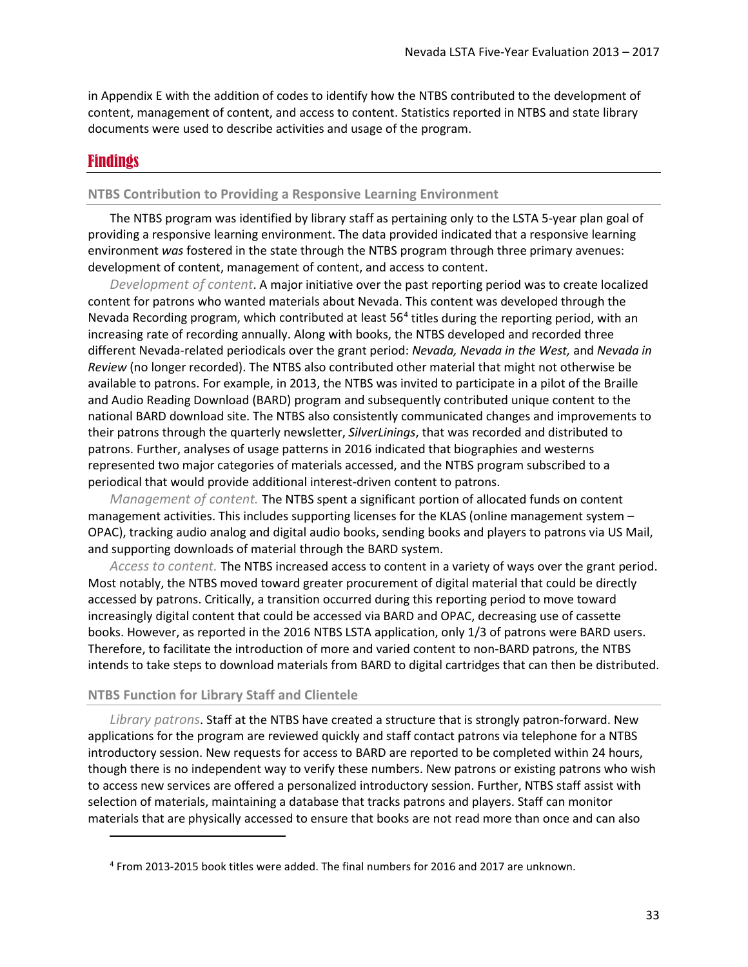in [Appendix E](#page-42-0) with the addition of codes to identify how the NTBS contributed to the development of content, management of content, and access to content. Statistics reported in NTBS and state library documents were used to describe activities and usage of the program.

#### <span id="page-32-0"></span>Findings

 $\overline{\phantom{a}}$ 

#### **NTBS Contribution to Providing a Responsive Learning Environment**

The NTBS program was identified by library staff as pertaining only to the LSTA 5-year plan goal of providing a responsive learning environment. The data provided indicated that a responsive learning environment *was* fostered in the state through the NTBS program through three primary avenues: development of content, management of content, and access to content.

*Development of content*. A major initiative over the past reporting period was to create localized content for patrons who wanted materials about Nevada. This content was developed through the Nevada Recording program, which contributed at least  $56<sup>4</sup>$  $56<sup>4</sup>$  $56<sup>4</sup>$  titles during the reporting period, with an increasing rate of recording annually. Along with books, the NTBS developed and recorded three different Nevada-related periodicals over the grant period: *Nevada, Nevada in the West,* and *Nevada in Review* (no longer recorded). The NTBS also contributed other material that might not otherwise be available to patrons. For example, in 2013, the NTBS was invited to participate in a pilot of the Braille and Audio Reading Download (BARD) program and subsequently contributed unique content to the national BARD download site. The NTBS also consistently communicated changes and improvements to their patrons through the quarterly newsletter, *SilverLinings*, that was recorded and distributed to patrons. Further, analyses of usage patterns in 2016 indicated that biographies and westerns represented two major categories of materials accessed, and the NTBS program subscribed to a periodical that would provide additional interest-driven content to patrons.

*Management of content.* The NTBS spent a significant portion of allocated funds on content management activities. This includes supporting licenses for the KLAS (online management system – OPAC), tracking audio analog and digital audio books, sending books and players to patrons via US Mail, and supporting downloads of material through the BARD system.

*Access to content.* The NTBS increased access to content in a variety of ways over the grant period. Most notably, the NTBS moved toward greater procurement of digital material that could be directly accessed by patrons. Critically, a transition occurred during this reporting period to move toward increasingly digital content that could be accessed via BARD and OPAC, decreasing use of cassette books. However, as reported in the 2016 NTBS LSTA application, only 1/3 of patrons were BARD users. Therefore, to facilitate the introduction of more and varied content to non-BARD patrons, the NTBS intends to take steps to download materials from BARD to digital cartridges that can then be distributed.

#### **NTBS Function for Library Staff and Clientele**

*Library patrons*. Staff at the NTBS have created a structure that is strongly patron-forward. New applications for the program are reviewed quickly and staff contact patrons via telephone for a NTBS introductory session. New requests for access to BARD are reported to be completed within 24 hours, though there is no independent way to verify these numbers. New patrons or existing patrons who wish to access new services are offered a personalized introductory session. Further, NTBS staff assist with selection of materials, maintaining a database that tracks patrons and players. Staff can monitor materials that are physically accessed to ensure that books are not read more than once and can also

<span id="page-32-1"></span><sup>4</sup> From 2013-2015 book titles were added. The final numbers for 2016 and 2017 are unknown.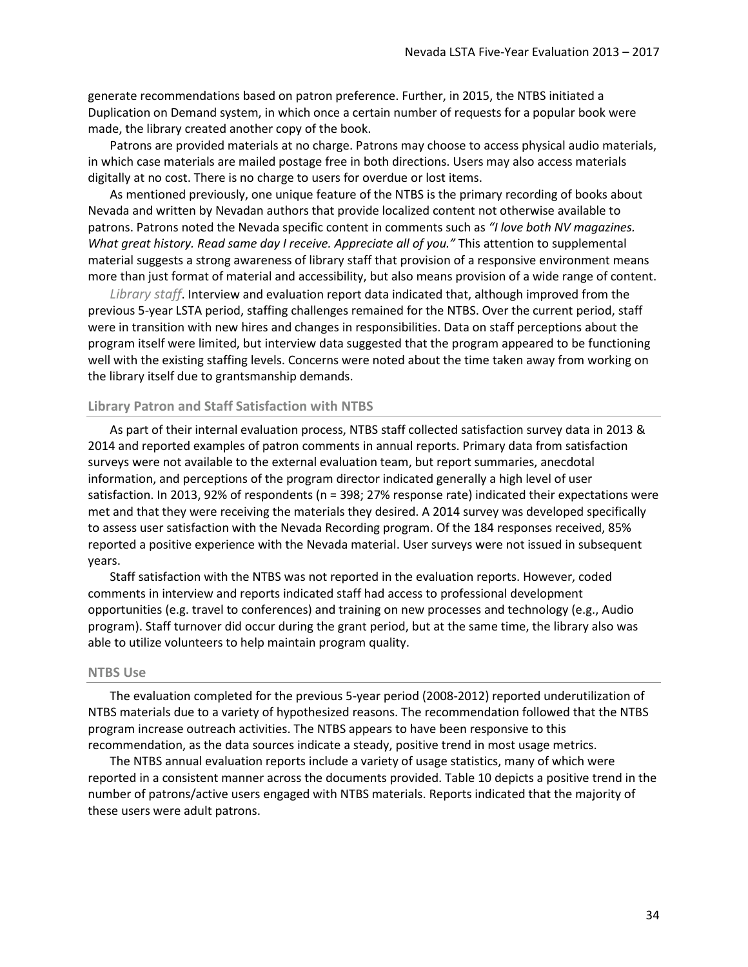generate recommendations based on patron preference. Further, in 2015, the NTBS initiated a Duplication on Demand system, in which once a certain number of requests for a popular book were made, the library created another copy of the book.

Patrons are provided materials at no charge. Patrons may choose to access physical audio materials, in which case materials are mailed postage free in both directions. Users may also access materials digitally at no cost. There is no charge to users for overdue or lost items.

As mentioned previously, one unique feature of the NTBS is the primary recording of books about Nevada and written by Nevadan authors that provide localized content not otherwise available to patrons. Patrons noted the Nevada specific content in comments such as *"I love both NV magazines. What great history. Read same day I receive. Appreciate all of you."* This attention to supplemental material suggests a strong awareness of library staff that provision of a responsive environment means more than just format of material and accessibility, but also means provision of a wide range of content.

*Library staff*. Interview and evaluation report data indicated that, although improved from the previous 5-year LSTA period, staffing challenges remained for the NTBS. Over the current period, staff were in transition with new hires and changes in responsibilities. Data on staff perceptions about the program itself were limited, but interview data suggested that the program appeared to be functioning well with the existing staffing levels. Concerns were noted about the time taken away from working on the library itself due to grantsmanship demands.

#### **Library Patron and Staff Satisfaction with NTBS**

As part of their internal evaluation process, NTBS staff collected satisfaction survey data in 2013 & 2014 and reported examples of patron comments in annual reports. Primary data from satisfaction surveys were not available to the external evaluation team, but report summaries, anecdotal information, and perceptions of the program director indicated generally a high level of user satisfaction. In 2013, 92% of respondents (n = 398; 27% response rate) indicated their expectations were met and that they were receiving the materials they desired. A 2014 survey was developed specifically to assess user satisfaction with the Nevada Recording program. Of the 184 responses received, 85% reported a positive experience with the Nevada material. User surveys were not issued in subsequent years.

Staff satisfaction with the NTBS was not reported in the evaluation reports. However, coded comments in interview and reports indicated staff had access to professional development opportunities (e.g. travel to conferences) and training on new processes and technology (e.g., Audio program). Staff turnover did occur during the grant period, but at the same time, the library also was able to utilize volunteers to help maintain program quality.

#### **NTBS Use**

The evaluation completed for the previous 5-year period (2008-2012) reported underutilization of NTBS materials due to a variety of hypothesized reasons. The recommendation followed that the NTBS program increase outreach activities. The NTBS appears to have been responsive to this recommendation, as the data sources indicate a steady, positive trend in most usage metrics.

The NTBS annual evaluation reports include a variety of usage statistics, many of which were reported in a consistent manner across the documents provided. [Table 10](#page-34-1) depicts a positive trend in the number of patrons/active users engaged with NTBS materials. Reports indicated that the majority of these users were adult patrons.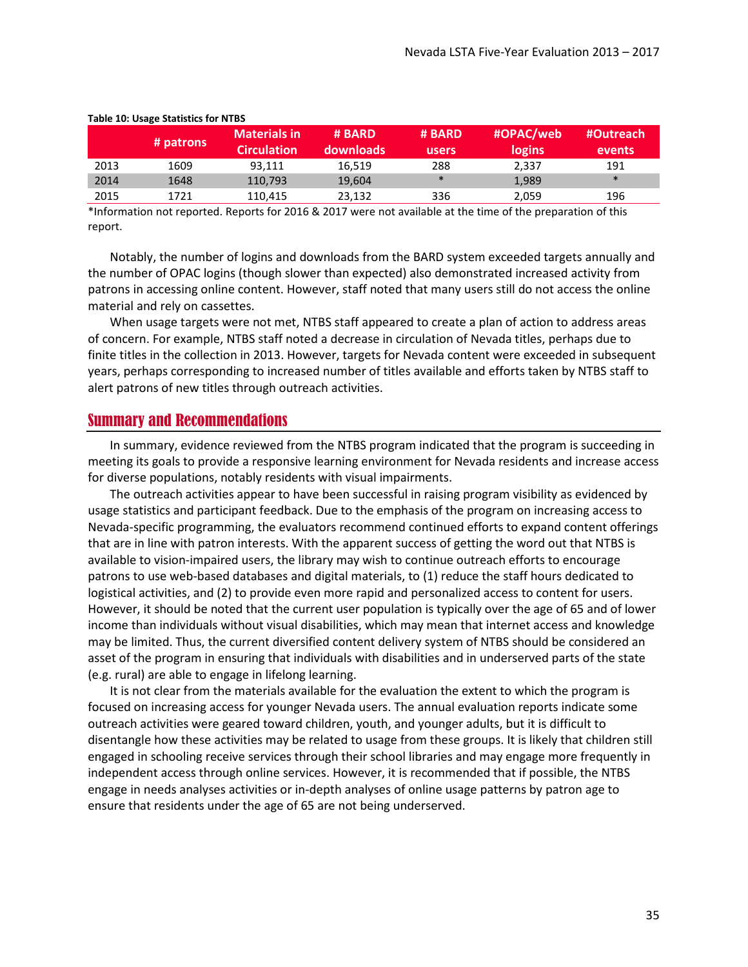|      | # patrons | <b>Materials in</b><br><b>Circulation</b> | # BARD<br><b>downloads</b> | # BARD<br>users | #OPAC/web<br>logins | #Outreach<br>events' |
|------|-----------|-------------------------------------------|----------------------------|-----------------|---------------------|----------------------|
| 2013 | 1609      | 93.111                                    | 16,519                     | 288             | 2,337               | 191                  |
| 2014 | 1648      | 110.793                                   | 19,604                     | $\ast$          | 1,989               | $\ast$               |
| 2015 | 1721      | 110.415                                   | 23.132                     | 336             | 2.059               | 196                  |

#### <span id="page-34-1"></span>**Table 10: Usage Statistics for NTBS**

\*Information not reported. Reports for 2016 & 2017 were not available at the time of the preparation of this report.

Notably, the number of logins and downloads from the BARD system exceeded targets annually and the number of OPAC logins (though slower than expected) also demonstrated increased activity from patrons in accessing online content. However, staff noted that many users still do not access the online material and rely on cassettes.

When usage targets were not met, NTBS staff appeared to create a plan of action to address areas of concern. For example, NTBS staff noted a decrease in circulation of Nevada titles, perhaps due to finite titles in the collection in 2013. However, targets for Nevada content were exceeded in subsequent years, perhaps corresponding to increased number of titles available and efforts taken by NTBS staff to alert patrons of new titles through outreach activities.

#### <span id="page-34-0"></span>Summary and Recommendations

In summary, evidence reviewed from the NTBS program indicated that the program is succeeding in meeting its goals to provide a responsive learning environment for Nevada residents and increase access for diverse populations, notably residents with visual impairments.

The outreach activities appear to have been successful in raising program visibility as evidenced by usage statistics and participant feedback. Due to the emphasis of the program on increasing access to Nevada-specific programming, the evaluators recommend continued efforts to expand content offerings that are in line with patron interests. With the apparent success of getting the word out that NTBS is available to vision-impaired users, the library may wish to continue outreach efforts to encourage patrons to use web-based databases and digital materials, to (1) reduce the staff hours dedicated to logistical activities, and (2) to provide even more rapid and personalized access to content for users. However, it should be noted that the current user population is typically over the age of 65 and of lower income than individuals without visual disabilities, which may mean that internet access and knowledge may be limited. Thus, the current diversified content delivery system of NTBS should be considered an asset of the program in ensuring that individuals with disabilities and in underserved parts of the state (e.g. rural) are able to engage in lifelong learning.

It is not clear from the materials available for the evaluation the extent to which the program is focused on increasing access for younger Nevada users. The annual evaluation reports indicate some outreach activities were geared toward children, youth, and younger adults, but it is difficult to disentangle how these activities may be related to usage from these groups. It is likely that children still engaged in schooling receive services through their school libraries and may engage more frequently in independent access through online services. However, it is recommended that if possible, the NTBS engage in needs analyses activities or in-depth analyses of online usage patterns by patron age to ensure that residents under the age of 65 are not being underserved.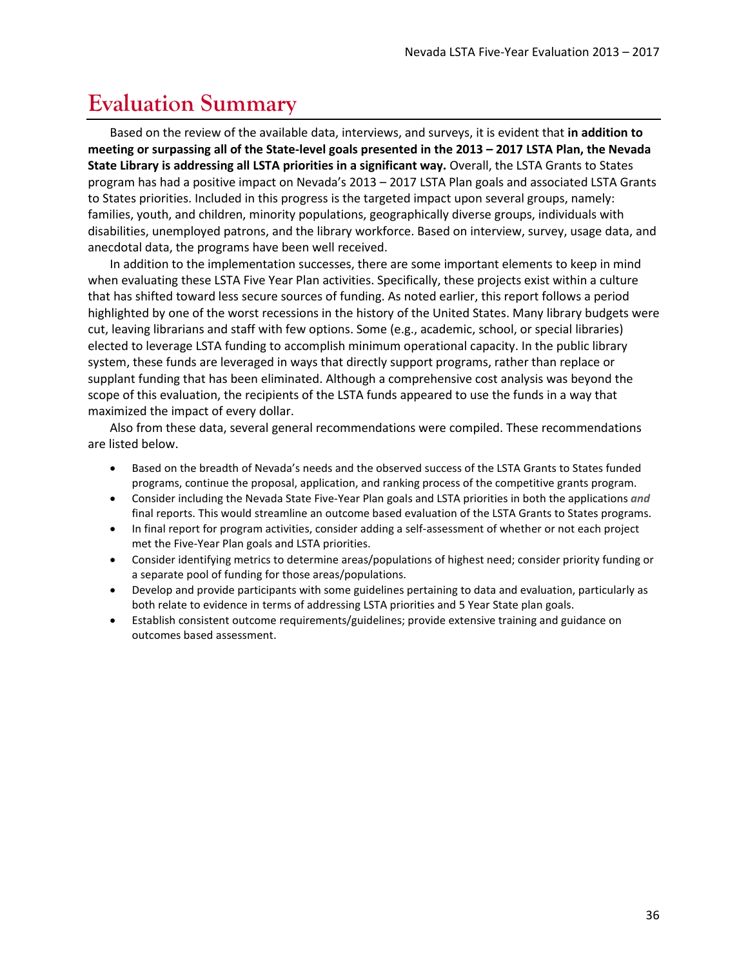## <span id="page-35-0"></span>**Evaluation Summary**

Based on the review of the available data, interviews, and surveys, it is evident that **in addition to meeting or surpassing all of the State-level goals presented in the 2013 – 2017 LSTA Plan, the Nevada State Library is addressing all LSTA priorities in a significant way.** Overall, the LSTA Grants to States program has had a positive impact on Nevada's 2013 – 2017 LSTA Plan goals and associated LSTA Grants to States priorities. Included in this progress is the targeted impact upon several groups, namely: families, youth, and children, minority populations, geographically diverse groups, individuals with disabilities, unemployed patrons, and the library workforce. Based on interview, survey, usage data, and anecdotal data, the programs have been well received.

In addition to the implementation successes, there are some important elements to keep in mind when evaluating these LSTA Five Year Plan activities. Specifically, these projects exist within a culture that has shifted toward less secure sources of funding. As noted earlier, this report follows a period highlighted by one of the worst recessions in the history of the United States. Many library budgets were cut, leaving librarians and staff with few options. Some (e.g., academic, school, or special libraries) elected to leverage LSTA funding to accomplish minimum operational capacity. In the public library system, these funds are leveraged in ways that directly support programs, rather than replace or supplant funding that has been eliminated. Although a comprehensive cost analysis was beyond the scope of this evaluation, the recipients of the LSTA funds appeared to use the funds in a way that maximized the impact of every dollar.

Also from these data, several general recommendations were compiled. These recommendations are listed below.

- Based on the breadth of Nevada's needs and the observed success of the LSTA Grants to States funded programs, continue the proposal, application, and ranking process of the competitive grants program.
- Consider including the Nevada State Five-Year Plan goals and LSTA priorities in both the applications *and* final reports. This would streamline an outcome based evaluation of the LSTA Grants to States programs.
- In final report for program activities, consider adding a self-assessment of whether or not each project met the Five-Year Plan goals and LSTA priorities.
- Consider identifying metrics to determine areas/populations of highest need; consider priority funding or a separate pool of funding for those areas/populations.
- Develop and provide participants with some guidelines pertaining to data and evaluation, particularly as both relate to evidence in terms of addressing LSTA priorities and 5 Year State plan goals.
- Establish consistent outcome requirements/guidelines; provide extensive training and guidance on outcomes based assessment.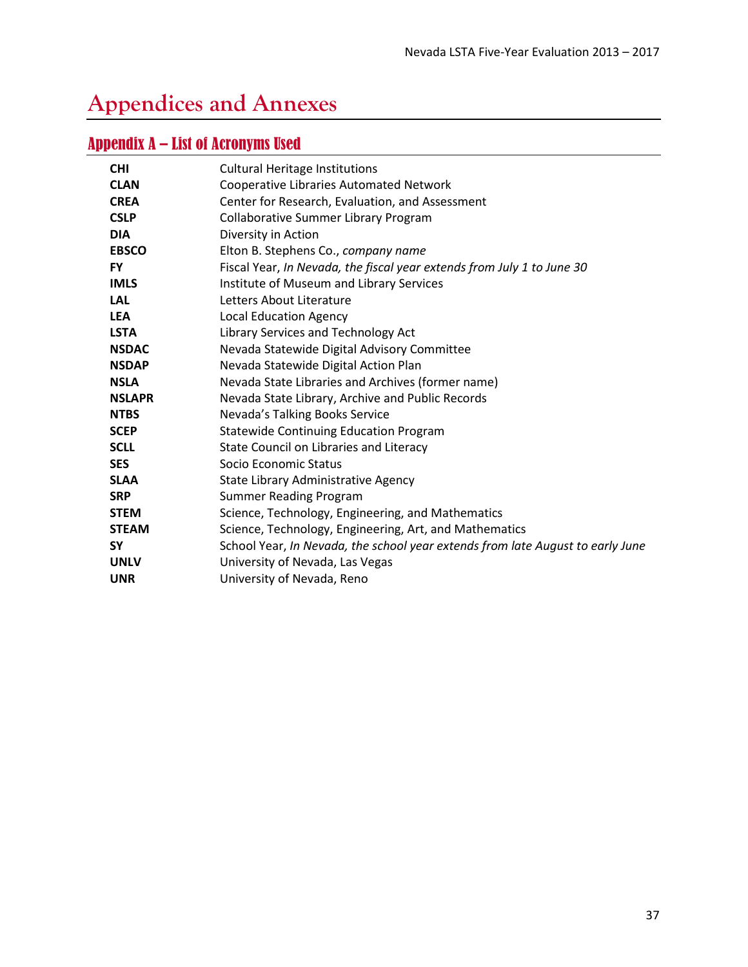# <span id="page-36-0"></span>**Appendices and Annexes**

## <span id="page-36-1"></span>Appendix A – List of Acronyms Used

| <b>CHI</b>    | <b>Cultural Heritage Institutions</b>                                          |
|---------------|--------------------------------------------------------------------------------|
| <b>CLAN</b>   | <b>Cooperative Libraries Automated Network</b>                                 |
| <b>CREA</b>   | Center for Research, Evaluation, and Assessment                                |
| <b>CSLP</b>   | Collaborative Summer Library Program                                           |
| <b>DIA</b>    | Diversity in Action                                                            |
| <b>EBSCO</b>  | Elton B. Stephens Co., company name                                            |
| <b>FY</b>     | Fiscal Year, In Nevada, the fiscal year extends from July 1 to June 30         |
| <b>IMLS</b>   | Institute of Museum and Library Services                                       |
| <b>LAL</b>    | Letters About Literature                                                       |
| <b>LEA</b>    | <b>Local Education Agency</b>                                                  |
| <b>LSTA</b>   | Library Services and Technology Act                                            |
| <b>NSDAC</b>  | Nevada Statewide Digital Advisory Committee                                    |
| <b>NSDAP</b>  | Nevada Statewide Digital Action Plan                                           |
| <b>NSLA</b>   | Nevada State Libraries and Archives (former name)                              |
| <b>NSLAPR</b> | Nevada State Library, Archive and Public Records                               |
| <b>NTBS</b>   | Nevada's Talking Books Service                                                 |
| <b>SCEP</b>   | <b>Statewide Continuing Education Program</b>                                  |
| <b>SCLL</b>   | State Council on Libraries and Literacy                                        |
| <b>SES</b>    | Socio Economic Status                                                          |
| <b>SLAA</b>   | State Library Administrative Agency                                            |
| <b>SRP</b>    | <b>Summer Reading Program</b>                                                  |
| <b>STEM</b>   | Science, Technology, Engineering, and Mathematics                              |
| <b>STEAM</b>  | Science, Technology, Engineering, Art, and Mathematics                         |
| <b>SY</b>     | School Year, In Nevada, the school year extends from late August to early June |
| <b>UNLV</b>   | University of Nevada, Las Vegas                                                |
| <b>UNR</b>    | University of Nevada, Reno                                                     |
|               |                                                                                |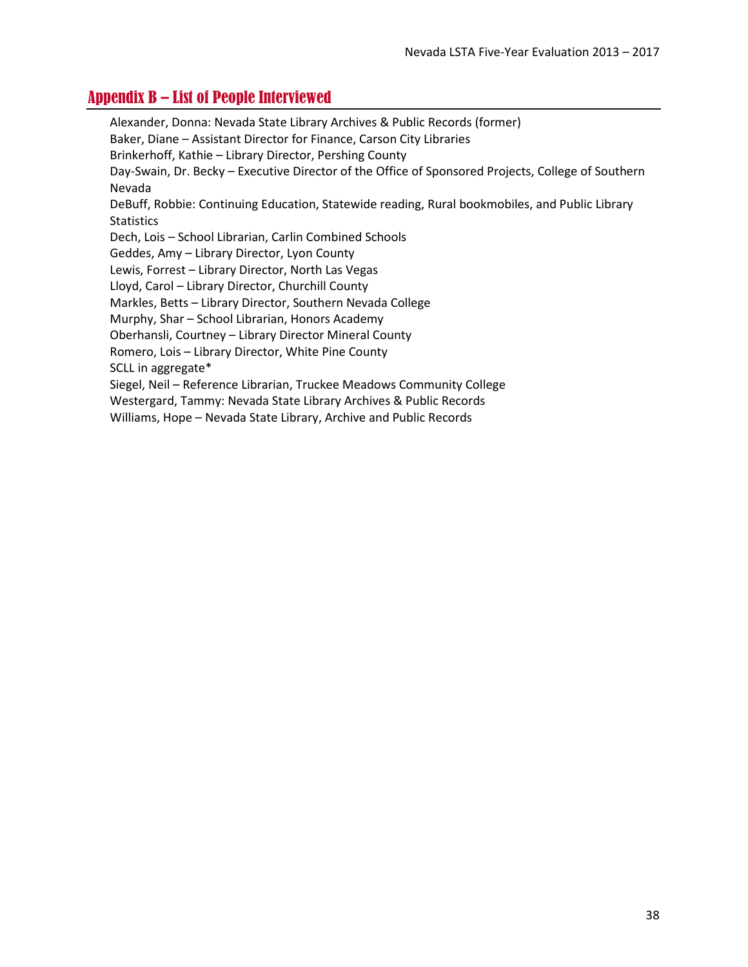## <span id="page-37-0"></span>Appendix B – List of People Interviewed

Alexander, Donna: Nevada State Library Archives & Public Records (former) Baker, Diane – Assistant Director for Finance, Carson City Libraries Brinkerhoff, Kathie – Library Director, Pershing County Day-Swain, Dr. Becky – Executive Director of the Office of Sponsored Projects, College of Southern Nevada DeBuff, Robbie: Continuing Education, Statewide reading, Rural bookmobiles, and Public Library **Statistics** Dech, Lois – School Librarian, Carlin Combined Schools Geddes, Amy – Library Director, Lyon County Lewis, Forrest – Library Director, North Las Vegas Lloyd, Carol – Library Director, Churchill County Markles, Betts – Library Director, Southern Nevada College Murphy, Shar – School Librarian, Honors Academy Oberhansli, Courtney – Library Director Mineral County Romero, Lois – Library Director, White Pine County SCLL in aggregate\* Siegel, Neil – Reference Librarian, Truckee Meadows Community College Westergard, Tammy: Nevada State Library Archives & Public Records Williams, Hope – Nevada State Library, Archive and Public Records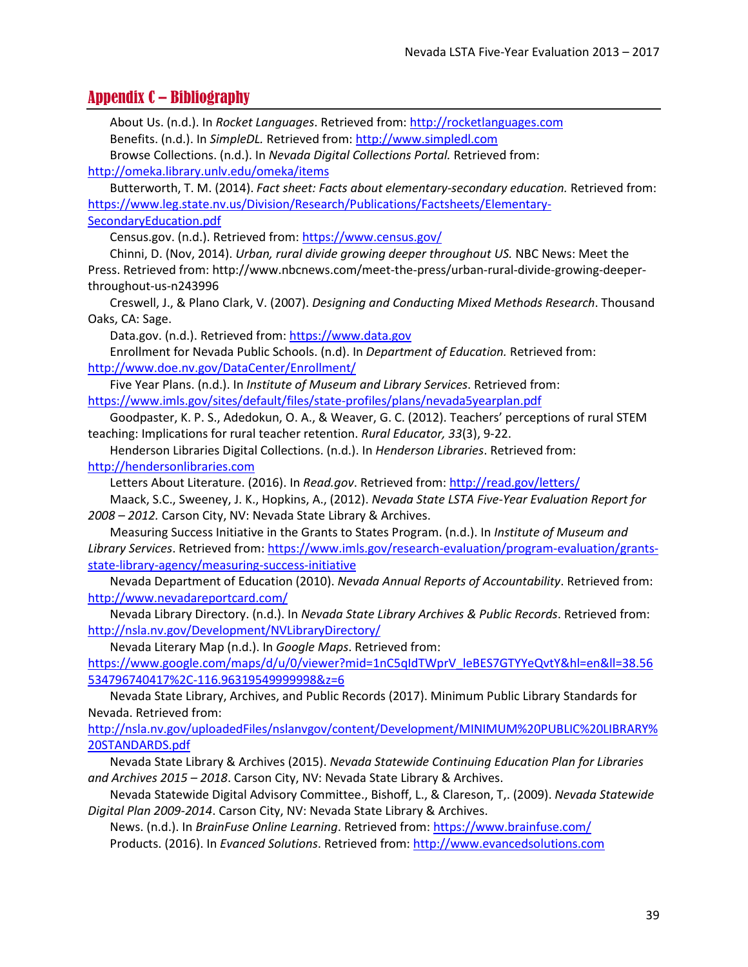## <span id="page-38-0"></span>Appendix C – Bibliography

About Us. (n.d.). In *Rocket Languages*. Retrieved from[: http://rocketlanguages.com](http://rocketlanguages.com/) Benefits. (n.d.). In *SimpleDL.* Retrieved from: [http://www.simpledl.com](http://www.simpledl.com/)

Browse Collections. (n.d.). In *Nevada Digital Collections Portal.* Retrieved from: <http://omeka.library.unlv.edu/omeka/items>

Butterworth, T. M. (2014). *Fact sheet: Facts about elementary-secondary education.* Retrieved from: [https://www.leg.state.nv.us/Division/Research/Publications/Factsheets/Elementary-](https://www.leg.state.nv.us/Division/Research/Publications/Factsheets/Elementary-SecondaryEducation.pdf)[SecondaryEducation.pdf](https://www.leg.state.nv.us/Division/Research/Publications/Factsheets/Elementary-SecondaryEducation.pdf)

Census.gov. (n.d.). Retrieved from:<https://www.census.gov/>

Chinni, D. (Nov, 2014). *Urban, rural divide growing deeper throughout US.* NBC News: Meet the Press. Retrieved from: http://www.nbcnews.com/meet-the-press/urban-rural-divide-growing-deeperthroughout-us-n243996

Creswell, J., & Plano Clark, V. (2007). *Designing and Conducting Mixed Methods Research*. Thousand Oaks, CA: Sage.

Data.gov. (n.d.). Retrieved from: [https://www.data.gov](https://www.data.gov/)

Enrollment for Nevada Public Schools. (n.d). In *Department of Education.* Retrieved from: <http://www.doe.nv.gov/DataCenter/Enrollment/>

Five Year Plans. (n.d.). In *Institute of Museum and Library Services*. Retrieved from: <https://www.imls.gov/sites/default/files/state-profiles/plans/nevada5yearplan.pdf>

Goodpaster, K. P. S., Adedokun, O. A., & Weaver, G. C. (2012). Teachers' perceptions of rural STEM teaching: Implications for rural teacher retention. *Rural Educator, 33*(3), 9-22.

Henderson Libraries Digital Collections. (n.d.). In *Henderson Libraries*. Retrieved from: [http://hendersonlibraries.com](http://hendersonlibraries.com/)

Letters About Literature. (2016). In *Read.gov*. Retrieved from:<http://read.gov/letters/>

Maack, S.C., Sweeney, J. K., Hopkins, A., (2012). *Nevada State LSTA Five-Year Evaluation Report for 2008 – 2012.* Carson City, NV: Nevada State Library & Archives.

Measuring Success Initiative in the Grants to States Program. (n.d.). In *Institute of Museum and Library Services*. Retrieved from: [https://www.imls.gov/research-evaluation/program-evaluation/grants](https://www.imls.gov/research-evaluation/program-evaluation/grants-state-library-agency/measuring-success-initiative)[state-library-agency/measuring-success-initiative](https://www.imls.gov/research-evaluation/program-evaluation/grants-state-library-agency/measuring-success-initiative)

Nevada Department of Education (2010). *Nevada Annual Reports of Accountability*. Retrieved from: <http://www.nevadareportcard.com/>

Nevada Library Directory. (n.d.). In *Nevada State Library Archives & Public Records*. Retrieved from: <http://nsla.nv.gov/Development/NVLibraryDirectory/>

Nevada Literary Map (n.d.). In *Google Maps*. Retrieved from:

[https://www.google.com/maps/d/u/0/viewer?mid=1nC5qIdTWprV\\_leBES7GTYYeQvtY&hl=en&ll=38.56](https://www.google.com/maps/d/u/0/viewer?mid=1nC5qIdTWprV_leBES7GTYYeQvtY&hl=en&ll=38.56534796740417%2C-116.96319549999998&z=6) [534796740417%2C-116.96319549999998&z=6](https://www.google.com/maps/d/u/0/viewer?mid=1nC5qIdTWprV_leBES7GTYYeQvtY&hl=en&ll=38.56534796740417%2C-116.96319549999998&z=6)

Nevada State Library, Archives, and Public Records (2017). Minimum Public Library Standards for Nevada. Retrieved from:

http://nsla.nv.gov/uploadedFiles/nslanvgov/content/Development/MINIMUM%20PUBLIC%20LIBRARY% 20STANDARDS.pdf

Nevada State Library & Archives (2015). *Nevada Statewide Continuing Education Plan for Libraries and Archives 2015 – 2018*. Carson City, NV: Nevada State Library & Archives.

Nevada Statewide Digital Advisory Committee., Bishoff, L., & Clareson, T,. (2009). *Nevada Statewide Digital Plan 2009-2014*. Carson City, NV: Nevada State Library & Archives.

News. (n.d.). In *BrainFuse Online Learning*. Retrieved from[: https://www.brainfuse.com/](https://www.brainfuse.com/) Products. (2016). In *Evanced Solutions*. Retrieved from: [http://www.evancedsolutions.com](http://www.evancedsolutions.com/)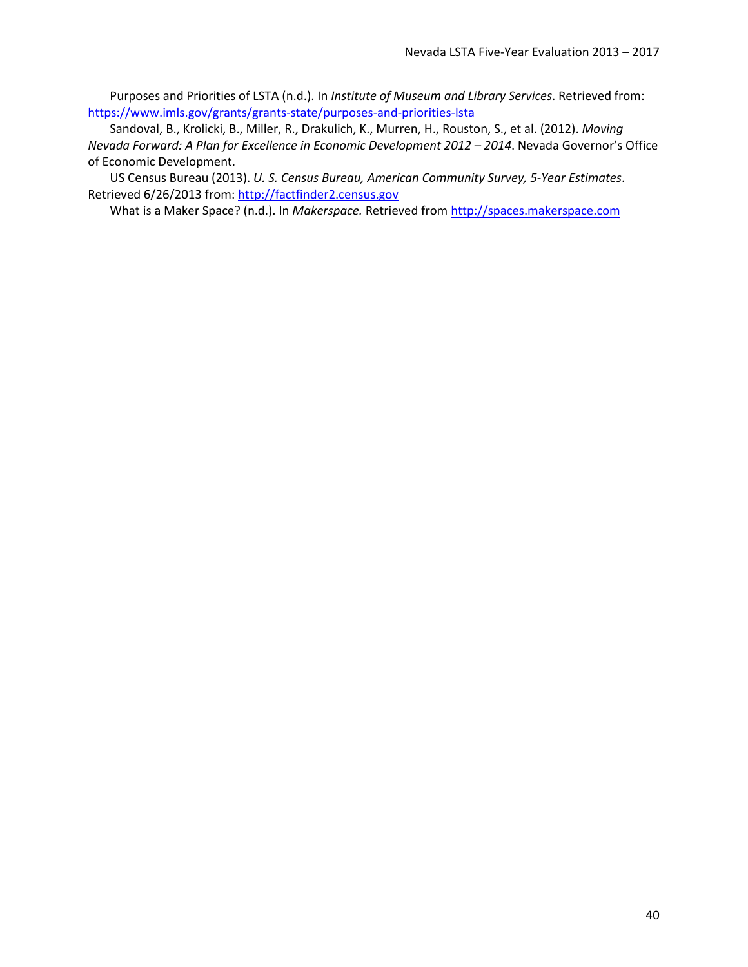Purposes and Priorities of LSTA (n.d.). In *Institute of Museum and Library Services*. Retrieved from: <https://www.imls.gov/grants/grants-state/purposes-and-priorities-lsta>

Sandoval, B., Krolicki, B., Miller, R., Drakulich, K., Murren, H., Rouston, S., et al. (2012). *Moving Nevada Forward: A Plan for Excellence in Economic Development 2012 – 2014*. Nevada Governor's Office of Economic Development.

US Census Bureau (2013). *U. S. Census Bureau, American Community Survey, 5-Year Estimates*. Retrieved 6/26/2013 from: [http://factfinder2.census.gov](http://factfinder2.census.gov/)

What is a Maker Space? (n.d.). In *Makerspace.* Retrieved from [http://spaces.makerspace.com](http://spaces.makerspace.com/)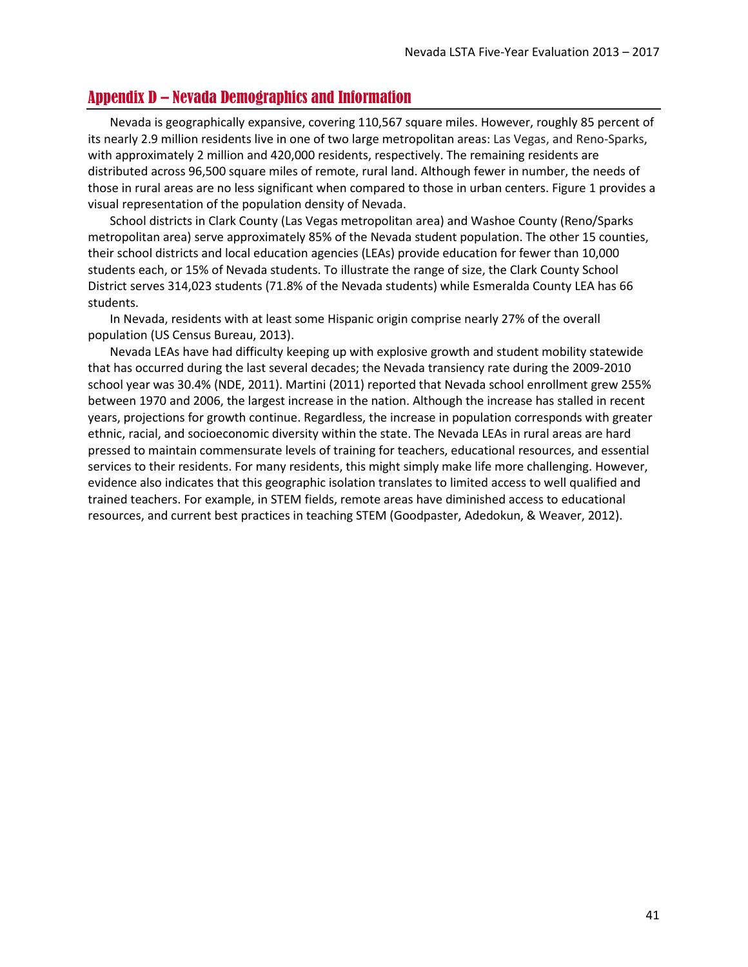## <span id="page-40-0"></span>Appendix D – Nevada Demographics and Information

Nevada is geographically expansive, covering 110,567 square miles. However, roughly 85 percent of its nearly 2.9 million residents live in one of two large metropolitan areas: Las Vegas, and Reno-Sparks, with approximately 2 million and 420,000 residents, respectively. The remaining residents are distributed across 96,500 square miles of remote, rural land. Although fewer in number, the needs of those in rural areas are no less significant when compared to those in urban centers. [Figure 1](#page-41-0) provides a visual representation of the population density of Nevada.

School districts in Clark County (Las Vegas metropolitan area) and Washoe County (Reno/Sparks metropolitan area) serve approximately 85% of the Nevada student population. The other 15 counties, their school districts and local education agencies (LEAs) provide education for fewer than 10,000 students each, or 15% of Nevada students. To illustrate the range of size, the Clark County School District serves 314,023 students (71.8% of the Nevada students) while Esmeralda County LEA has 66 students.

In Nevada, residents with at least some Hispanic origin comprise nearly 27% of the overall population (US Census Bureau, 2013).

Nevada LEAs have had difficulty keeping up with explosive growth and student mobility statewide that has occurred during the last several decades; the Nevada transiency rate during the 2009-2010 school year was 30.4% (NDE, 2011). Martini (2011) reported that Nevada school enrollment grew 255% between 1970 and 2006, the largest increase in the nation. Although the increase has stalled in recent years, projections for growth continue. Regardless, the increase in population corresponds with greater ethnic, racial, and socioeconomic diversity within the state. The Nevada LEAs in rural areas are hard pressed to maintain commensurate levels of training for teachers, educational resources, and essential services to their residents. For many residents, this might simply make life more challenging. However, evidence also indicates that this geographic isolation translates to limited access to well qualified and trained teachers. For example, in STEM fields, remote areas have diminished access to educational resources, and current best practices in teaching STEM (Goodpaster, Adedokun, & Weaver, 2012).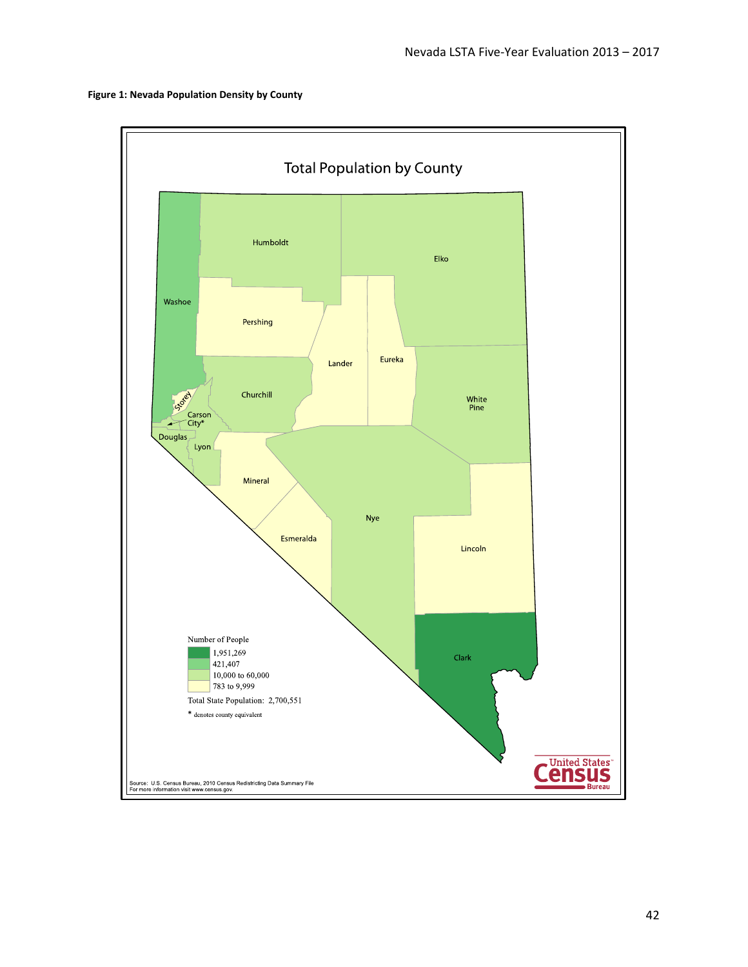<span id="page-41-0"></span>

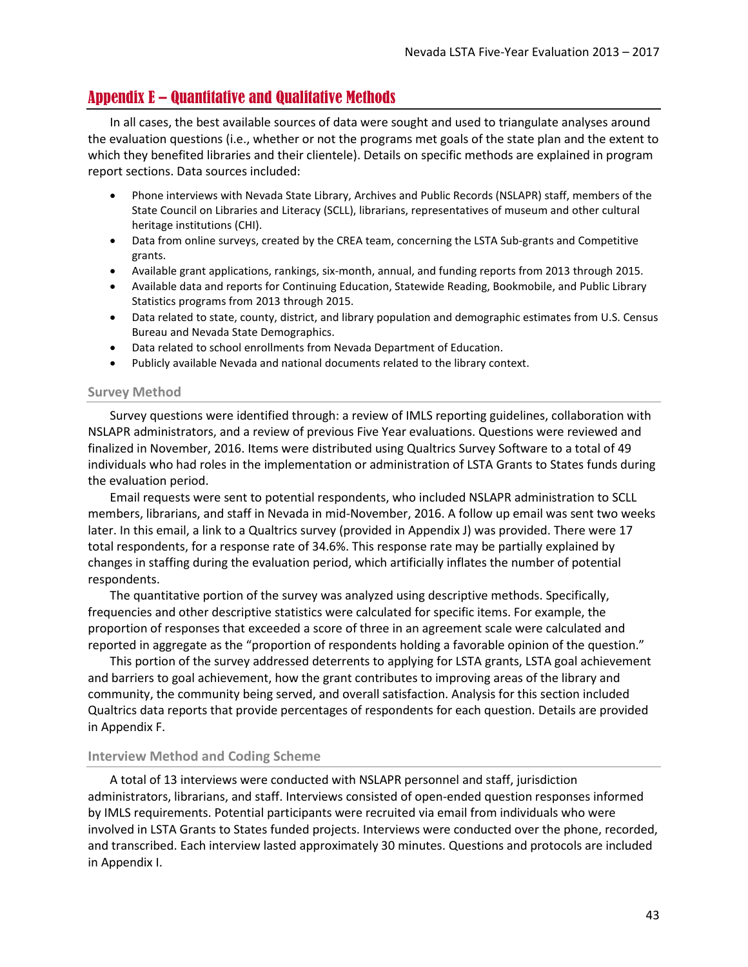## <span id="page-42-0"></span>Appendix E – Quantitative and Qualitative Methods

In all cases, the best available sources of data were sought and used to triangulate analyses around the evaluation questions (i.e., whether or not the programs met goals of the state plan and the extent to which they benefited libraries and their clientele). Details on specific methods are explained in program report sections. Data sources included:

- Phone interviews with Nevada State Library, Archives and Public Records (NSLAPR) staff, members of the State Council on Libraries and Literacy (SCLL), librarians, representatives of museum and other cultural heritage institutions (CHI).
- Data from online surveys, created by the CREA team, concerning the LSTA Sub-grants and Competitive grants.
- Available grant applications, rankings, six-month, annual, and funding reports from 2013 through 2015.
- Available data and reports for Continuing Education, Statewide Reading, Bookmobile, and Public Library Statistics programs from 2013 through 2015.
- Data related to state, county, district, and library population and demographic estimates from U.S. Census Bureau and Nevada State Demographics.
- Data related to school enrollments from Nevada Department of Education.
- Publicly available Nevada and national documents related to the library context.

#### **Survey Method**

Survey questions were identified through: a review of IMLS reporting guidelines, collaboration with NSLAPR administrators, and a review of previous Five Year evaluations. Questions were reviewed and finalized in November, 2016. Items were distributed using Qualtrics Survey Software to a total of 49 individuals who had roles in the implementation or administration of LSTA Grants to States funds during the evaluation period.

Email requests were sent to potential respondents, who included NSLAPR administration to SCLL members, librarians, and staff in Nevada in mid-November, 2016. A follow up email was sent two weeks later. In this email, a link to a Qualtrics survey (provided in [Appendix J\)](#page-54-0) was provided. There were 17 total respondents, for a response rate of 34.6%. This response rate may be partially explained by changes in staffing during the evaluation period, which artificially inflates the number of potential respondents.

The quantitative portion of the survey was analyzed using descriptive methods. Specifically, frequencies and other descriptive statistics were calculated for specific items. For example, the proportion of responses that exceeded a score of three in an agreement scale were calculated and reported in aggregate as the "proportion of respondents holding a favorable opinion of the question."

This portion of the survey addressed deterrents to applying for LSTA grants, LSTA goal achievement and barriers to goal achievement, how the grant contributes to improving areas of the library and community, the community being served, and overall satisfaction. Analysis for this section included Qualtrics data reports that provide percentages of respondents for each question. Details are provided in [Appendix F.](#page-46-0)

#### **Interview Method and Coding Scheme**

A total of 13 interviews were conducted with NSLAPR personnel and staff, jurisdiction administrators, librarians, and staff. Interviews consisted of open-ended question responses informed by IMLS requirements. Potential participants were recruited via email from individuals who were involved in LSTA Grants to States funded projects. Interviews were conducted over the phone, recorded, and transcribed. Each interview lasted approximately 30 minutes. Questions and protocols are included in [Appendix I.](#page-53-0)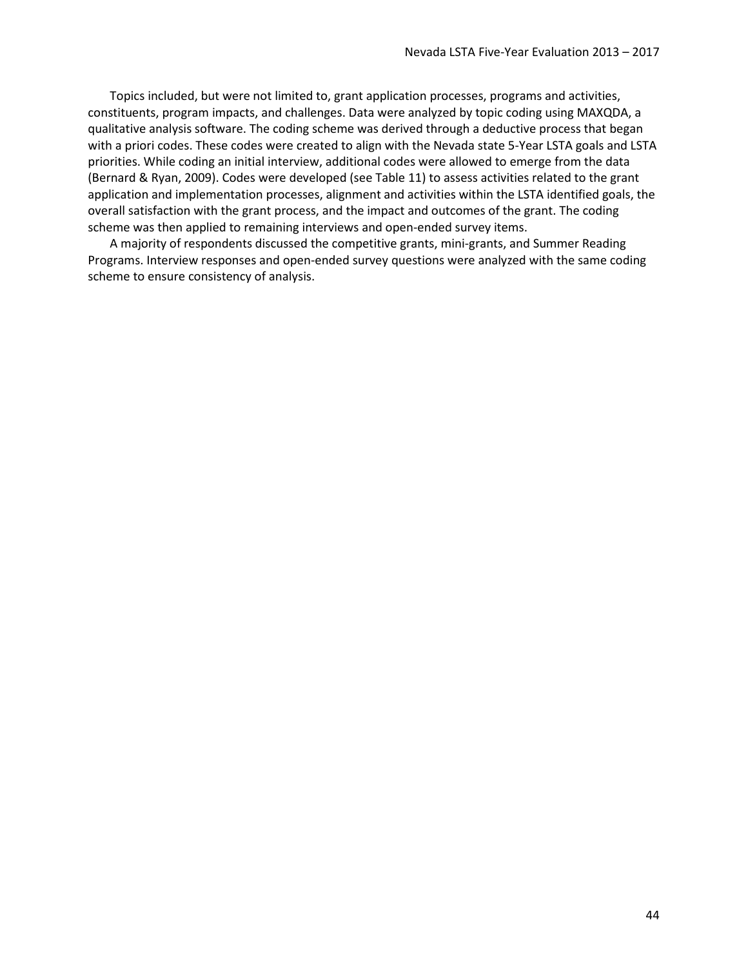Topics included, but were not limited to, grant application processes, programs and activities, constituents, program impacts, and challenges. Data were analyzed by topic coding using MAXQDA, a qualitative analysis software. The coding scheme was derived through a deductive process that began with a priori codes. These codes were created to align with the Nevada state 5-Year LSTA goals and LSTA priorities. While coding an initial interview, additional codes were allowed to emerge from the data (Bernard & Ryan, 2009). Codes were developed (se[e Table 11\)](#page-44-0) to assess activities related to the grant application and implementation processes, alignment and activities within the LSTA identified goals, the overall satisfaction with the grant process, and the impact and outcomes of the grant. The coding scheme was then applied to remaining interviews and open-ended survey items.

A majority of respondents discussed the competitive grants, mini-grants, and Summer Reading Programs. Interview responses and open-ended survey questions were analyzed with the same coding scheme to ensure consistency of analysis.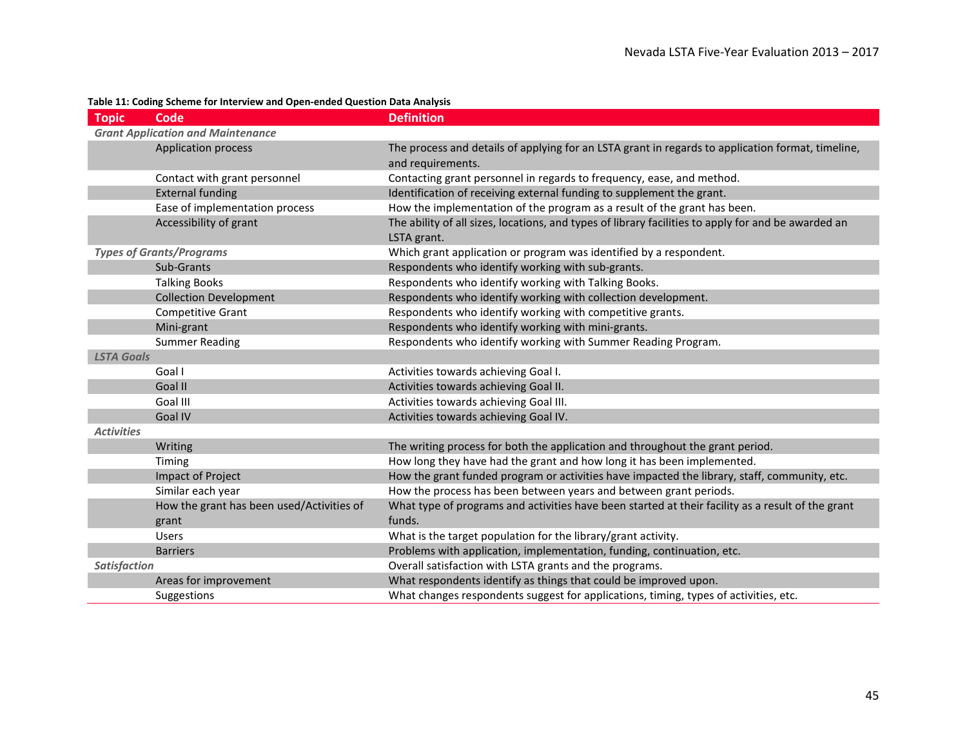#### **Table 11: Coding Scheme for Interview and Open-ended Question Data Analysis**

<span id="page-44-0"></span>

| <b>Topic</b>        | Code                                      | <b>Definition</b>                                                                                                  |
|---------------------|-------------------------------------------|--------------------------------------------------------------------------------------------------------------------|
|                     | <b>Grant Application and Maintenance</b>  |                                                                                                                    |
|                     | Application process                       | The process and details of applying for an LSTA grant in regards to application format, timeline,                  |
|                     |                                           | and requirements.                                                                                                  |
|                     | Contact with grant personnel              | Contacting grant personnel in regards to frequency, ease, and method.                                              |
|                     | <b>External funding</b>                   | Identification of receiving external funding to supplement the grant.                                              |
|                     | Ease of implementation process            | How the implementation of the program as a result of the grant has been.                                           |
|                     | Accessibility of grant                    | The ability of all sizes, locations, and types of library facilities to apply for and be awarded an<br>LSTA grant. |
|                     | <b>Types of Grants/Programs</b>           | Which grant application or program was identified by a respondent.                                                 |
|                     | Sub-Grants                                | Respondents who identify working with sub-grants.                                                                  |
|                     | <b>Talking Books</b>                      | Respondents who identify working with Talking Books.                                                               |
|                     | <b>Collection Development</b>             | Respondents who identify working with collection development.                                                      |
|                     | Competitive Grant                         | Respondents who identify working with competitive grants.                                                          |
|                     | Mini-grant                                | Respondents who identify working with mini-grants.                                                                 |
|                     | <b>Summer Reading</b>                     | Respondents who identify working with Summer Reading Program.                                                      |
| <b>LSTA Goals</b>   |                                           |                                                                                                                    |
|                     | Goal I                                    | Activities towards achieving Goal I.                                                                               |
|                     | Goal II                                   | Activities towards achieving Goal II.                                                                              |
|                     | Goal III                                  | Activities towards achieving Goal III.                                                                             |
|                     | <b>Goal IV</b>                            | Activities towards achieving Goal IV.                                                                              |
| <b>Activities</b>   |                                           |                                                                                                                    |
|                     | Writing                                   | The writing process for both the application and throughout the grant period.                                      |
|                     | Timing                                    | How long they have had the grant and how long it has been implemented.                                             |
|                     | Impact of Project                         | How the grant funded program or activities have impacted the library, staff, community, etc.                       |
|                     | Similar each year                         | How the process has been between years and between grant periods.                                                  |
|                     | How the grant has been used/Activities of | What type of programs and activities have been started at their facility as a result of the grant                  |
|                     | grant                                     | funds.                                                                                                             |
|                     | <b>Users</b>                              | What is the target population for the library/grant activity.                                                      |
|                     | <b>Barriers</b>                           | Problems with application, implementation, funding, continuation, etc.                                             |
| <b>Satisfaction</b> |                                           | Overall satisfaction with LSTA grants and the programs.                                                            |
|                     | Areas for improvement                     | What respondents identify as things that could be improved upon.                                                   |
|                     | Suggestions                               | What changes respondents suggest for applications, timing, types of activities, etc.                               |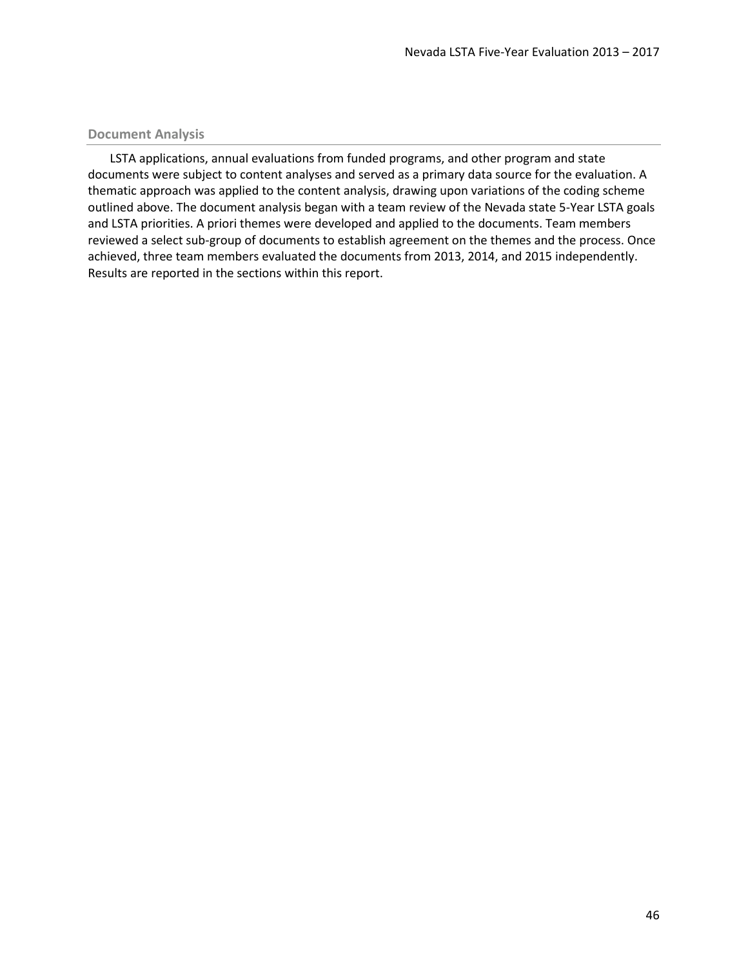#### **Document Analysis**

LSTA applications, annual evaluations from funded programs, and other program and state documents were subject to content analyses and served as a primary data source for the evaluation. A thematic approach was applied to the content analysis, drawing upon variations of the coding scheme outlined above. The document analysis began with a team review of the Nevada state 5-Year LSTA goals and LSTA priorities. A priori themes were developed and applied to the documents. Team members reviewed a select sub-group of documents to establish agreement on the themes and the process. Once achieved, three team members evaluated the documents from 2013, 2014, and 2015 independently. Results are reported in the sections within this report.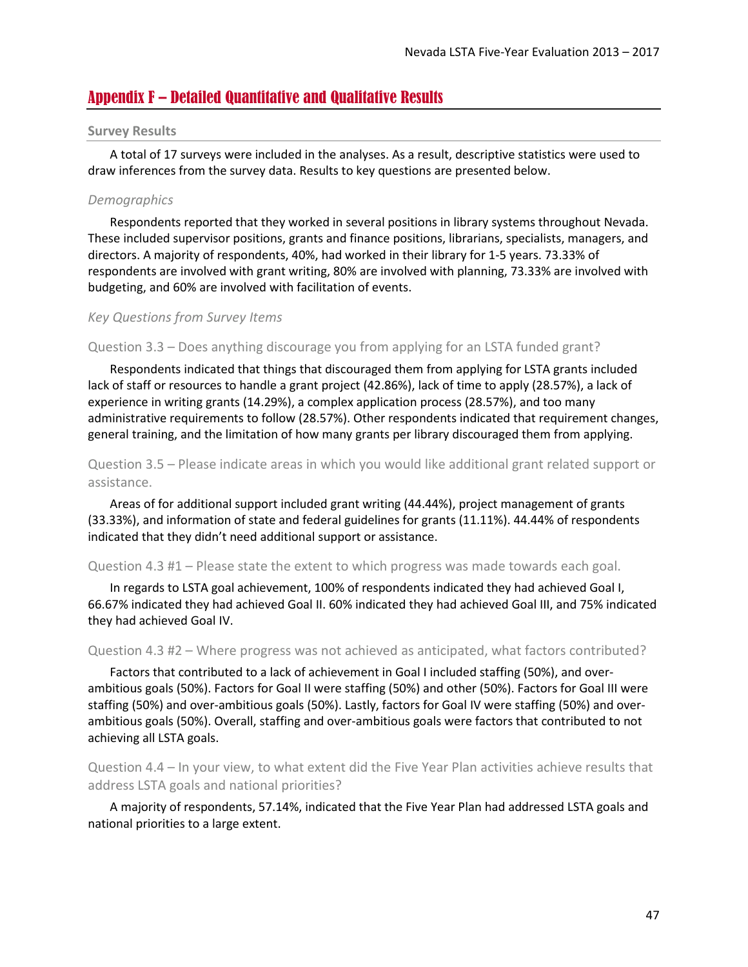## <span id="page-46-0"></span>Appendix F – Detailed Quantitative and Qualitative Results

#### **Survey Results**

A total of 17 surveys were included in the analyses. As a result, descriptive statistics were used to draw inferences from the survey data. Results to key questions are presented below.

#### *Demographics*

Respondents reported that they worked in several positions in library systems throughout Nevada. These included supervisor positions, grants and finance positions, librarians, specialists, managers, and directors. A majority of respondents, 40%, had worked in their library for 1-5 years. 73.33% of respondents are involved with grant writing, 80% are involved with planning, 73.33% are involved with budgeting, and 60% are involved with facilitation of events.

#### *Key Questions from Survey Items*

Question 3.3 – Does anything discourage you from applying for an LSTA funded grant?

Respondents indicated that things that discouraged them from applying for LSTA grants included lack of staff or resources to handle a grant project (42.86%), lack of time to apply (28.57%), a lack of experience in writing grants (14.29%), a complex application process (28.57%), and too many administrative requirements to follow (28.57%). Other respondents indicated that requirement changes, general training, and the limitation of how many grants per library discouraged them from applying.

### Question 3.5 – Please indicate areas in which you would like additional grant related support or assistance.

Areas of for additional support included grant writing (44.44%), project management of grants (33.33%), and information of state and federal guidelines for grants (11.11%). 44.44% of respondents indicated that they didn't need additional support or assistance.

#### Question 4.3 #1 – Please state the extent to which progress was made towards each goal.

In regards to LSTA goal achievement, 100% of respondents indicated they had achieved Goal I, 66.67% indicated they had achieved Goal II. 60% indicated they had achieved Goal III, and 75% indicated they had achieved Goal IV.

#### Question 4.3 #2 – Where progress was not achieved as anticipated, what factors contributed?

Factors that contributed to a lack of achievement in Goal I included staffing (50%), and overambitious goals (50%). Factors for Goal II were staffing (50%) and other (50%). Factors for Goal III were staffing (50%) and over-ambitious goals (50%). Lastly, factors for Goal IV were staffing (50%) and overambitious goals (50%). Overall, staffing and over-ambitious goals were factors that contributed to not achieving all LSTA goals.

Question 4.4 – In your view, to what extent did the Five Year Plan activities achieve results that address LSTA goals and national priorities?

A majority of respondents, 57.14%, indicated that the Five Year Plan had addressed LSTA goals and national priorities to a large extent.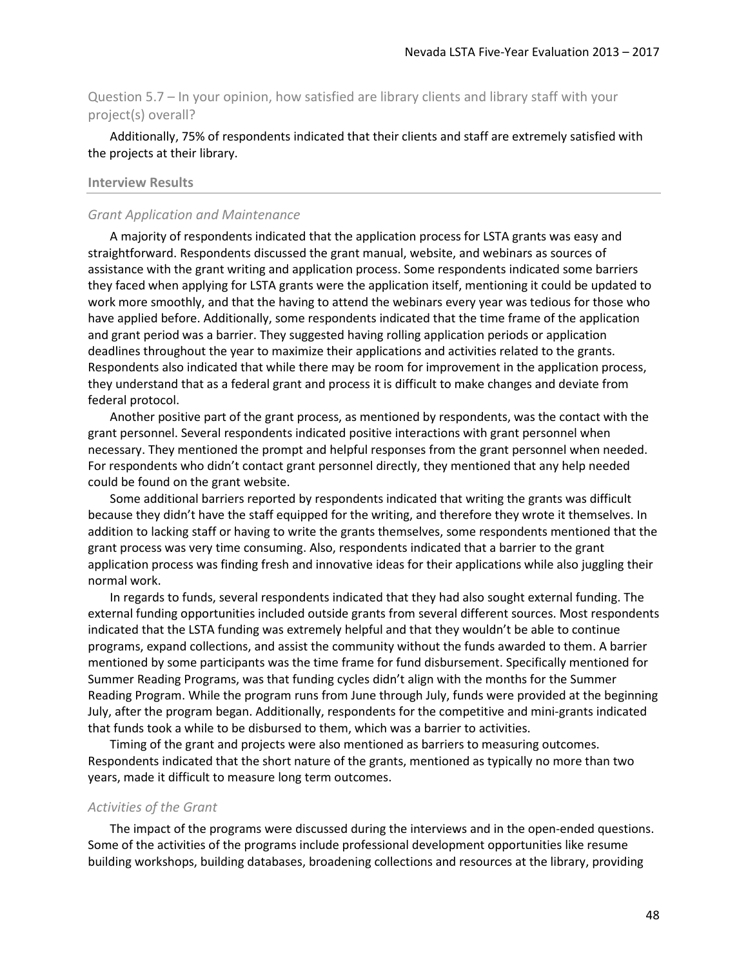Question 5.7 – In your opinion, how satisfied are library clients and library staff with your project(s) overall?

Additionally, 75% of respondents indicated that their clients and staff are extremely satisfied with the projects at their library.

#### **Interview Results**

#### *Grant Application and Maintenance*

A majority of respondents indicated that the application process for LSTA grants was easy and straightforward. Respondents discussed the grant manual, website, and webinars as sources of assistance with the grant writing and application process. Some respondents indicated some barriers they faced when applying for LSTA grants were the application itself, mentioning it could be updated to work more smoothly, and that the having to attend the webinars every year was tedious for those who have applied before. Additionally, some respondents indicated that the time frame of the application and grant period was a barrier. They suggested having rolling application periods or application deadlines throughout the year to maximize their applications and activities related to the grants. Respondents also indicated that while there may be room for improvement in the application process, they understand that as a federal grant and process it is difficult to make changes and deviate from federal protocol.

Another positive part of the grant process, as mentioned by respondents, was the contact with the grant personnel. Several respondents indicated positive interactions with grant personnel when necessary. They mentioned the prompt and helpful responses from the grant personnel when needed. For respondents who didn't contact grant personnel directly, they mentioned that any help needed could be found on the grant website.

Some additional barriers reported by respondents indicated that writing the grants was difficult because they didn't have the staff equipped for the writing, and therefore they wrote it themselves. In addition to lacking staff or having to write the grants themselves, some respondents mentioned that the grant process was very time consuming. Also, respondents indicated that a barrier to the grant application process was finding fresh and innovative ideas for their applications while also juggling their normal work.

In regards to funds, several respondents indicated that they had also sought external funding. The external funding opportunities included outside grants from several different sources. Most respondents indicated that the LSTA funding was extremely helpful and that they wouldn't be able to continue programs, expand collections, and assist the community without the funds awarded to them. A barrier mentioned by some participants was the time frame for fund disbursement. Specifically mentioned for Summer Reading Programs, was that funding cycles didn't align with the months for the Summer Reading Program. While the program runs from June through July, funds were provided at the beginning July, after the program began. Additionally, respondents for the competitive and mini-grants indicated that funds took a while to be disbursed to them, which was a barrier to activities.

Timing of the grant and projects were also mentioned as barriers to measuring outcomes. Respondents indicated that the short nature of the grants, mentioned as typically no more than two years, made it difficult to measure long term outcomes.

#### *Activities of the Grant*

The impact of the programs were discussed during the interviews and in the open-ended questions. Some of the activities of the programs include professional development opportunities like resume building workshops, building databases, broadening collections and resources at the library, providing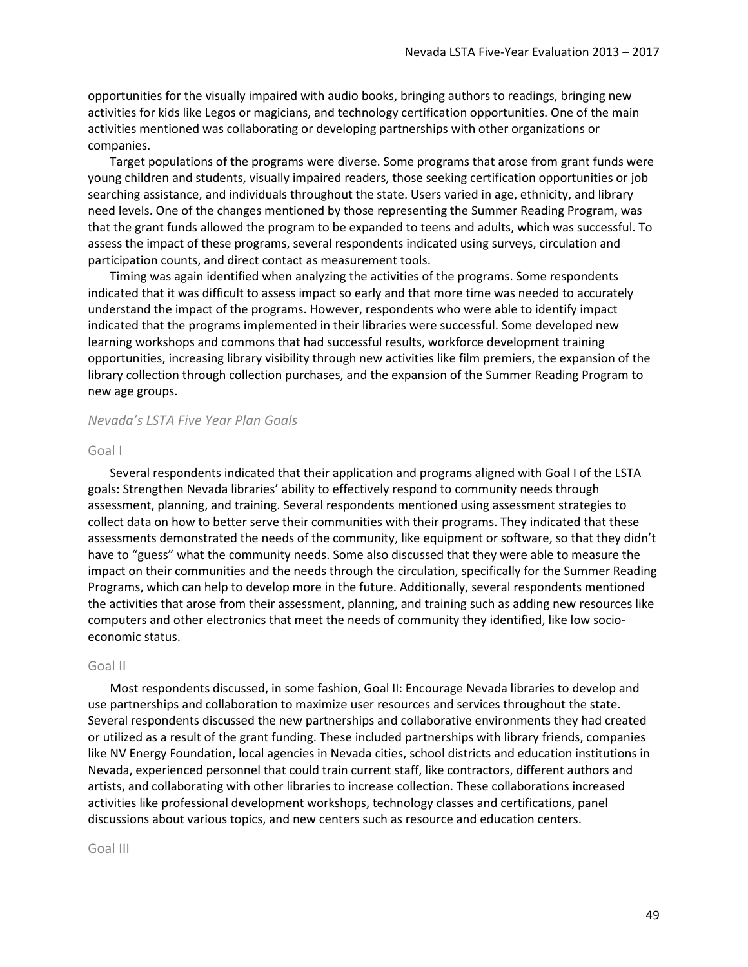opportunities for the visually impaired with audio books, bringing authors to readings, bringing new activities for kids like Legos or magicians, and technology certification opportunities. One of the main activities mentioned was collaborating or developing partnerships with other organizations or companies.

Target populations of the programs were diverse. Some programs that arose from grant funds were young children and students, visually impaired readers, those seeking certification opportunities or job searching assistance, and individuals throughout the state. Users varied in age, ethnicity, and library need levels. One of the changes mentioned by those representing the Summer Reading Program, was that the grant funds allowed the program to be expanded to teens and adults, which was successful. To assess the impact of these programs, several respondents indicated using surveys, circulation and participation counts, and direct contact as measurement tools.

Timing was again identified when analyzing the activities of the programs. Some respondents indicated that it was difficult to assess impact so early and that more time was needed to accurately understand the impact of the programs. However, respondents who were able to identify impact indicated that the programs implemented in their libraries were successful. Some developed new learning workshops and commons that had successful results, workforce development training opportunities, increasing library visibility through new activities like film premiers, the expansion of the library collection through collection purchases, and the expansion of the Summer Reading Program to new age groups.

#### *Nevada's LSTA Five Year Plan Goals*

#### Goal I

Several respondents indicated that their application and programs aligned with Goal I of the LSTA goals: Strengthen Nevada libraries' ability to effectively respond to community needs through assessment, planning, and training. Several respondents mentioned using assessment strategies to collect data on how to better serve their communities with their programs. They indicated that these assessments demonstrated the needs of the community, like equipment or software, so that they didn't have to "guess" what the community needs. Some also discussed that they were able to measure the impact on their communities and the needs through the circulation, specifically for the Summer Reading Programs, which can help to develop more in the future. Additionally, several respondents mentioned the activities that arose from their assessment, planning, and training such as adding new resources like computers and other electronics that meet the needs of community they identified, like low socioeconomic status.

#### Goal II

Most respondents discussed, in some fashion, Goal II: Encourage Nevada libraries to develop and use partnerships and collaboration to maximize user resources and services throughout the state. Several respondents discussed the new partnerships and collaborative environments they had created or utilized as a result of the grant funding. These included partnerships with library friends, companies like NV Energy Foundation, local agencies in Nevada cities, school districts and education institutions in Nevada, experienced personnel that could train current staff, like contractors, different authors and artists, and collaborating with other libraries to increase collection. These collaborations increased activities like professional development workshops, technology classes and certifications, panel discussions about various topics, and new centers such as resource and education centers.

#### Goal III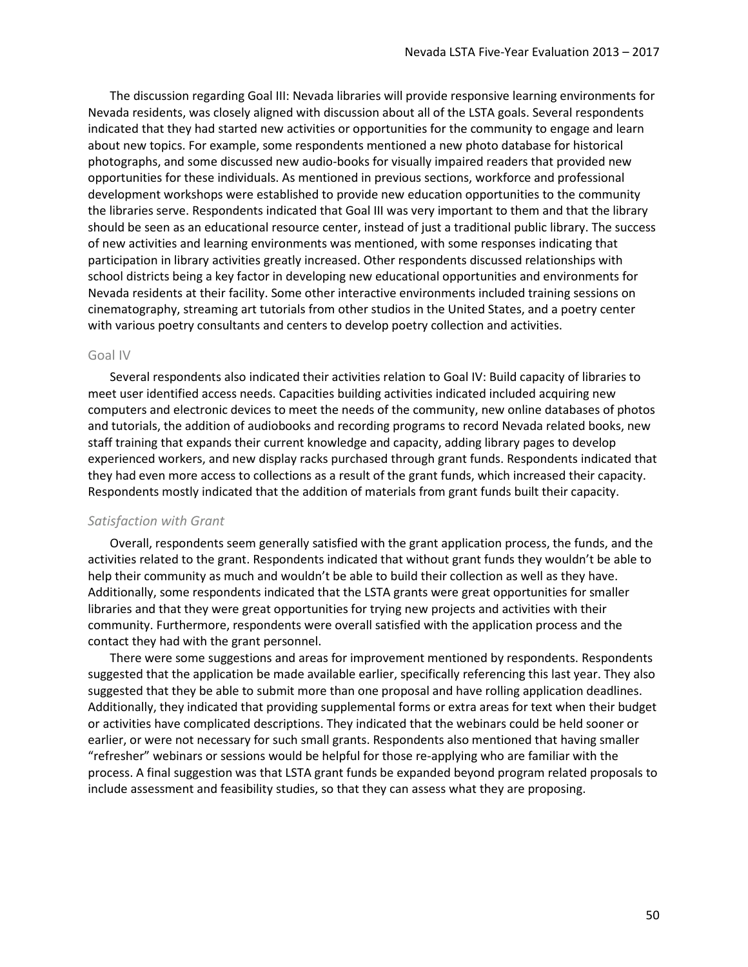The discussion regarding Goal III: Nevada libraries will provide responsive learning environments for Nevada residents, was closely aligned with discussion about all of the LSTA goals. Several respondents indicated that they had started new activities or opportunities for the community to engage and learn about new topics. For example, some respondents mentioned a new photo database for historical photographs, and some discussed new audio-books for visually impaired readers that provided new opportunities for these individuals. As mentioned in previous sections, workforce and professional development workshops were established to provide new education opportunities to the community the libraries serve. Respondents indicated that Goal III was very important to them and that the library should be seen as an educational resource center, instead of just a traditional public library. The success of new activities and learning environments was mentioned, with some responses indicating that participation in library activities greatly increased. Other respondents discussed relationships with school districts being a key factor in developing new educational opportunities and environments for Nevada residents at their facility. Some other interactive environments included training sessions on cinematography, streaming art tutorials from other studios in the United States, and a poetry center with various poetry consultants and centers to develop poetry collection and activities.

#### Goal IV

Several respondents also indicated their activities relation to Goal IV: Build capacity of libraries to meet user identified access needs. Capacities building activities indicated included acquiring new computers and electronic devices to meet the needs of the community, new online databases of photos and tutorials, the addition of audiobooks and recording programs to record Nevada related books, new staff training that expands their current knowledge and capacity, adding library pages to develop experienced workers, and new display racks purchased through grant funds. Respondents indicated that they had even more access to collections as a result of the grant funds, which increased their capacity. Respondents mostly indicated that the addition of materials from grant funds built their capacity.

#### *Satisfaction with Grant*

Overall, respondents seem generally satisfied with the grant application process, the funds, and the activities related to the grant. Respondents indicated that without grant funds they wouldn't be able to help their community as much and wouldn't be able to build their collection as well as they have. Additionally, some respondents indicated that the LSTA grants were great opportunities for smaller libraries and that they were great opportunities for trying new projects and activities with their community. Furthermore, respondents were overall satisfied with the application process and the contact they had with the grant personnel.

There were some suggestions and areas for improvement mentioned by respondents. Respondents suggested that the application be made available earlier, specifically referencing this last year. They also suggested that they be able to submit more than one proposal and have rolling application deadlines. Additionally, they indicated that providing supplemental forms or extra areas for text when their budget or activities have complicated descriptions. They indicated that the webinars could be held sooner or earlier, or were not necessary for such small grants. Respondents also mentioned that having smaller "refresher" webinars or sessions would be helpful for those re-applying who are familiar with the process. A final suggestion was that LSTA grant funds be expanded beyond program related proposals to include assessment and feasibility studies, so that they can assess what they are proposing.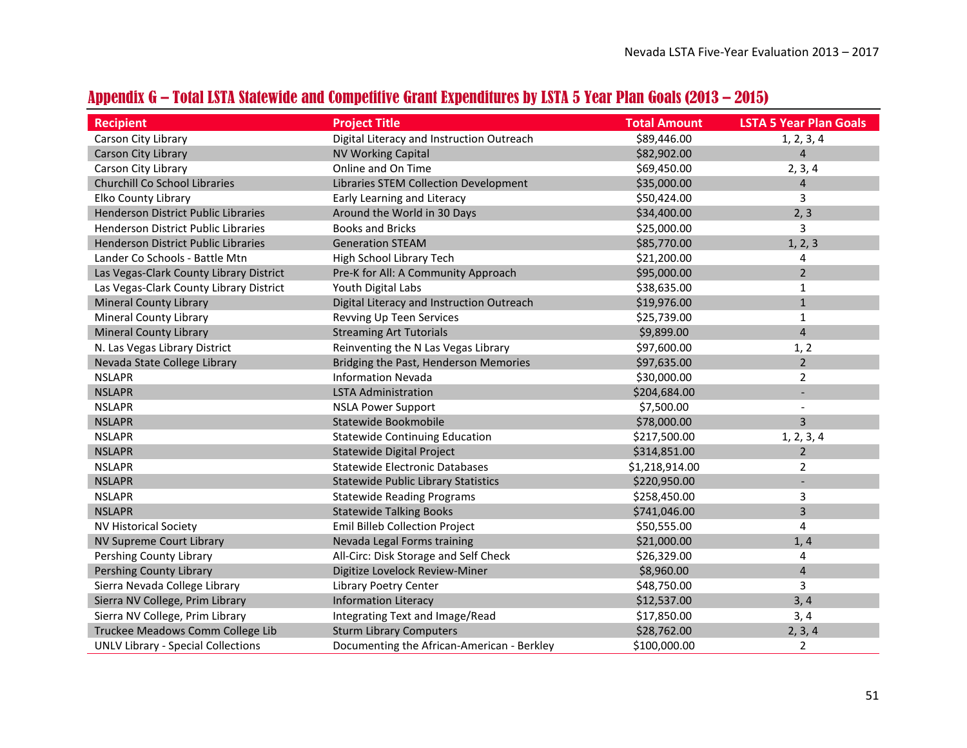<span id="page-50-0"></span>

| <b>Recipient</b>                          | <b>Project Title</b>                       | <b>Total Amount</b> | <b>LSTA 5 Year Plan Goals</b> |
|-------------------------------------------|--------------------------------------------|---------------------|-------------------------------|
| Carson City Library                       | Digital Literacy and Instruction Outreach  | \$89,446.00         | 1, 2, 3, 4                    |
| Carson City Library                       | <b>NV Working Capital</b>                  | \$82,902.00         | $\overline{4}$                |
| Carson City Library                       | Online and On Time                         | \$69,450.00         | 2, 3, 4                       |
| <b>Churchill Co School Libraries</b>      | Libraries STEM Collection Development      | \$35,000.00         | $\overline{4}$                |
| Elko County Library                       | Early Learning and Literacy                | \$50,424.00         | 3                             |
| Henderson District Public Libraries       | Around the World in 30 Days                | \$34,400.00         | 2, 3                          |
| Henderson District Public Libraries       | <b>Books and Bricks</b>                    | \$25,000.00         | 3                             |
| Henderson District Public Libraries       | <b>Generation STEAM</b>                    | \$85,770.00         | 1, 2, 3                       |
| Lander Co Schools - Battle Mtn            | High School Library Tech                   | \$21,200.00         | 4                             |
| Las Vegas-Clark County Library District   | Pre-K for All: A Community Approach        | \$95,000.00         | $\overline{2}$                |
| Las Vegas-Clark County Library District   | Youth Digital Labs                         | \$38,635.00         | $\mathbf{1}$                  |
| <b>Mineral County Library</b>             | Digital Literacy and Instruction Outreach  | \$19,976.00         | $\mathbf{1}$                  |
| <b>Mineral County Library</b>             | Revving Up Teen Services                   | \$25,739.00         | $\mathbf{1}$                  |
| <b>Mineral County Library</b>             | <b>Streaming Art Tutorials</b>             | \$9,899.00          | $\overline{4}$                |
| N. Las Vegas Library District             | Reinventing the N Las Vegas Library        | \$97,600.00         | 1, 2                          |
| Nevada State College Library              | Bridging the Past, Henderson Memories      | \$97,635.00         | $\overline{2}$                |
| <b>NSLAPR</b>                             | <b>Information Nevada</b>                  | \$30,000.00         | $\overline{2}$                |
| <b>NSLAPR</b>                             | <b>LSTA Administration</b>                 | \$204,684.00        |                               |
| <b>NSLAPR</b>                             | <b>NSLA Power Support</b>                  | \$7,500.00          |                               |
| <b>NSLAPR</b>                             | Statewide Bookmobile                       | \$78,000.00         | 3                             |
| <b>NSLAPR</b>                             | <b>Statewide Continuing Education</b>      | \$217,500.00        | 1, 2, 3, 4                    |
| <b>NSLAPR</b>                             | Statewide Digital Project                  | \$314,851.00        | $\overline{2}$                |
| <b>NSLAPR</b>                             | <b>Statewide Electronic Databases</b>      | \$1,218,914.00      | 2                             |
| <b>NSLAPR</b>                             | <b>Statewide Public Library Statistics</b> | \$220,950.00        |                               |
| <b>NSLAPR</b>                             | <b>Statewide Reading Programs</b>          | \$258,450.00        | 3                             |
| <b>NSLAPR</b>                             | <b>Statewide Talking Books</b>             | \$741,046.00        | 3                             |
| <b>NV Historical Society</b>              | <b>Emil Billeb Collection Project</b>      | \$50,555.00         | 4                             |
| NV Supreme Court Library                  | Nevada Legal Forms training                | \$21,000.00         | 1, 4                          |
| Pershing County Library                   | All-Circ: Disk Storage and Self Check      | \$26,329.00         | 4                             |
| Pershing County Library                   | Digitize Lovelock Review-Miner             | \$8,960.00          | 4                             |
| Sierra Nevada College Library             | Library Poetry Center                      | \$48,750.00         | 3                             |
| Sierra NV College, Prim Library           | <b>Information Literacy</b>                | \$12,537.00         | 3,4                           |
| Sierra NV College, Prim Library           | Integrating Text and Image/Read            | \$17,850.00         | 3, 4                          |
| Truckee Meadows Comm College Lib          | <b>Sturm Library Computers</b>             | \$28,762.00         | 2, 3, 4                       |
| <b>UNLV Library - Special Collections</b> | Documenting the African-American - Berkley | \$100,000.00        | $\overline{2}$                |

## Appendix G – Total LSTA Statewide and Competitive Grant Expenditures by LSTA 5 Year Plan Goals (2013 – 2015)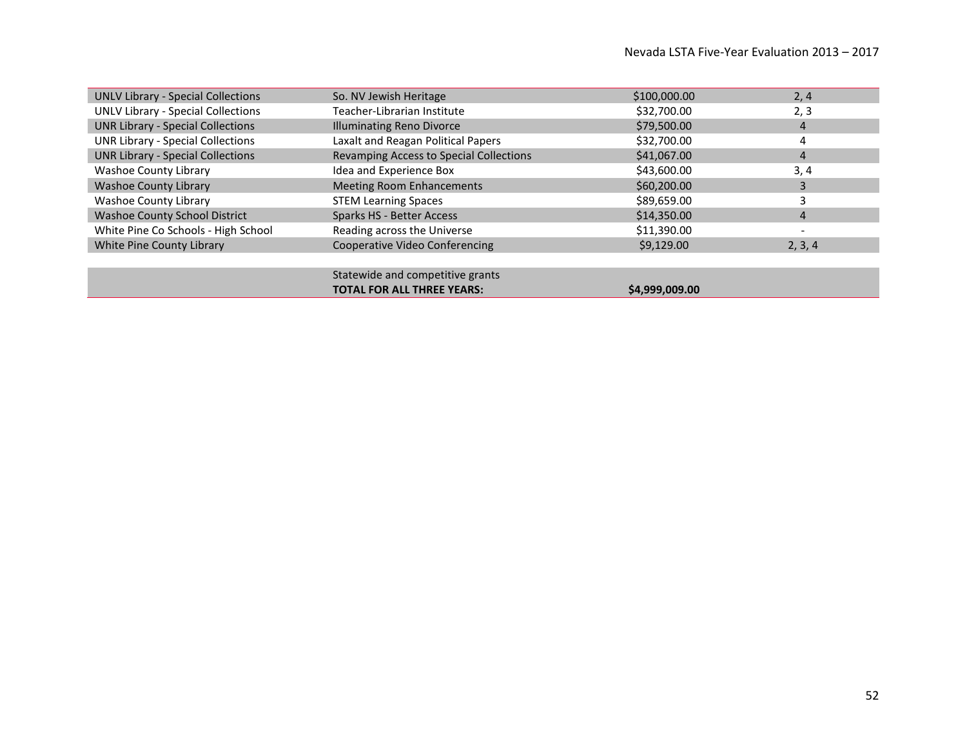| <b>UNLV Library - Special Collections</b> | So. NV Jewish Heritage                  | \$100,000.00 | 2, 4                     |
|-------------------------------------------|-----------------------------------------|--------------|--------------------------|
| <b>UNLV Library - Special Collections</b> | Teacher-Librarian Institute             | \$32,700.00  | 2, 3                     |
| <b>UNR Library - Special Collections</b>  | <b>Illuminating Reno Divorce</b>        | \$79,500.00  | 4                        |
| <b>UNR Library - Special Collections</b>  | Laxalt and Reagan Political Papers      | \$32,700.00  | 4                        |
| <b>UNR Library - Special Collections</b>  | Revamping Access to Special Collections | \$41,067.00  | 4                        |
| Washoe County Library                     | Idea and Experience Box                 | \$43,600.00  | 3, 4                     |
| <b>Washoe County Library</b>              | <b>Meeting Room Enhancements</b>        | \$60,200.00  | 3                        |
| <b>Washoe County Library</b>              | <b>STEM Learning Spaces</b>             | \$89,659.00  | 3                        |
| <b>Washoe County School District</b>      | <b>Sparks HS - Better Access</b>        | \$14,350.00  | 4                        |
| White Pine Co Schools - High School       | Reading across the Universe             | \$11,390.00  | $\overline{\phantom{a}}$ |
| White Pine County Library                 | Cooperative Video Conferencing          | \$9,129.00   | 2, 3, 4                  |
|                                           |                                         |              |                          |
|                                           | Statewide and competitive grants        |              |                          |

**TOTAL FOR ALL THREE YEARS:**  $$4,999,009.00$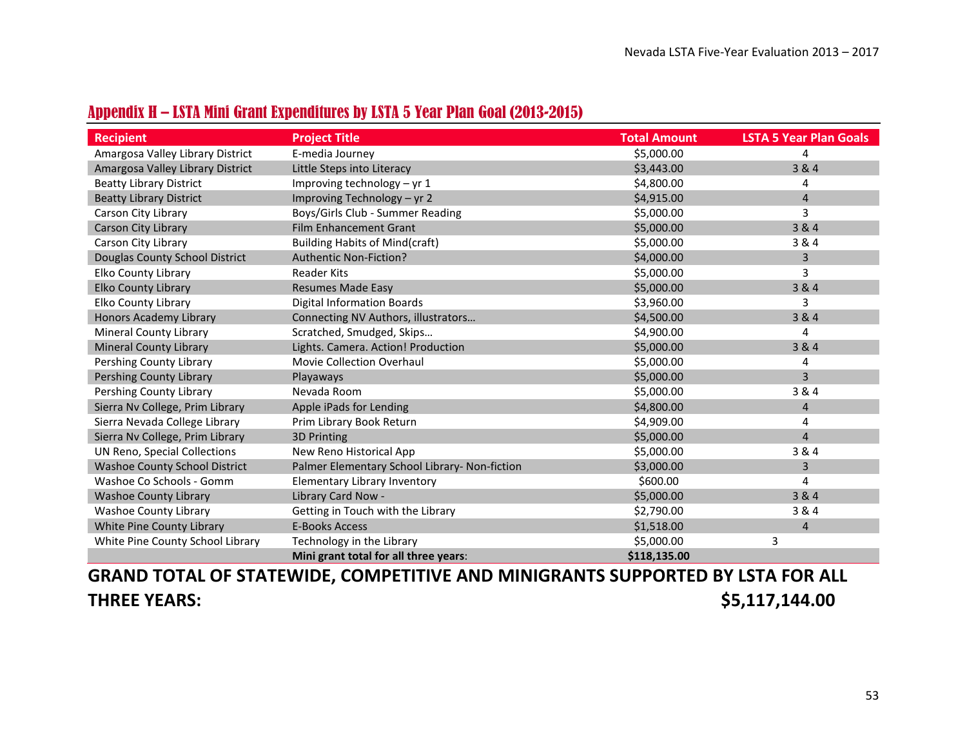<span id="page-52-0"></span>

| <b>Recipient</b>                     | <b>Project Title</b>                          | <b>Total Amount</b> | <b>LSTA 5 Year Plan Goals</b> |
|--------------------------------------|-----------------------------------------------|---------------------|-------------------------------|
| Amargosa Valley Library District     | E-media Journey                               | \$5,000.00          | 4                             |
| Amargosa Valley Library District     | Little Steps into Literacy                    | \$3,443.00          | 3 & 4                         |
| <b>Beatty Library District</b>       | Improving technology $-$ yr 1                 | \$4,800.00          | 4                             |
| <b>Beatty Library District</b>       | Improving Technology - yr 2                   | \$4,915.00          | $\overline{4}$                |
| Carson City Library                  | Boys/Girls Club - Summer Reading              | \$5,000.00          | 3                             |
| Carson City Library                  | <b>Film Enhancement Grant</b>                 | \$5,000.00          | 3 & 4                         |
| Carson City Library                  | <b>Building Habits of Mind(craft)</b>         | \$5,000.00          | 3 & 4                         |
| Douglas County School District       | <b>Authentic Non-Fiction?</b>                 | \$4,000.00          | 3                             |
| Elko County Library                  | <b>Reader Kits</b>                            | \$5,000.00          | 3                             |
| <b>Elko County Library</b>           | <b>Resumes Made Easy</b>                      | \$5,000.00          | 3 & 4                         |
| <b>Elko County Library</b>           | <b>Digital Information Boards</b>             | \$3,960.00          | 3                             |
| <b>Honors Academy Library</b>        | Connecting NV Authors, illustrators           | \$4,500.00          | 3 & 4                         |
| <b>Mineral County Library</b>        | Scratched, Smudged, Skips                     | \$4,900.00          | 4                             |
| <b>Mineral County Library</b>        | Lights. Camera. Action! Production            | \$5,000.00          | 3 & 4                         |
| Pershing County Library              | Movie Collection Overhaul                     | \$5,000.00          | 4                             |
| Pershing County Library              | Playaways                                     | \$5,000.00          | 3                             |
| Pershing County Library              | Nevada Room                                   | \$5,000.00          | 3 & 4                         |
| Sierra Nv College, Prim Library      | Apple iPads for Lending                       | \$4,800.00          | 4                             |
| Sierra Nevada College Library        | Prim Library Book Return                      | \$4,909.00          | 4                             |
| Sierra Nv College, Prim Library      | <b>3D Printing</b>                            | \$5,000.00          | $\overline{4}$                |
| UN Reno, Special Collections         | New Reno Historical App                       | \$5,000.00          | 3 & 4                         |
| <b>Washoe County School District</b> | Palmer Elementary School Library- Non-fiction | \$3,000.00          | 3                             |
| Washoe Co Schools - Gomm             | Elementary Library Inventory                  | \$600.00            | 4                             |
| <b>Washoe County Library</b>         | Library Card Now -                            | \$5,000.00          | 3 & 4                         |
| <b>Washoe County Library</b>         | Getting in Touch with the Library             | \$2,790.00          | 3 & 4                         |
| White Pine County Library            | <b>E-Books Access</b>                         | \$1,518.00          | 4                             |
| White Pine County School Library     | Technology in the Library                     | \$5,000.00          | 3                             |
|                                      | Mini grant total for all three years:         | \$118,135.00        |                               |

## Appendix H – LSTA Mini Grant Expenditures by LSTA 5 Year Plan Goal (2013-2015)

**GRAND TOTAL OF STATEWIDE, COMPETITIVE AND MINIGRANTS SUPPORTED BY LSTA FOR ALL THREE YEARS: \$5,117,144.00**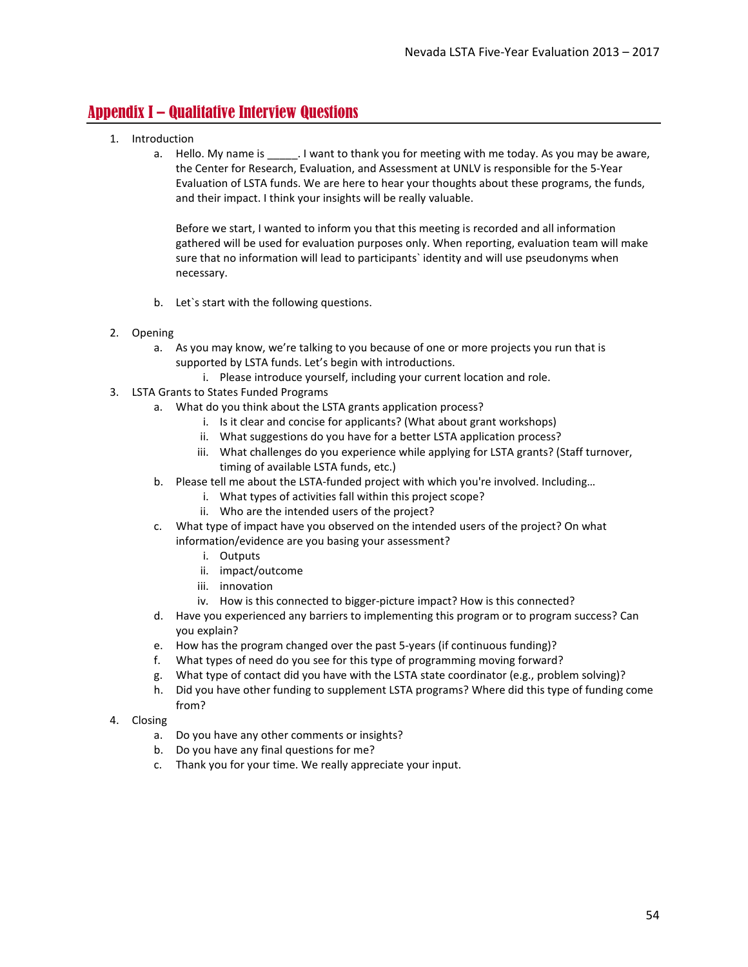## <span id="page-53-0"></span>Appendix I – Qualitative Interview Questions

- 1. Introduction
	- a. Hello. My name is \_\_\_\_\_\_. I want to thank you for meeting with me today. As you may be aware, the Center for Research, Evaluation, and Assessment at UNLV is responsible for the 5-Year Evaluation of LSTA funds. We are here to hear your thoughts about these programs, the funds, and their impact. I think your insights will be really valuable.

Before we start, I wanted to inform you that this meeting is recorded and all information gathered will be used for evaluation purposes only. When reporting, evaluation team will make sure that no information will lead to participants` identity and will use pseudonyms when necessary.

- b. Let`s start with the following questions.
- 2. Opening
	- a. As you may know, we're talking to you because of one or more projects you run that is supported by LSTA funds. Let's begin with introductions.
		- i. Please introduce yourself, including your current location and role.
- 3. LSTA Grants to States Funded Programs
	- a. What do you think about the LSTA grants application process?
		- i. Is it clear and concise for applicants? (What about grant workshops)
		- ii. What suggestions do you have for a better LSTA application process?
		- iii. What challenges do you experience while applying for LSTA grants? (Staff turnover, timing of available LSTA funds, etc.)
	- b. Please tell me about the LSTA-funded project with which you're involved. Including…
		- i. What types of activities fall within this project scope?
			- ii. Who are the intended users of the project?
	- c. What type of impact have you observed on the intended users of the project? On what information/evidence are you basing your assessment?
		- i. Outputs
		- ii. impact/outcome
		- iii. innovation
		- iv. How is this connected to bigger-picture impact? How is this connected?
	- d. Have you experienced any barriers to implementing this program or to program success? Can you explain?
	- e. How has the program changed over the past 5-years (if continuous funding)?
	- f. What types of need do you see for this type of programming moving forward?
	- g. What type of contact did you have with the LSTA state coordinator (e.g., problem solving)?
	- h. Did you have other funding to supplement LSTA programs? Where did this type of funding come from?
- 4. Closing
	- a. Do you have any other comments or insights?
	- b. Do you have any final questions for me?
	- c. Thank you for your time. We really appreciate your input.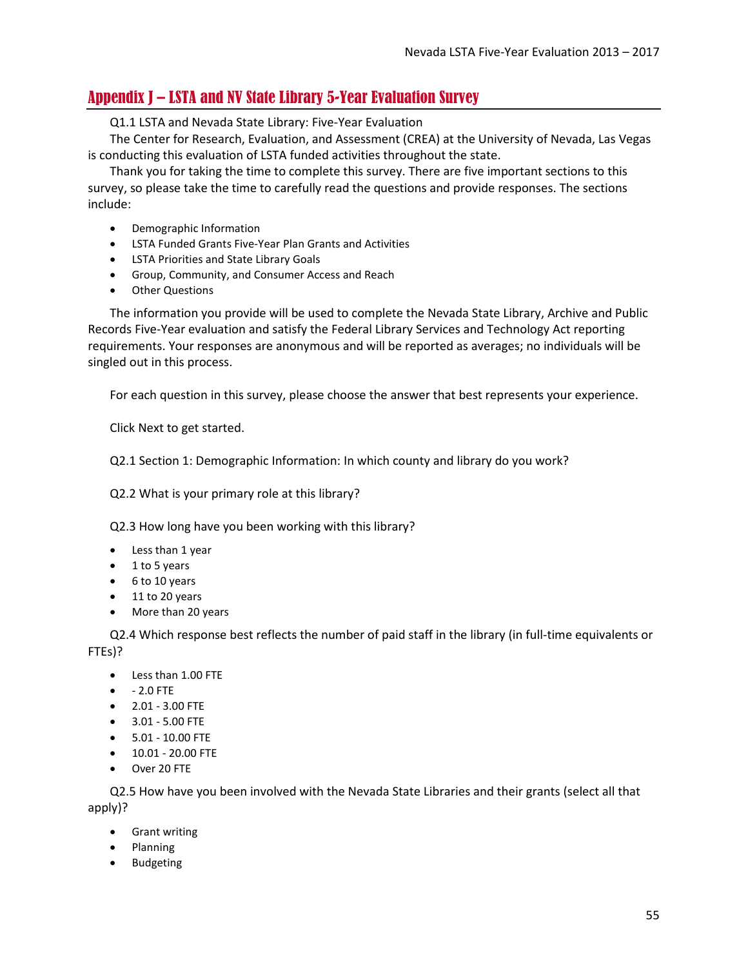## <span id="page-54-0"></span>Appendix J – LSTA and NV State Library 5-Year Evaluation Survey

Q1.1 LSTA and Nevada State Library: Five-Year Evaluation

The Center for Research, Evaluation, and Assessment (CREA) at the University of Nevada, Las Vegas is conducting this evaluation of LSTA funded activities throughout the state.

Thank you for taking the time to complete this survey. There are five important sections to this survey, so please take the time to carefully read the questions and provide responses. The sections include:

- Demographic Information
- LSTA Funded Grants Five-Year Plan Grants and Activities
- LSTA Priorities and State Library Goals
- Group, Community, and Consumer Access and Reach
- Other Questions

The information you provide will be used to complete the Nevada State Library, Archive and Public Records Five-Year evaluation and satisfy the Federal Library Services and Technology Act reporting requirements. Your responses are anonymous and will be reported as averages; no individuals will be singled out in this process.

For each question in this survey, please choose the answer that best represents your experience.

Click Next to get started.

Q2.1 Section 1: Demographic Information: In which county and library do you work?

Q2.2 What is your primary role at this library?

Q2.3 How long have you been working with this library?

- Less than 1 year
- 1 to 5 years
- 6 to 10 years
- 11 to 20 years
- More than 20 years

Q2.4 Which response best reflects the number of paid staff in the library (in full-time equivalents or FTEs)?

- Less than 1.00 FTE
- - 2.0 FTE
- 2.01 3.00 FTE
- 3.01 5.00 FTE
- 5.01 10.00 FTE
- 10.01 20.00 FTE
- Over 20 FTE

Q2.5 How have you been involved with the Nevada State Libraries and their grants (select all that apply)?

- Grant writing
- Planning
- Budgeting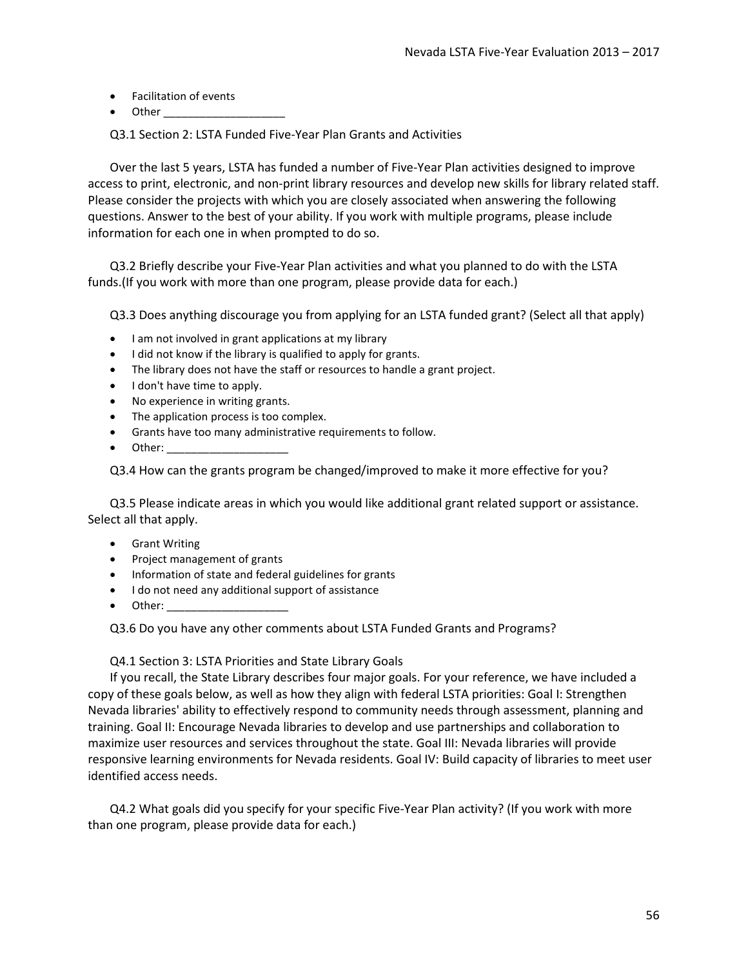- Facilitation of events
- $\bullet$  Other

Q3.1 Section 2: LSTA Funded Five-Year Plan Grants and Activities

Over the last 5 years, LSTA has funded a number of Five-Year Plan activities designed to improve access to print, electronic, and non-print library resources and develop new skills for library related staff. Please consider the projects with which you are closely associated when answering the following questions. Answer to the best of your ability. If you work with multiple programs, please include information for each one in when prompted to do so.

Q3.2 Briefly describe your Five-Year Plan activities and what you planned to do with the LSTA funds.(If you work with more than one program, please provide data for each.)

Q3.3 Does anything discourage you from applying for an LSTA funded grant? (Select all that apply)

- I am not involved in grant applications at my library
- I did not know if the library is qualified to apply for grants.
- The library does not have the staff or resources to handle a grant project.
- I don't have time to apply.
- No experience in writing grants.
- The application process is too complex.
- Grants have too many administrative requirements to follow.
- Other:

Q3.4 How can the grants program be changed/improved to make it more effective for you?

Q3.5 Please indicate areas in which you would like additional grant related support or assistance. Select all that apply.

- Grant Writing
- Project management of grants
- Information of state and federal guidelines for grants
- I do not need any additional support of assistance
- Other:

Q3.6 Do you have any other comments about LSTA Funded Grants and Programs?

Q4.1 Section 3: LSTA Priorities and State Library Goals

If you recall, the State Library describes four major goals. For your reference, we have included a copy of these goals below, as well as how they align with federal LSTA priorities: Goal I: Strengthen Nevada libraries' ability to effectively respond to community needs through assessment, planning and training. Goal II: Encourage Nevada libraries to develop and use partnerships and collaboration to maximize user resources and services throughout the state. Goal III: Nevada libraries will provide responsive learning environments for Nevada residents. Goal IV: Build capacity of libraries to meet user identified access needs.

Q4.2 What goals did you specify for your specific Five-Year Plan activity? (If you work with more than one program, please provide data for each.)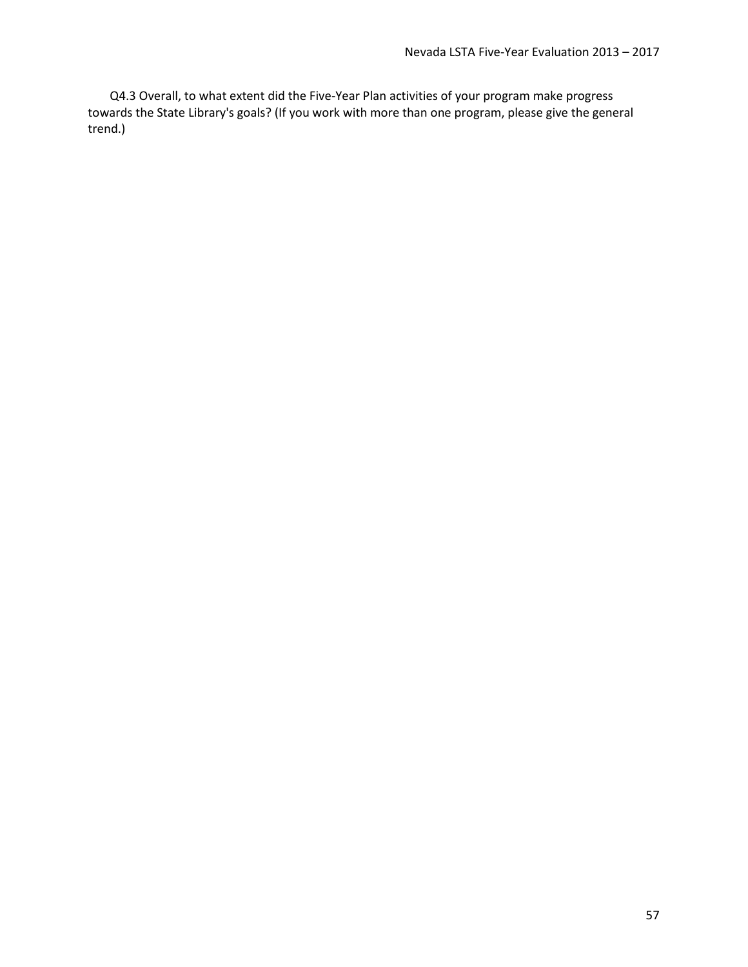Q4.3 Overall, to what extent did the Five-Year Plan activities of your program make progress towards the State Library's goals? (If you work with more than one program, please give the general trend.)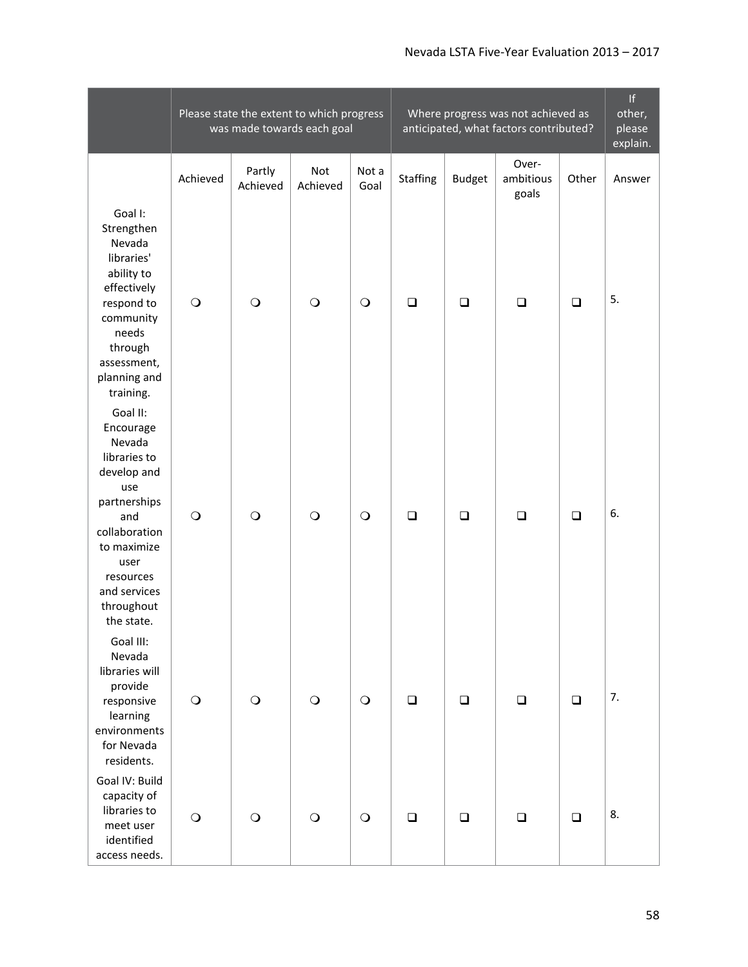## Nevada LSTA Five-Year Evaluation 2013 – 2017

|                                                                                                                                                                                               | Please state the extent to which progress<br>was made towards each goal |                    |                 |               | Where progress was not achieved as<br>anticipated, what factors contributed? |               |                             |        | f <br>other,<br>please<br>explain. |
|-----------------------------------------------------------------------------------------------------------------------------------------------------------------------------------------------|-------------------------------------------------------------------------|--------------------|-----------------|---------------|------------------------------------------------------------------------------|---------------|-----------------------------|--------|------------------------------------|
|                                                                                                                                                                                               | Achieved                                                                | Partly<br>Achieved | Not<br>Achieved | Not a<br>Goal | <b>Staffing</b>                                                              | <b>Budget</b> | Over-<br>ambitious<br>goals | Other  | Answer                             |
| Goal I:<br>Strengthen<br>Nevada<br>libraries'<br>ability to<br>effectively<br>respond to<br>community<br>needs<br>through<br>assessment,<br>planning and<br>training.                         | $\circ$                                                                 | $\circ$            | $\circ$         | $\bigcirc$    | $\Box$                                                                       | $\Box$        | $\Box$                      | $\Box$ | 5.                                 |
| Goal II:<br>Encourage<br>Nevada<br>libraries to<br>develop and<br>use<br>partnerships<br>and<br>collaboration<br>to maximize<br>user<br>resources<br>and services<br>throughout<br>the state. | $\circ$                                                                 | $\circ$            | $\circ$         | $\bigcirc$    | $\Box$                                                                       | $\Box$        | $\Box$                      | $\Box$ | 6.                                 |
| Goal III:<br>Nevada<br>libraries will<br>provide<br>responsive<br>learning<br>environments<br>for Nevada<br>residents.                                                                        | $\bigcirc$                                                              | $\bigcirc$         | $\bigcirc$      | $\bigcirc$    | $\Box$                                                                       | $\Box$        | $\Box$                      | $\Box$ | 7.                                 |
| Goal IV: Build<br>capacity of<br>libraries to<br>meet user<br>identified<br>access needs.                                                                                                     | $\bigcirc$                                                              | $\bigcirc$         | $\bigcirc$      | $\bigcirc$    | $\Box$                                                                       | $\Box$        | $\Box$                      | $\Box$ | 8.                                 |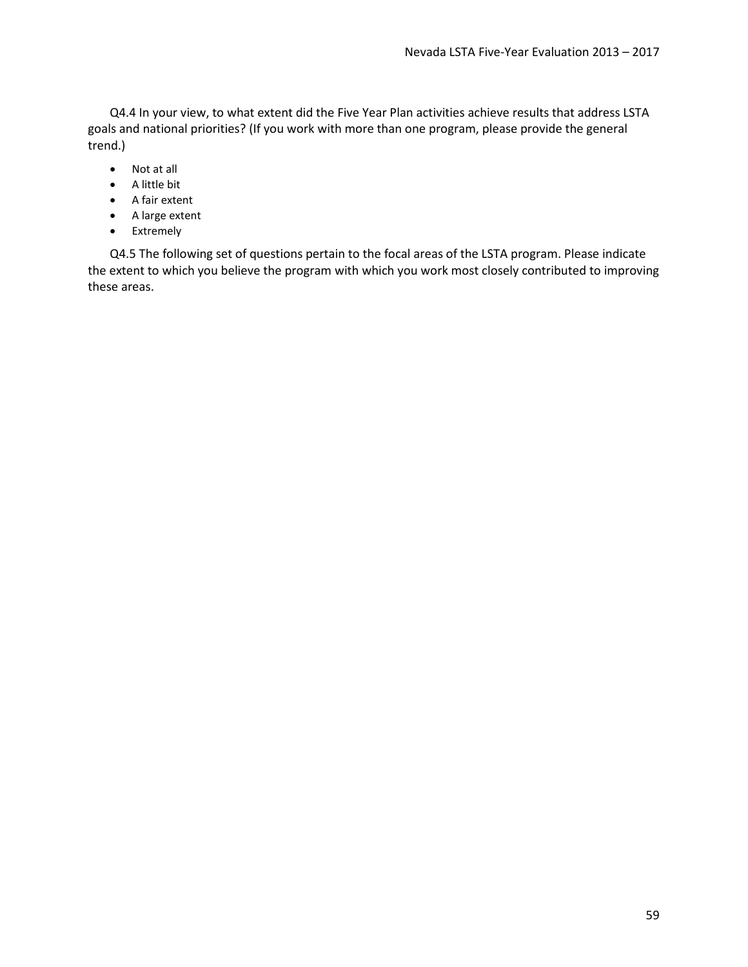Q4.4 In your view, to what extent did the Five Year Plan activities achieve results that address LSTA goals and national priorities? (If you work with more than one program, please provide the general trend.)

- Not at all
- A little bit
- A fair extent
- A large extent
- Extremely

Q4.5 The following set of questions pertain to the focal areas of the LSTA program. Please indicate the extent to which you believe the program with which you work most closely contributed to improving these areas.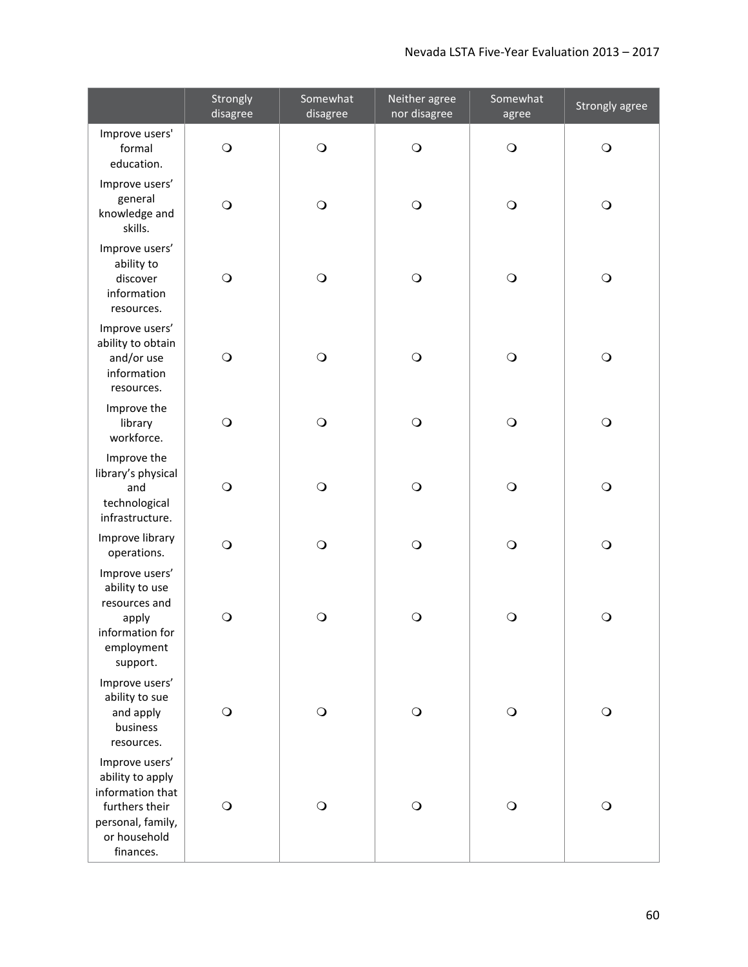|                                                                                                                            | Strongly<br>disagree | Somewhat<br>disagree | Neither agree<br>nor disagree | Somewhat<br>agree | Strongly agree |
|----------------------------------------------------------------------------------------------------------------------------|----------------------|----------------------|-------------------------------|-------------------|----------------|
| Improve users'<br>formal<br>education.                                                                                     | $\bigcirc$           | $\bigcirc$           | $\bigcirc$                    | $\bigcirc$        | $\bigcirc$     |
| Improve users'<br>general<br>knowledge and<br>skills.                                                                      | $\bigcirc$           | $\bigcirc$           | $\bigcirc$                    | $\bigcirc$        | $\bigcirc$     |
| Improve users'<br>ability to<br>discover<br>information<br>resources.                                                      | $\bigcirc$           | $\bigcirc$           | $\bigcirc$                    | $\bigcirc$        | $\bigcirc$     |
| Improve users'<br>ability to obtain<br>and/or use<br>information<br>resources.                                             | $\bigcirc$           | $\bigcirc$           | $\bigcirc$                    | $\bigcirc$        | $\bigcirc$     |
| Improve the<br>library<br>workforce.                                                                                       | $\bigcirc$           | $\bigcirc$           | $\bigcirc$                    | $\bigcirc$        | $\bigcirc$     |
| Improve the<br>library's physical<br>and<br>technological<br>infrastructure.                                               | $\bigcirc$           | $\bigcirc$           | $\bigcirc$                    | $\bigcirc$        | $\bigcirc$     |
| Improve library<br>operations.                                                                                             | $\bigcirc$           | $\circ$              | $\bigcirc$                    | $\bigcirc$        | $\bigcirc$     |
| Improve users'<br>ability to use<br>resources and<br>apply<br>information for<br>employment<br>support.                    | $\circ$              | $\circ$              | $\circ$                       | $\circ$           | $\mathsf{O}$   |
| Improve users'<br>ability to sue<br>and apply<br>business<br>resources.                                                    | $\bigcirc$           | $\bigcirc$           | $\bigcirc$                    | $\bigcirc$        | $\bigcirc$     |
| Improve users'<br>ability to apply<br>information that<br>furthers their<br>personal, family,<br>or household<br>finances. | $\bigcirc$           | $\circ$              | $\bigcirc$                    | $\circ$           | $\bigcirc$     |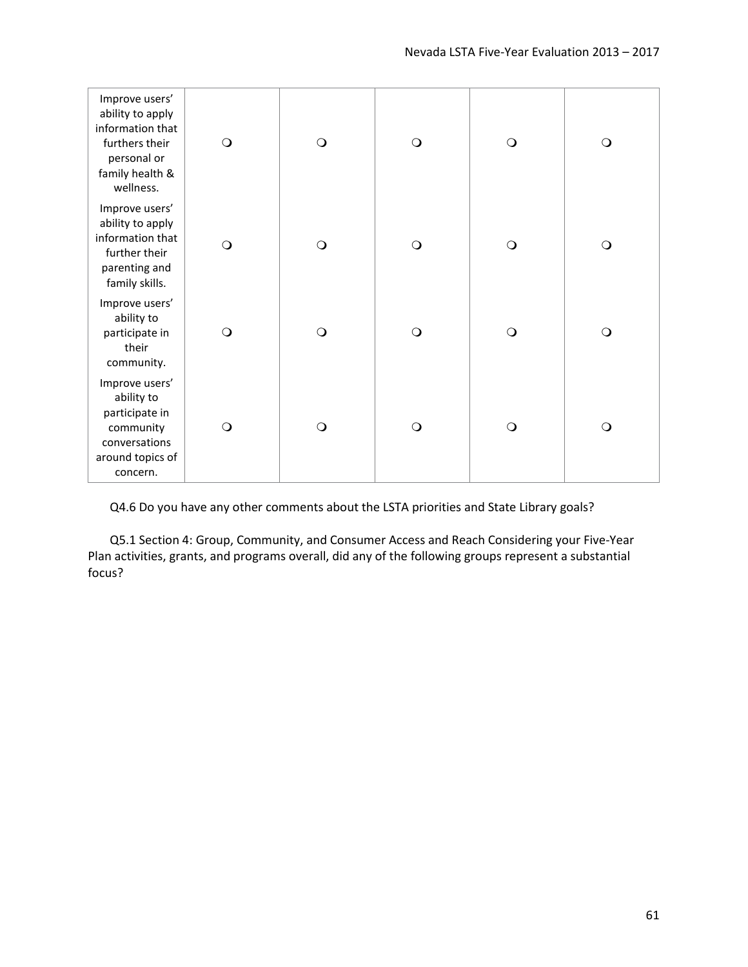| Improve users'<br>ability to apply<br>information that<br>furthers their<br>personal or<br>family health &<br>wellness. | $\circ$    | $\circ$    | $\circ$    | $\circ$  | $\bigcirc$ |
|-------------------------------------------------------------------------------------------------------------------------|------------|------------|------------|----------|------------|
| Improve users'<br>ability to apply<br>information that<br>further their<br>parenting and<br>family skills.              | $\bigcirc$ | $\bigcirc$ | $\bigcirc$ | $\circ$  | $\bigcirc$ |
| Improve users'<br>ability to<br>participate in<br>their<br>community.                                                   | $\circ$    | $\circ$    | $\circ$    | $\circ$  | $\circ$    |
| Improve users'<br>ability to<br>participate in<br>community<br>conversations<br>around topics of<br>concern.            | $\circ$    | $\bigcirc$ | $\circ$    | $\Omega$ | $\bigcirc$ |

Q4.6 Do you have any other comments about the LSTA priorities and State Library goals?

Q5.1 Section 4: Group, Community, and Consumer Access and Reach Considering your Five-Year Plan activities, grants, and programs overall, did any of the following groups represent a substantial focus?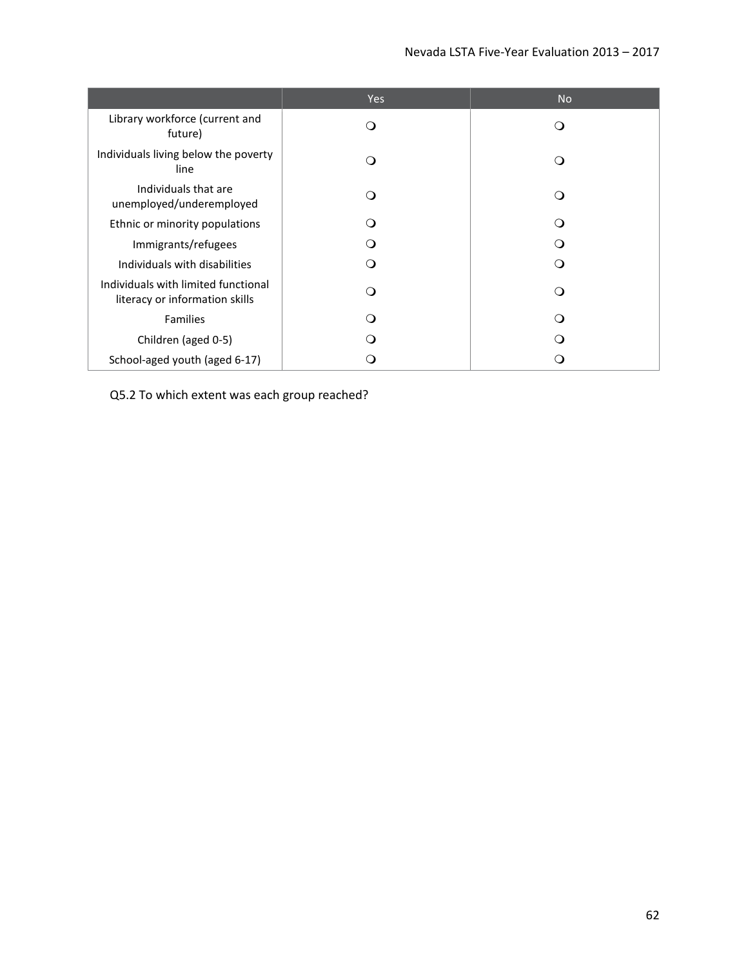|                                                                       | Yes | <b>No</b> |
|-----------------------------------------------------------------------|-----|-----------|
| Library workforce (current and<br>future)                             | ∩   |           |
| Individuals living below the poverty<br>line                          | ∩   |           |
| Individuals that are<br>unemployed/underemployed                      | ∩   |           |
| Ethnic or minority populations                                        |     |           |
| Immigrants/refugees                                                   |     |           |
| Individuals with disabilities                                         | ∩   |           |
| Individuals with limited functional<br>literacy or information skills |     |           |
| <b>Families</b>                                                       |     |           |
| Children (aged 0-5)                                                   |     |           |
| School-aged youth (aged 6-17)                                         |     |           |

Q5.2 To which extent was each group reached?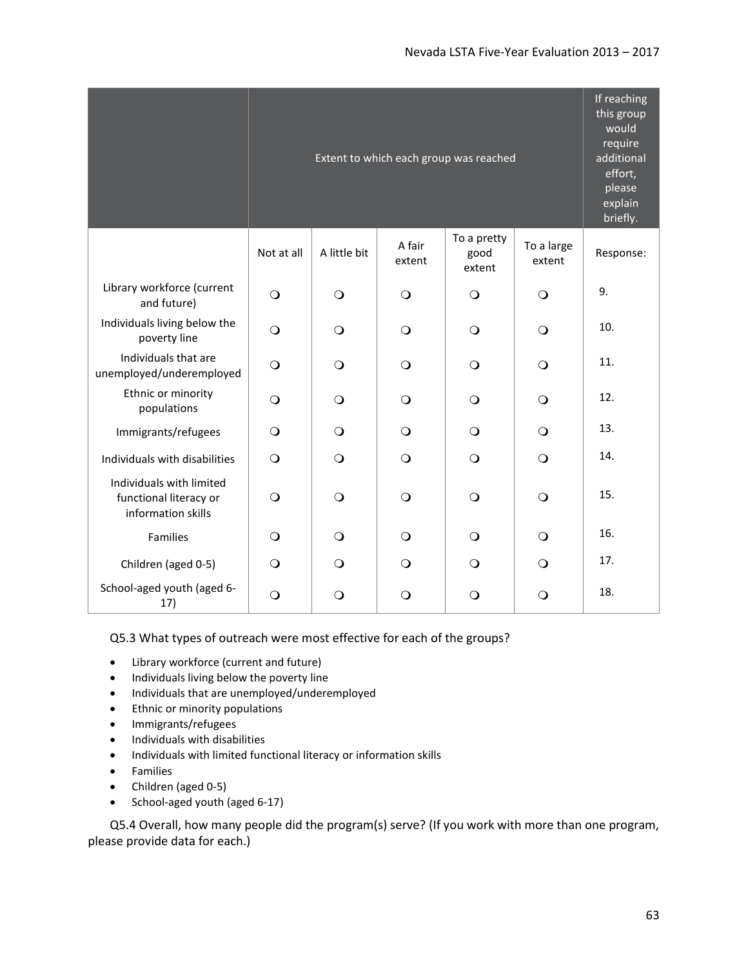|                                                                          |            | If reaching<br>this group<br>would<br>require<br>additional<br>effort,<br>please<br>explain<br>briefly. |                  |                               |                      |           |
|--------------------------------------------------------------------------|------------|---------------------------------------------------------------------------------------------------------|------------------|-------------------------------|----------------------|-----------|
|                                                                          | Not at all | A little bit                                                                                            | A fair<br>extent | To a pretty<br>good<br>extent | To a large<br>extent | Response: |
| Library workforce (current<br>and future)                                | $\bigcirc$ | $\circ$                                                                                                 | $\circ$          | $\bigcirc$                    | $\bigcirc$           | 9.        |
| Individuals living below the<br>poverty line                             | $\bigcirc$ | $\circ$                                                                                                 | $\bigcirc$       | $\circ$                       | $\bigcirc$           | 10.       |
| Individuals that are<br>unemployed/underemployed                         | $\circ$    | $\circ$                                                                                                 | $\Omega$         | $\circ$                       | $\Omega$             | 11.       |
| Ethnic or minority<br>populations                                        | $\circ$    | $\circ$                                                                                                 | $\Omega$         | $\circ$                       | $\Omega$             | 12.       |
| Immigrants/refugees                                                      | $\circ$    | $\bigcirc$                                                                                              | $\bigcirc$       | $\circ$                       | $\bigcirc$           | 13.       |
| Individuals with disabilities                                            | $\circ$    | $\bigcirc$                                                                                              | $\bigcirc$       | $\circ$                       | $\bigcirc$           | 14.       |
| Individuals with limited<br>functional literacy or<br>information skills | $\circ$    | $\circ$                                                                                                 | $\bigcirc$       | $\circ$                       | $\bigcirc$           | 15.       |
| Families                                                                 | $\Omega$   | $\Omega$                                                                                                | $\Omega$         | $\Omega$                      | $\Omega$             | 16.       |
| Children (aged 0-5)                                                      | $\Omega$   | $\Omega$                                                                                                | $\Omega$         | $\circ$                       | $\Omega$             | 17.       |
| School-aged youth (aged 6-<br>17)                                        | $\bigcirc$ | O                                                                                                       | $\bigcirc$       | $\mathsf{O}$                  | $\circ$              | 18.       |

#### Q5.3 What types of outreach were most effective for each of the groups?

- Library workforce (current and future)
- Individuals living below the poverty line
- Individuals that are unemployed/underemployed
- Ethnic or minority populations
- Immigrants/refugees
- Individuals with disabilities
- Individuals with limited functional literacy or information skills
- Families
- Children (aged 0-5)
- School-aged youth (aged 6-17)

Q5.4 Overall, how many people did the program(s) serve? (If you work with more than one program, please provide data for each.)